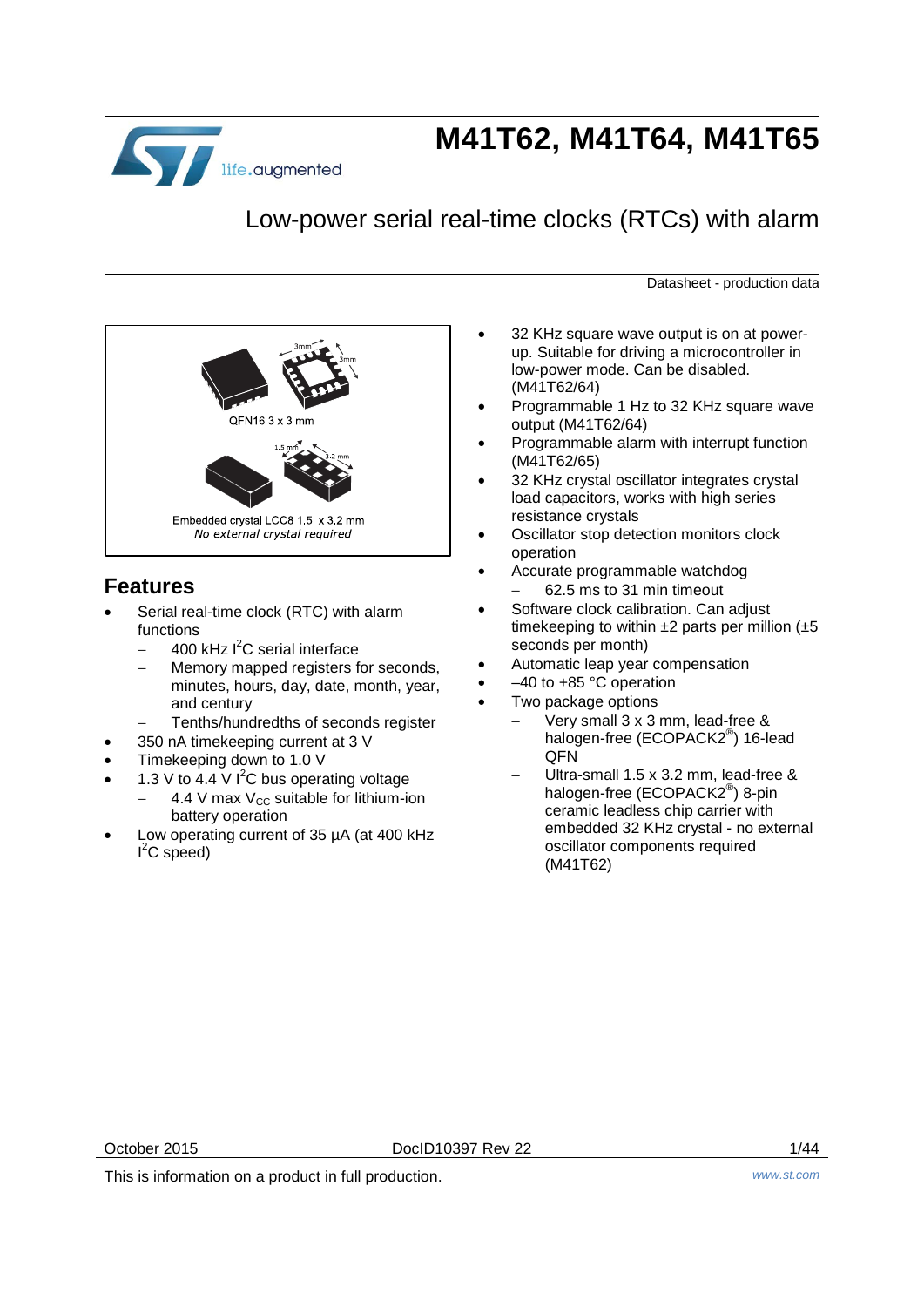

# **M41T62, M41T64, M41T65**

# Low-power serial real-time clocks (RTCs) with alarm

Datasheet - production data



## **Features**

- Serial real-time clock (RTC) with alarm functions
	- − 400 kHz l<sup>2</sup>C serial interface
	- − Memory mapped registers for seconds, minutes, hours, day, date, month, year, and century
	- − Tenths/hundredths of seconds register
- 350 nA timekeeping current at 3 V
- Timekeeping down to 1.0 V
- 1.3 V to 4.4 V  $I^2C$  bus operating voltage
	- $4.4$  V max V<sub>CC</sub> suitable for lithium-ion battery operation
- Low operating current of 35 µA (at 400 kHz  $I^2C$  speed)
- 32 KHz square wave output is on at powerup. Suitable for driving a microcontroller in low-power mode. Can be disabled. (M41T62/64)
- Programmable 1 Hz to 32 KHz square wave output (M41T62/64)
- Programmable alarm with interrupt function (M41T62/65)
- 32 KHz crystal oscillator integrates crystal load capacitors, works with high series resistance crystals
- Oscillator stop detection monitors clock operation
- Accurate programmable watchdog − 62.5 ms to 31 min timeout
- Software clock calibration. Can adjust timekeeping to within  $\pm 2$  parts per million ( $\pm 5$ seconds per month)
- Automatic leap year compensation
- $-40$  to  $+85$  °C operation
	- Two package options
		- Very small 3 x 3 mm, lead-free & halogen-free (ECOPACK2<sup>®</sup>) 16-lead **OFN**
		- − Ultra-small 1.5 x 3.2 mm, lead-free & halogen-free (ECOPACK2<sup>®</sup>) 8-pin ceramic leadless chip carrier with embedded 32 KHz crystal - no external oscillator components required (M41T62)

This is information on a product in full production. *www.st.com*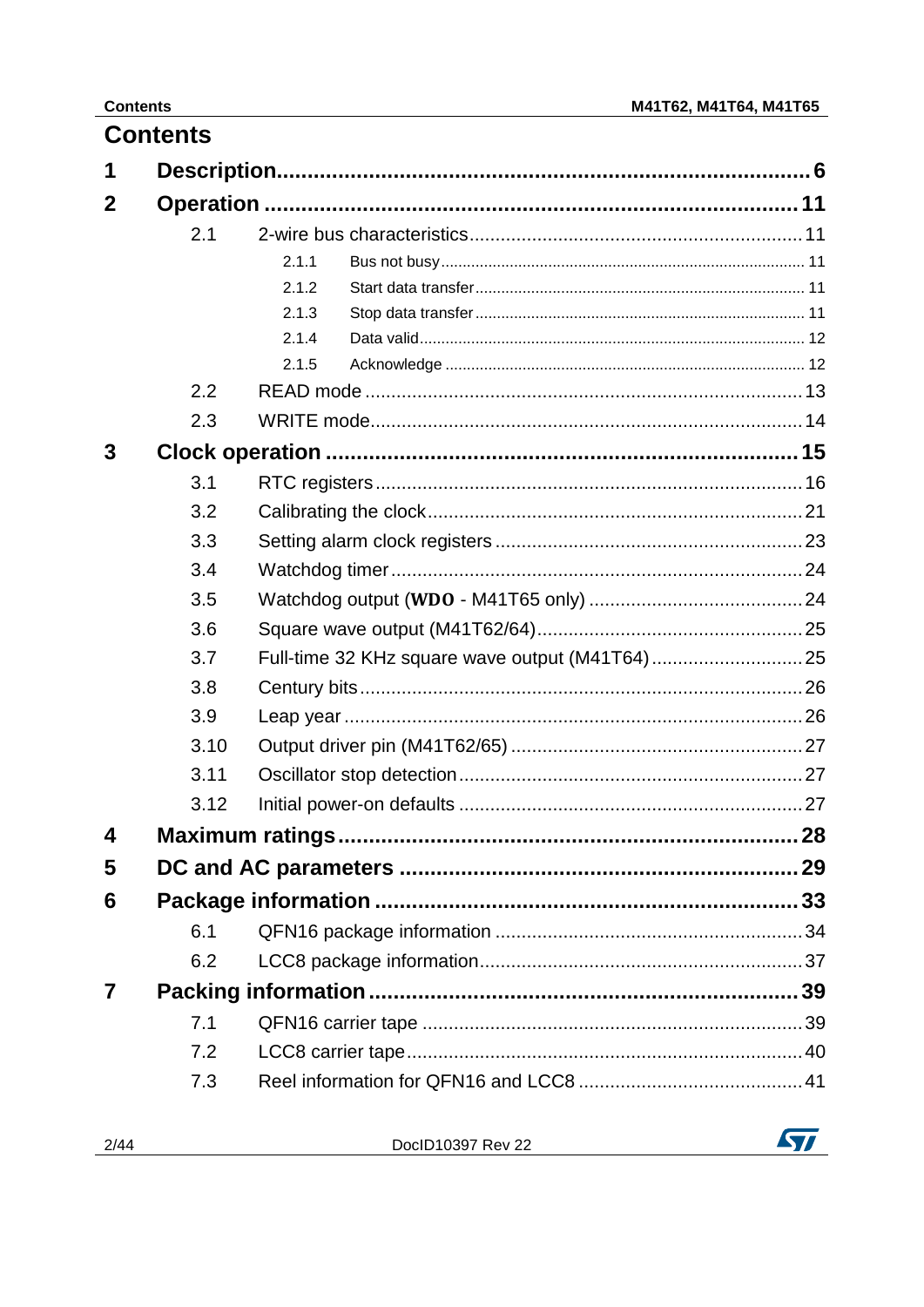|   | <b>Contents</b> |       |    |
|---|-----------------|-------|----|
| 1 |                 |       |    |
| 2 |                 |       |    |
|   | 2.1             |       |    |
|   |                 | 2.1.1 |    |
|   |                 | 2.1.2 |    |
|   |                 | 2.1.3 |    |
|   |                 | 2.1.4 |    |
|   |                 | 2.1.5 |    |
|   | 2.2             |       |    |
|   | 2.3             |       |    |
| 3 |                 |       |    |
|   | 3.1             |       |    |
|   | 3.2             |       |    |
|   | 3.3             |       |    |
|   | 3.4             |       |    |
|   | 3.5             |       |    |
|   | 3.6             |       |    |
|   | 3.7             |       |    |
|   | 3.8             |       |    |
|   | 3.9             |       |    |
|   | 3.10            |       |    |
|   | 3.11            |       |    |
|   | 3.12            |       |    |
| 4 |                 |       | 28 |
| 5 |                 |       |    |
| 6 |                 |       |    |
|   | 6.1             |       |    |
|   | 6.2             |       |    |
|   |                 |       |    |
|   | 7.1             |       |    |
|   | 7.2             |       |    |
|   | 7.3             |       |    |
|   |                 |       |    |

| DocID10397 Rev 22 |  |
|-------------------|--|
|                   |  |

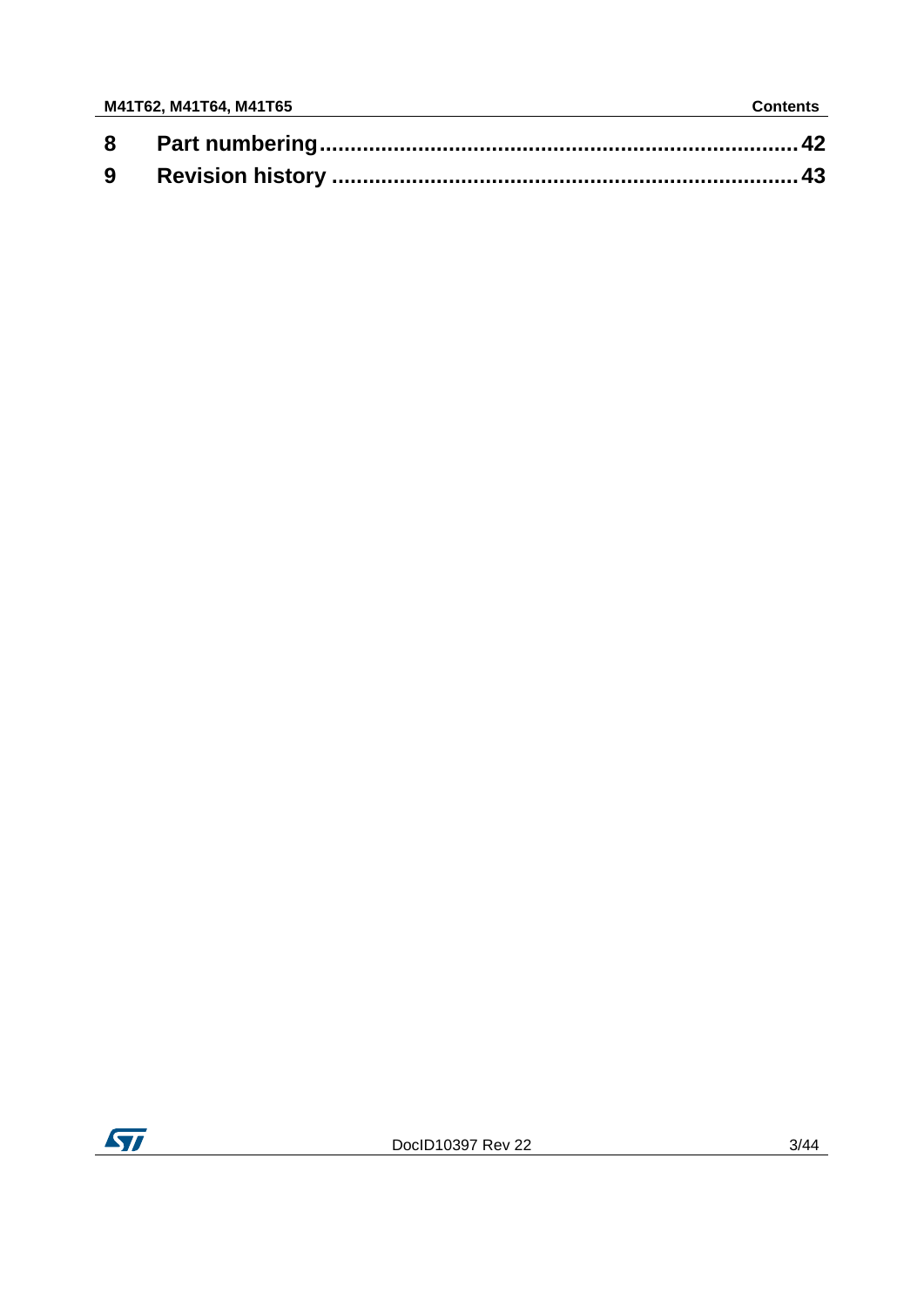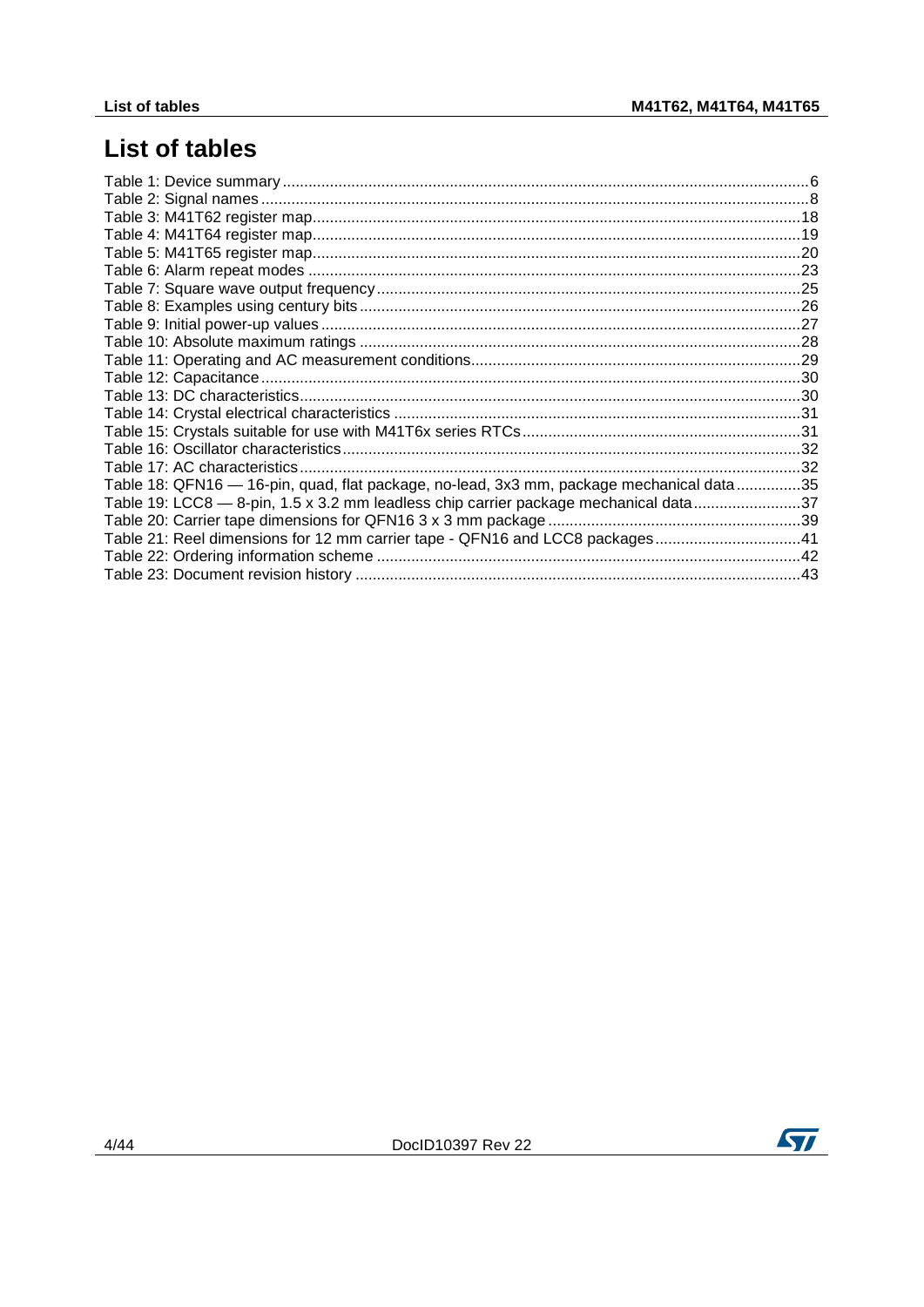# **List of tables**

| Table 18: QFN16 - 16-pin, quad, flat package, no-lead, 3x3 mm, package mechanical data35 |                                                                                      |  |
|------------------------------------------------------------------------------------------|--------------------------------------------------------------------------------------|--|
|                                                                                          |                                                                                      |  |
|                                                                                          |                                                                                      |  |
|                                                                                          |                                                                                      |  |
|                                                                                          |                                                                                      |  |
|                                                                                          |                                                                                      |  |
|                                                                                          |                                                                                      |  |
|                                                                                          |                                                                                      |  |
|                                                                                          |                                                                                      |  |
|                                                                                          |                                                                                      |  |
|                                                                                          |                                                                                      |  |
|                                                                                          |                                                                                      |  |
|                                                                                          |                                                                                      |  |
|                                                                                          |                                                                                      |  |
|                                                                                          |                                                                                      |  |
|                                                                                          |                                                                                      |  |
|                                                                                          |                                                                                      |  |
|                                                                                          |                                                                                      |  |
|                                                                                          | Table 19: LCC8 - 8-pin, 1.5 x 3.2 mm leadless chip carrier package mechanical data37 |  |
|                                                                                          |                                                                                      |  |
| Table 21: Reel dimensions for 12 mm carrier tape - QFN16 and LCC8 packages41             |                                                                                      |  |
|                                                                                          |                                                                                      |  |
|                                                                                          |                                                                                      |  |



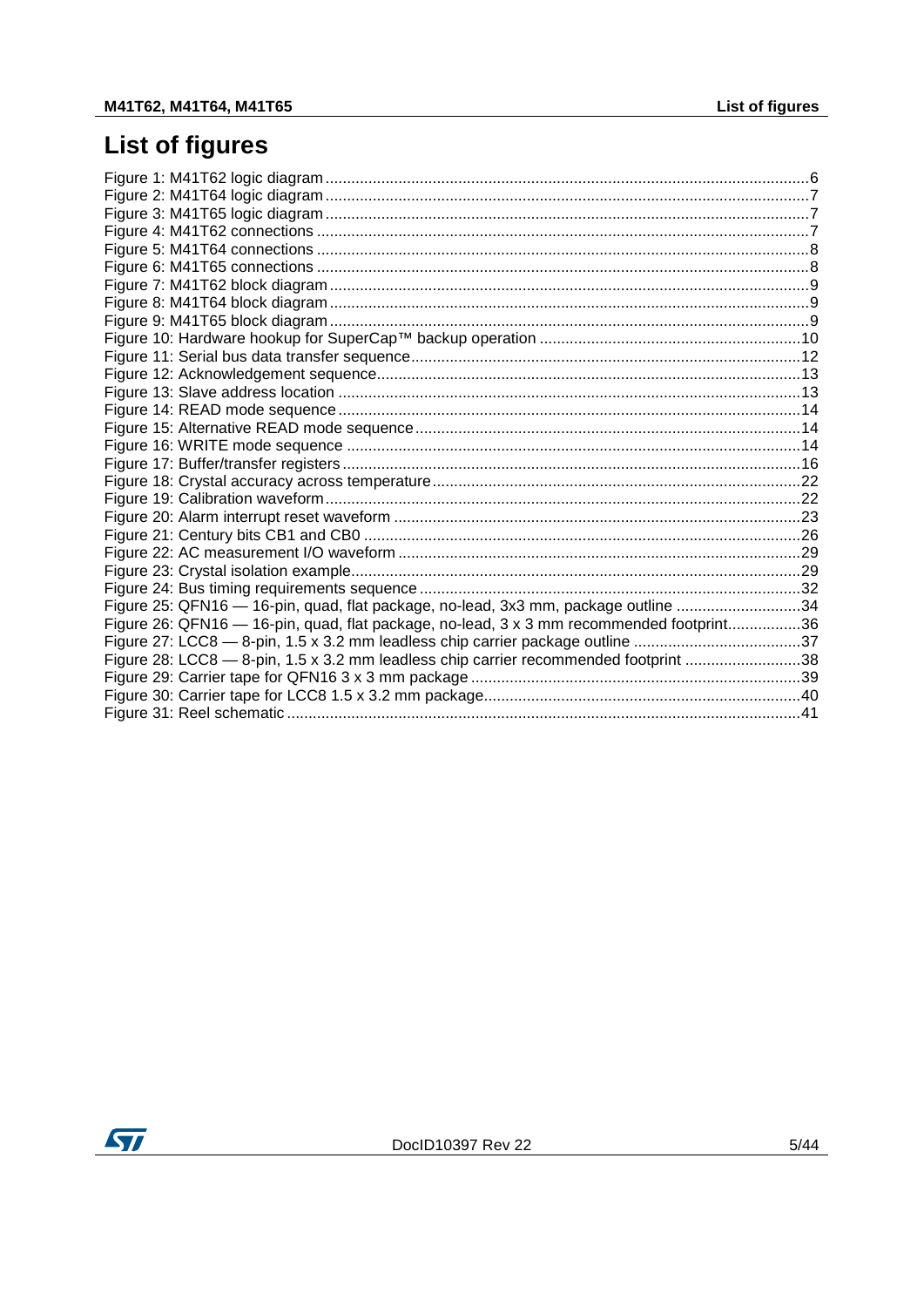# **List of figures**

| Figure 25: QFN16 - 16-pin, quad, flat package, no-lead, 3x3 mm, package outline 34       |  |
|------------------------------------------------------------------------------------------|--|
| Figure 26: QFN16 - 16-pin, quad, flat package, no-lead, 3 x 3 mm recommended footprint36 |  |
| Figure 27: LCC8 - 8-pin, 1.5 x 3.2 mm leadless chip carrier package outline 37           |  |
| Figure 28: LCC8 - 8-pin, 1.5 x 3.2 mm leadless chip carrier recommended footprint 38     |  |
|                                                                                          |  |
|                                                                                          |  |
|                                                                                          |  |

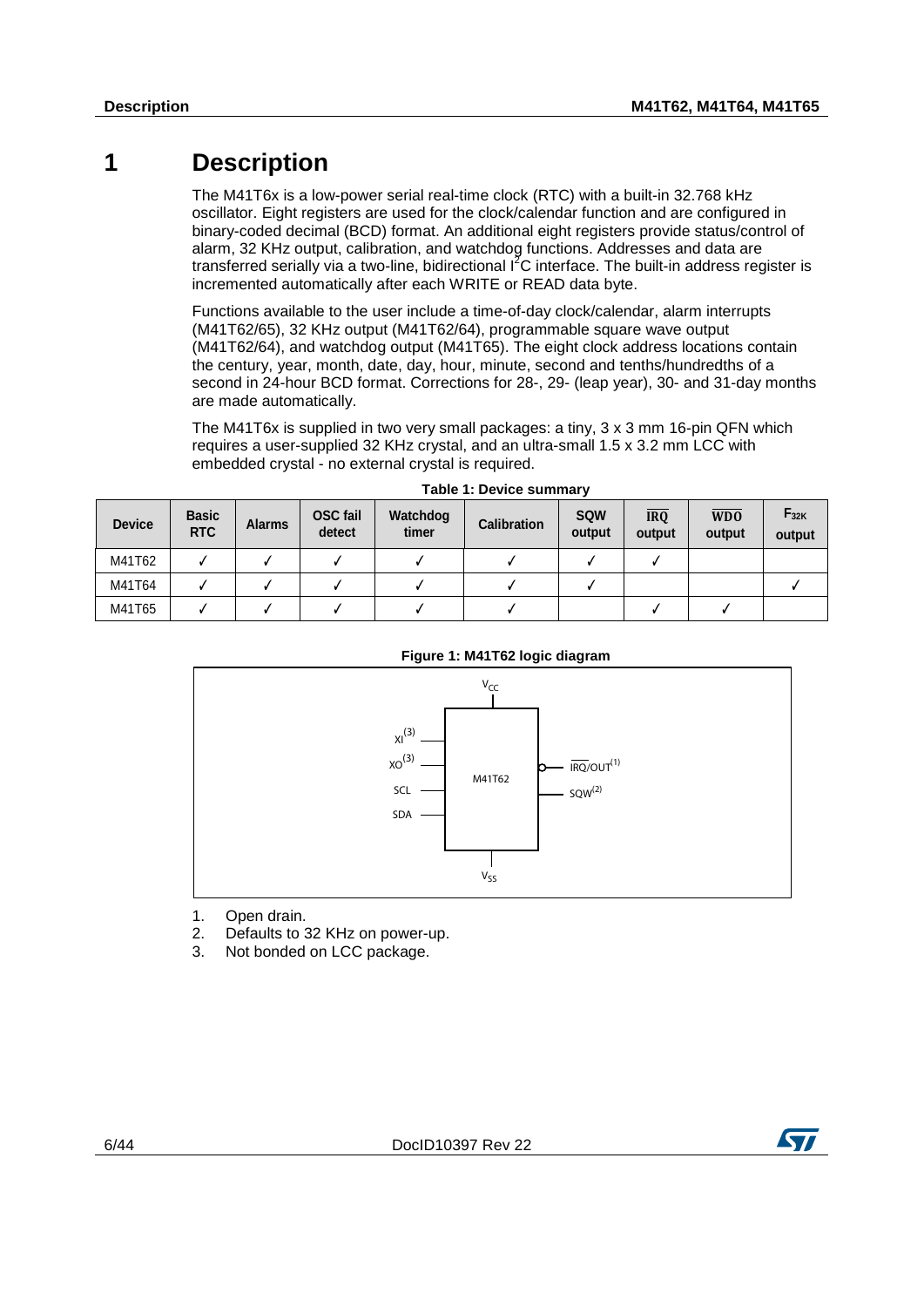# **1 Description**

<span id="page-5-0"></span>The M41T6x is a low-power serial real-time clock (RTC) with a built-in 32.768 kHz oscillator. Eight registers are used for the clock/calendar function and are configured in binary-coded decimal (BCD) format. An additional eight registers provide status/control of alarm, 32 KHz output, calibration, and watchdog functions. Addresses and data are transferred serially via a two-line, bidirectional  $1^2C$  interface. The built-in address register is incremented automatically after each WRITE or READ data byte.

Functions available to the user include a time-of-day clock/calendar, alarm interrupts (M41T62/65), 32 KHz output (M41T62/64), programmable square wave output (M41T62/64), and watchdog output (M41T65). The eight clock address locations contain the century, year, month, date, day, hour, minute, second and tenths/hundredths of a second in 24-hour BCD format. Corrections for 28-, 29- (leap year), 30- and 31-day months are made automatically.

<span id="page-5-1"></span>The M41T6x is supplied in two very small packages: a tiny, 3 x 3 mm 16-pin QFN which requires a user-supplied 32 KHz crystal, and an ultra-small 1.5 x 3.2 mm LCC with embedded crystal - no external crystal is required.

| <b>Device</b> | <b>Basic</b><br><b>RTC</b> | <b>Alarms</b> | <b>OSC</b> fail<br>detect | Watchdog<br>timer | <b>Calibration</b> | <b>SQW</b><br>output | <b>IRQ</b><br>output | W <sub>D</sub> O<br>output | $F_{32K}$<br>output |
|---------------|----------------------------|---------------|---------------------------|-------------------|--------------------|----------------------|----------------------|----------------------------|---------------------|
| M41T62        |                            |               |                           |                   |                    |                      |                      |                            |                     |
| M41T64        |                            |               |                           |                   |                    |                      |                      |                            |                     |
| M41T65        |                            |               |                           |                   |                    |                      |                      |                            |                     |

<span id="page-5-2"></span>

### **Figure 1: M41T62 logic diagram**

- 1. Open drain.
- 2. Defaults to 32 KHz on power-up.<br>3. Not bonded on LCC package
- Not bonded on LCC package.

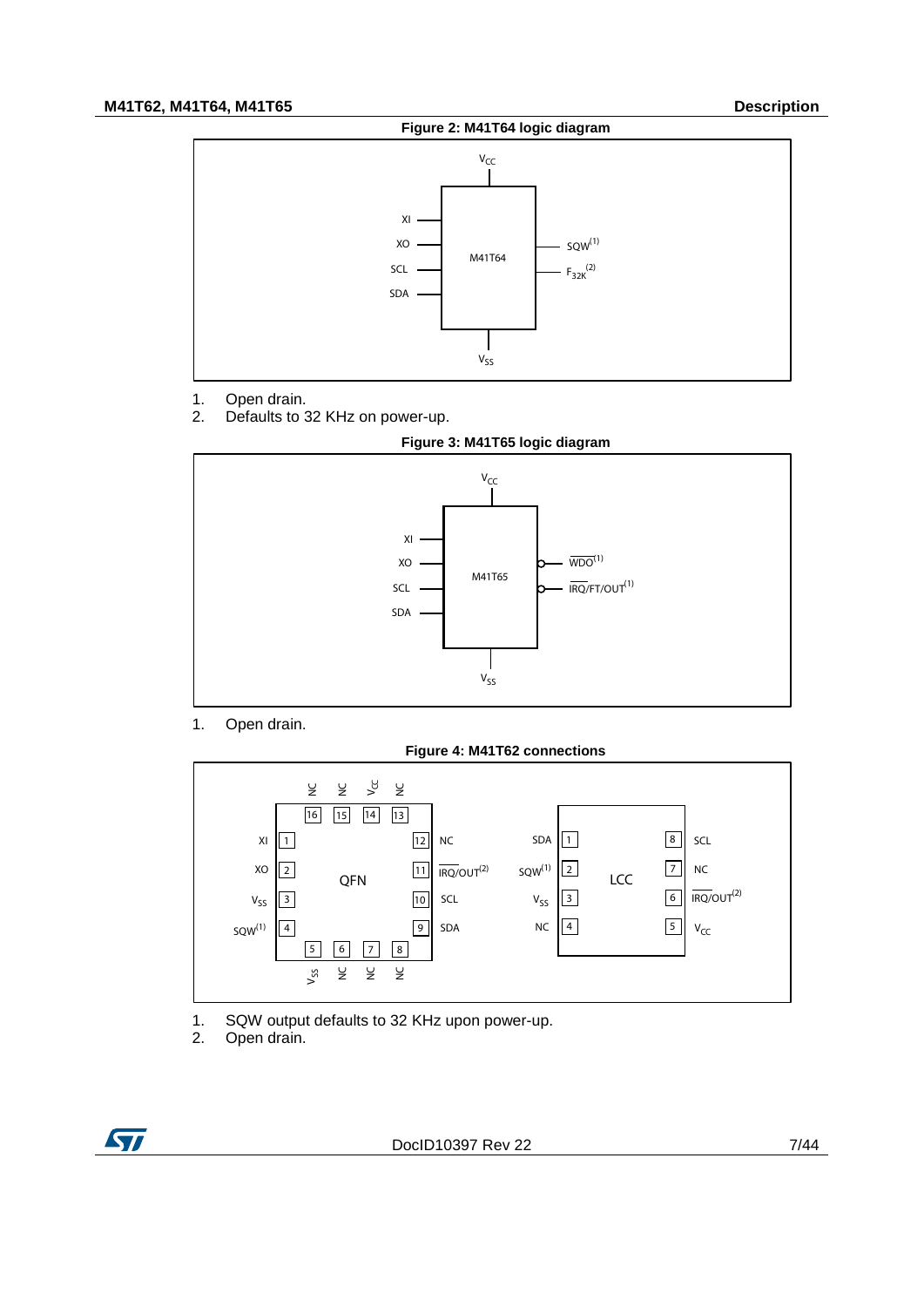<span id="page-6-0"></span>

- 1. Open drain.<br>2. Defaults to 3
- Defaults to 32 KHz on power-up.



<span id="page-6-1"></span>

1. Open drain.

**Figure 4: M41T62 connections**

<span id="page-6-2"></span>

- 1. SQW output defaults to 32 KHz upon power-up.<br>2. Open drain.
- Open drain.

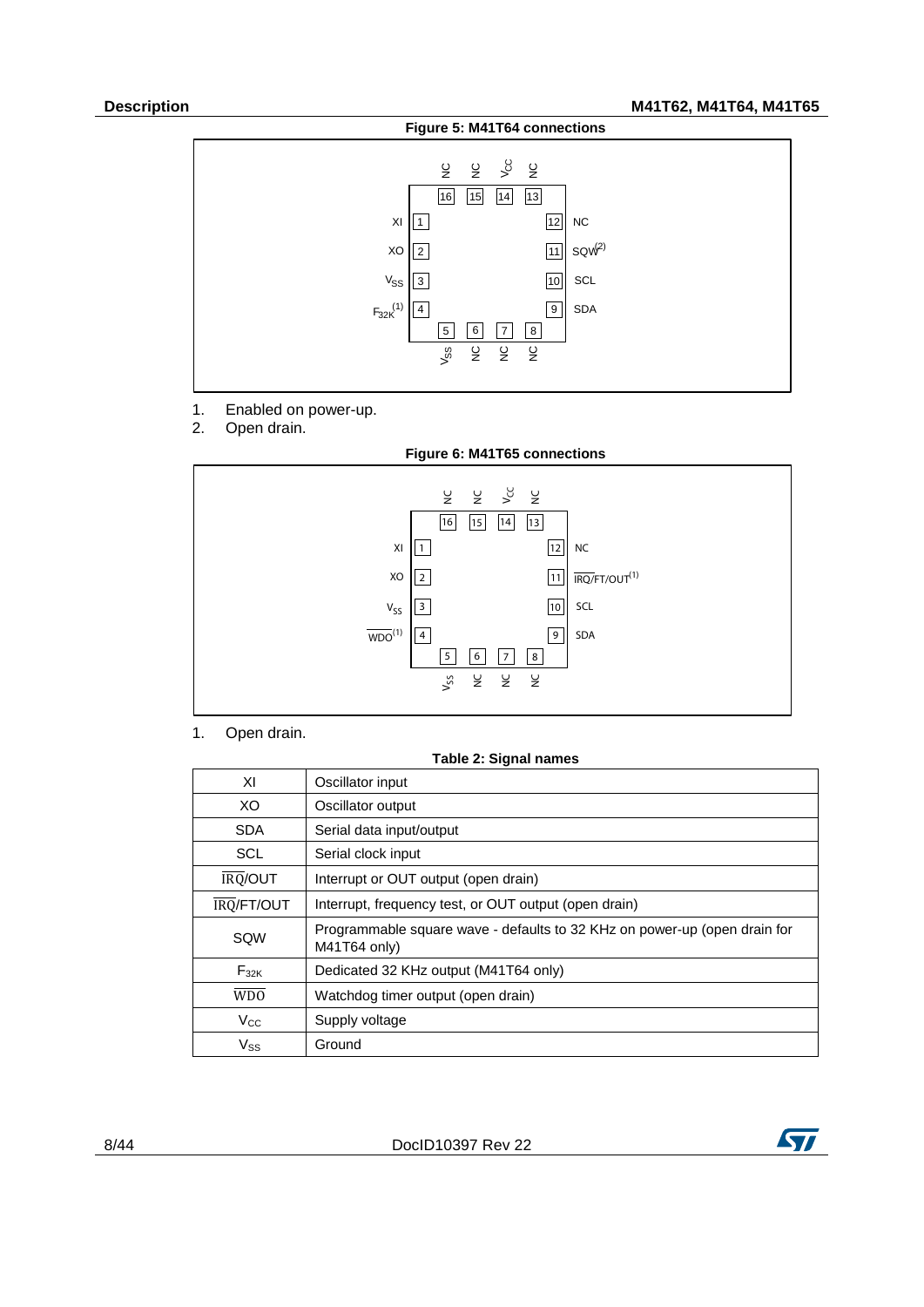<span id="page-7-1"></span>

- 1. Enabled on power-up.<br>2. Open drain.
- Open drain.

<span id="page-7-2"></span>

1. Open drain.

**Table 2: Signal names**

<span id="page-7-0"></span>

| ΧI               | Oscillator input                                                                          |
|------------------|-------------------------------------------------------------------------------------------|
| XO               | Oscillator output                                                                         |
| <b>SDA</b>       | Serial data input/output                                                                  |
| <b>SCL</b>       | Serial clock input                                                                        |
| <b>IRQ/OUT</b>   | Interrupt or OUT output (open drain)                                                      |
| IRQ/FT/OUT       | Interrupt, frequency test, or OUT output (open drain)                                     |
| SQW              | Programmable square wave - defaults to 32 KHz on power-up (open drain for<br>M41T64 only) |
| $F_{32K}$        | Dedicated 32 KHz output (M41T64 only)                                                     |
| W <sub>D</sub> O | Watchdog timer output (open drain)                                                        |
| $V_{\rm CC}$     | Supply voltage                                                                            |
| $V_{SS}$         | Ground                                                                                    |

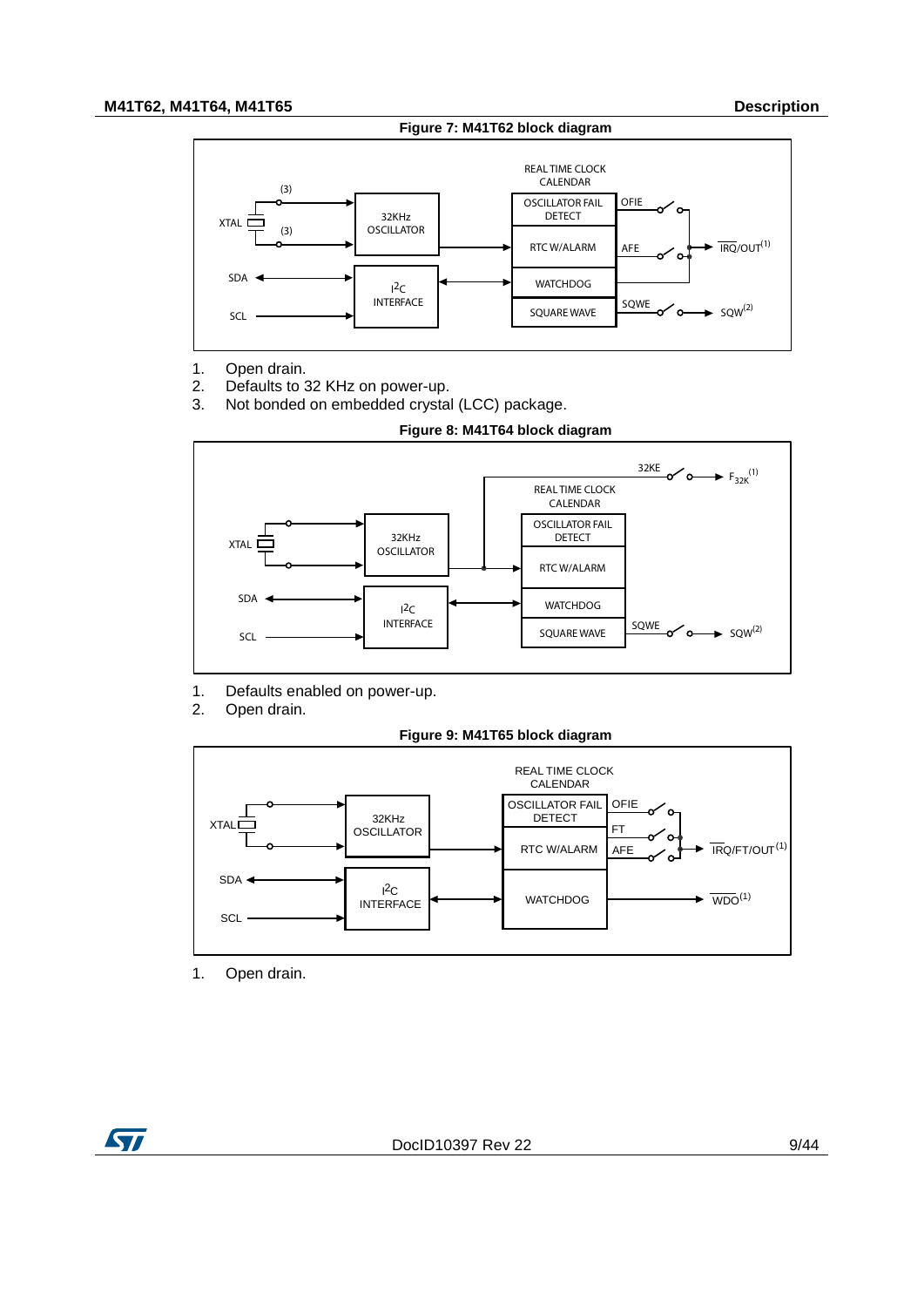### **M41T62, M41T64, M41T65 Description**

#### **Figure 7: M41T62 block diagram**

<span id="page-8-0"></span>

- 1. Open drain.
- 2. Defaults to 32 KHz on power-up.<br>3. Not bonded on embedded crysta
- Not bonded on embedded crystal (LCC) package.



<span id="page-8-1"></span>

- 1. Defaults enabled on power-up.<br>2. Open drain.
- Open drain.



<span id="page-8-2"></span>

1. Open drain.

**ST**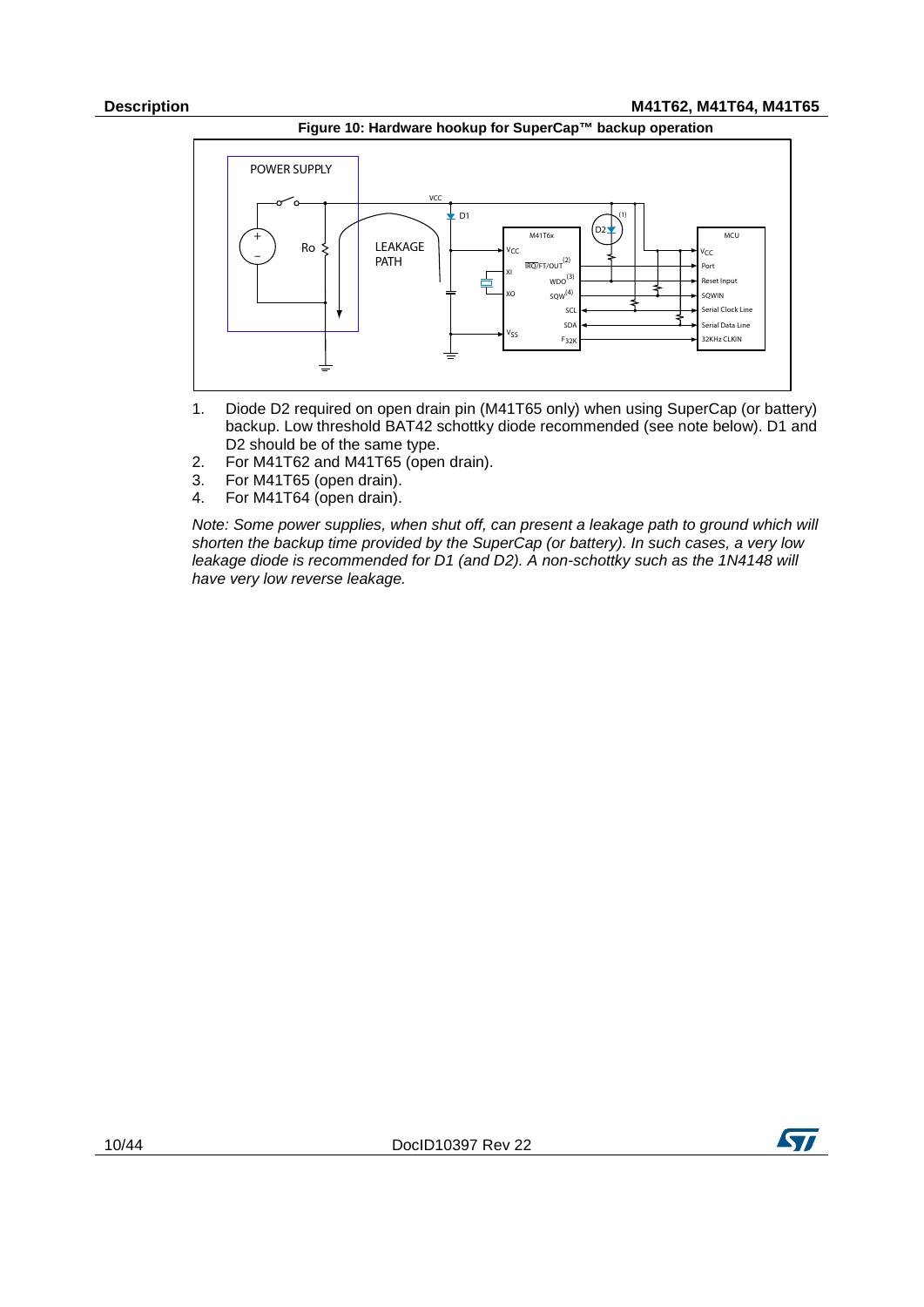

<span id="page-9-0"></span>

- 1. Diode D2 required on open drain pin (M41T65 only) when using SuperCap (or battery) backup. Low threshold BAT42 schottky diode recommended (see note below). D1 and D2 should be of the same type.
- 2. For M41T62 and M41T65 (open drain).
- For M41T65 (open drain).
- 4. For M41T64 (open drain).

*Note: Some power supplies, when shut off, can present a leakage path to ground which will shorten the backup time provided by the SuperCap (or battery). In such cases, a very low leakage diode is recommended for D1 (and D2). A non-schottky such as the 1N4148 will have very low reverse leakage.*

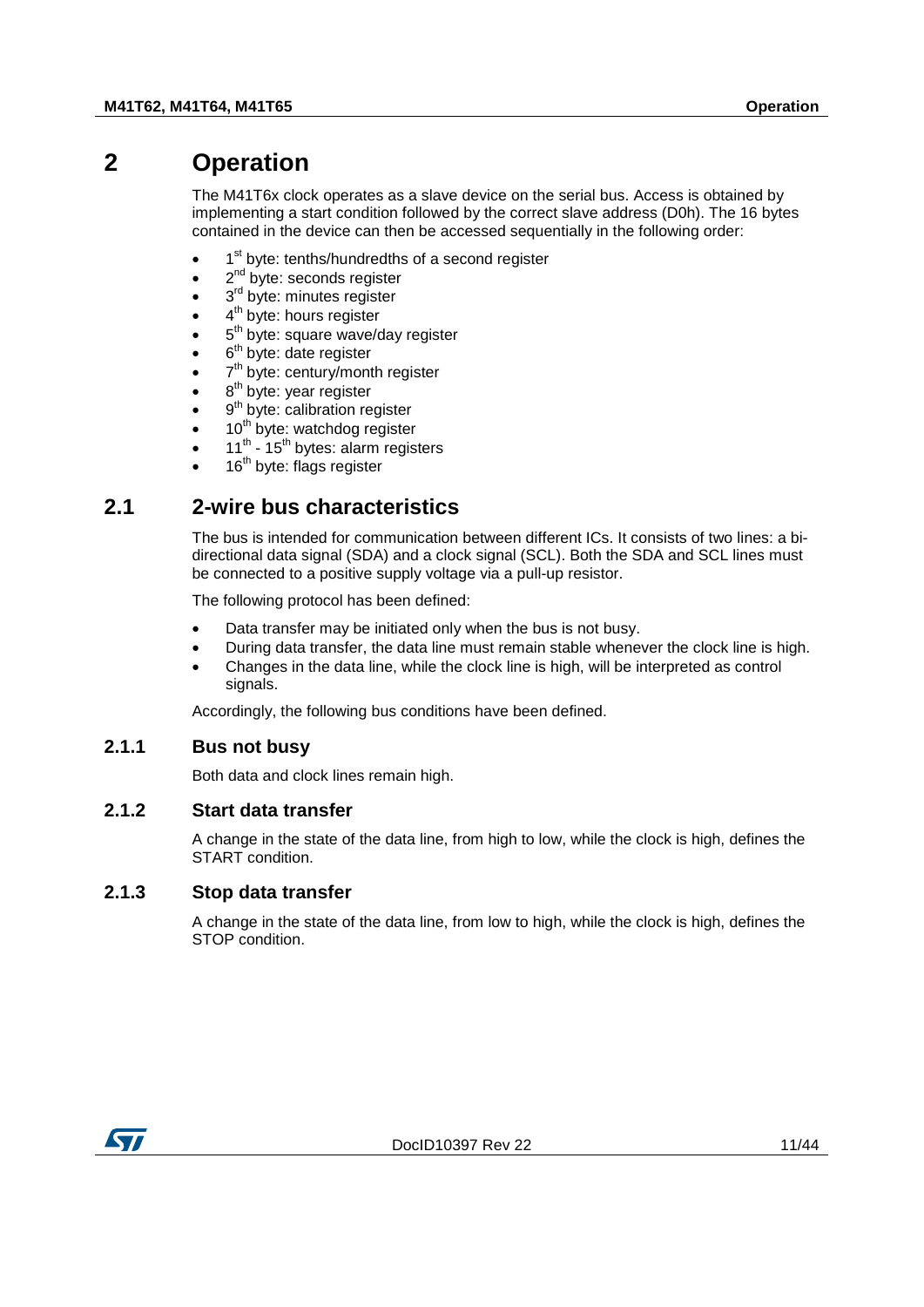# **2 Operation**

<span id="page-10-0"></span>The M41T6x clock operates as a slave device on the serial bus. Access is obtained by implementing a start condition followed by the correct slave address (D0h). The 16 bytes contained in the device can then be accessed sequentially in the following order:

- 1<sup>st</sup> byte: tenths/hundredths of a second register
- $2<sup>nd</sup>$  byte: seconds register
- 3<sup>rd</sup> byte: minutes register
- 4<sup>th</sup> byte: hours register
- 5<sup>th</sup> byte: square wave/day register
- $6<sup>th</sup>$  byte: date register
- 7<sup>th</sup> byte: century/month register
- $8<sup>th</sup>$  byte: year register
- $9<sup>th</sup>$  byte: calibration register
- 10<sup>th</sup> byte: watchdog register
- $11^{th}$   $15^{th}$  bytes: alarm registers
- <span id="page-10-1"></span> $16<sup>th</sup>$  byte: flags register

### **2.1 2-wire bus characteristics**

The bus is intended for communication between different ICs. It consists of two lines: a bidirectional data signal (SDA) and a clock signal (SCL). Both the SDA and SCL lines must be connected to a positive supply voltage via a pull-up resistor.

The following protocol has been defined:

- Data transfer may be initiated only when the bus is not busy.
- During data transfer, the data line must remain stable whenever the clock line is high.
- Changes in the data line, while the clock line is high, will be interpreted as control signals.

<span id="page-10-2"></span>Accordingly, the following bus conditions have been defined.

### **2.1.1 Bus not busy**

<span id="page-10-3"></span>Both data and clock lines remain high.

### **2.1.2 Start data transfer**

A change in the state of the data line, from high to low, while the clock is high, defines the START condition.

### **2.1.3 Stop data transfer**

<span id="page-10-4"></span>A change in the state of the data line, from low to high, while the clock is high, defines the STOP condition.

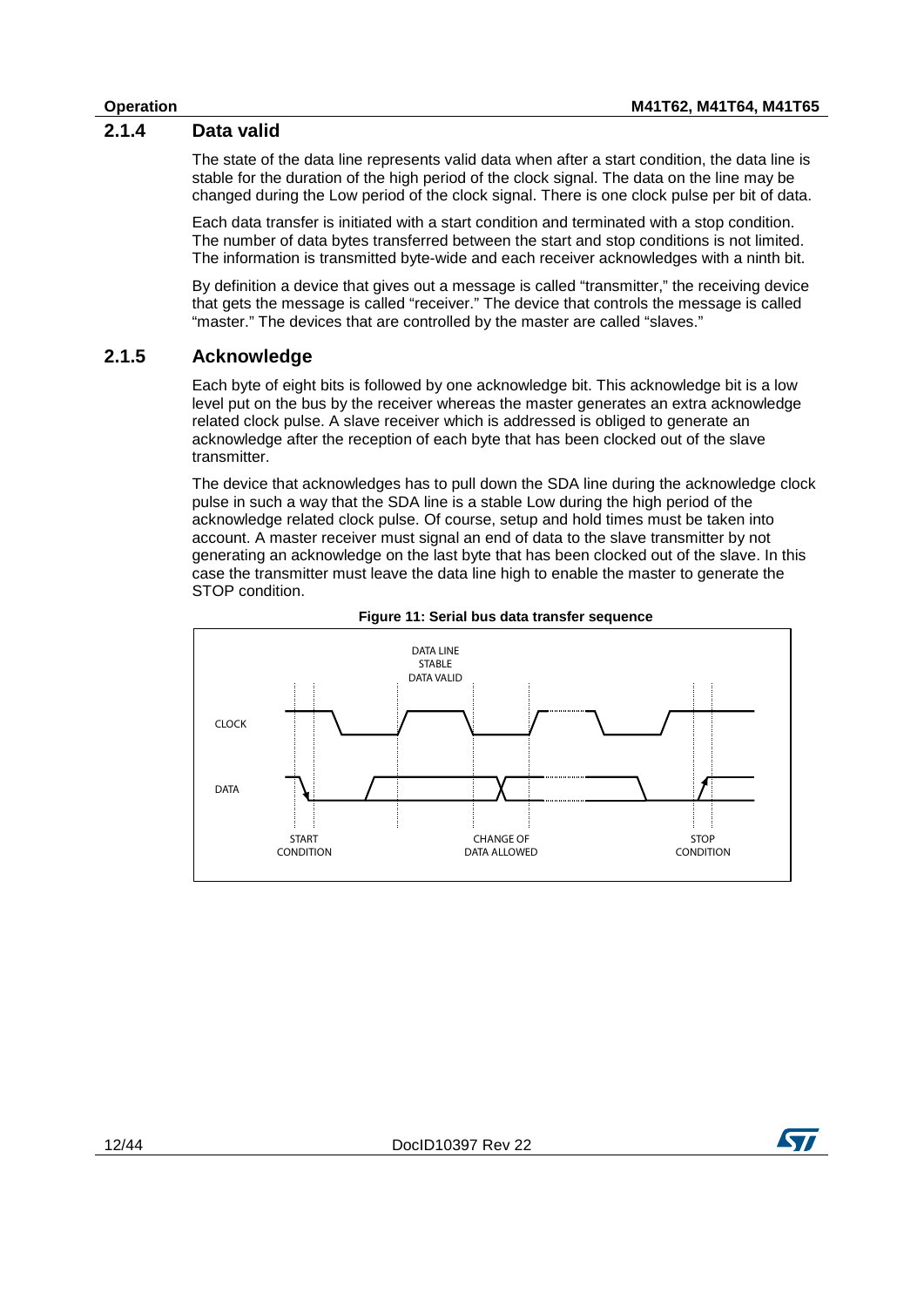### **2.1.4 Data valid**

<span id="page-11-0"></span>The state of the data line represents valid data when after a start condition, the data line is stable for the duration of the high period of the clock signal. The data on the line may be changed during the Low period of the clock signal. There is one clock pulse per bit of data.

Each data transfer is initiated with a start condition and terminated with a stop condition. The number of data bytes transferred between the start and stop conditions is not limited. The information is transmitted byte-wide and each receiver acknowledges with a ninth bit.

By definition a device that gives out a message is called "transmitter," the receiving device that gets the message is called "receiver." The device that controls the message is called "master." The devices that are controlled by the master are called "slaves."

### **2.1.5 Acknowledge**

<span id="page-11-1"></span>Each byte of eight bits is followed by one acknowledge bit. This acknowledge bit is a low level put on the bus by the receiver whereas the master generates an extra acknowledge related clock pulse. A slave receiver which is addressed is obliged to generate an acknowledge after the reception of each byte that has been clocked out of the slave transmitter.

The device that acknowledges has to pull down the SDA line during the acknowledge clock pulse in such a way that the SDA line is a stable Low during the high period of the acknowledge related clock pulse. Of course, setup and hold times must be taken into account. A master receiver must signal an end of data to the slave transmitter by not generating an acknowledge on the last byte that has been clocked out of the slave. In this case the transmitter must leave the data line high to enable the master to generate the STOP condition.

<span id="page-11-2"></span>



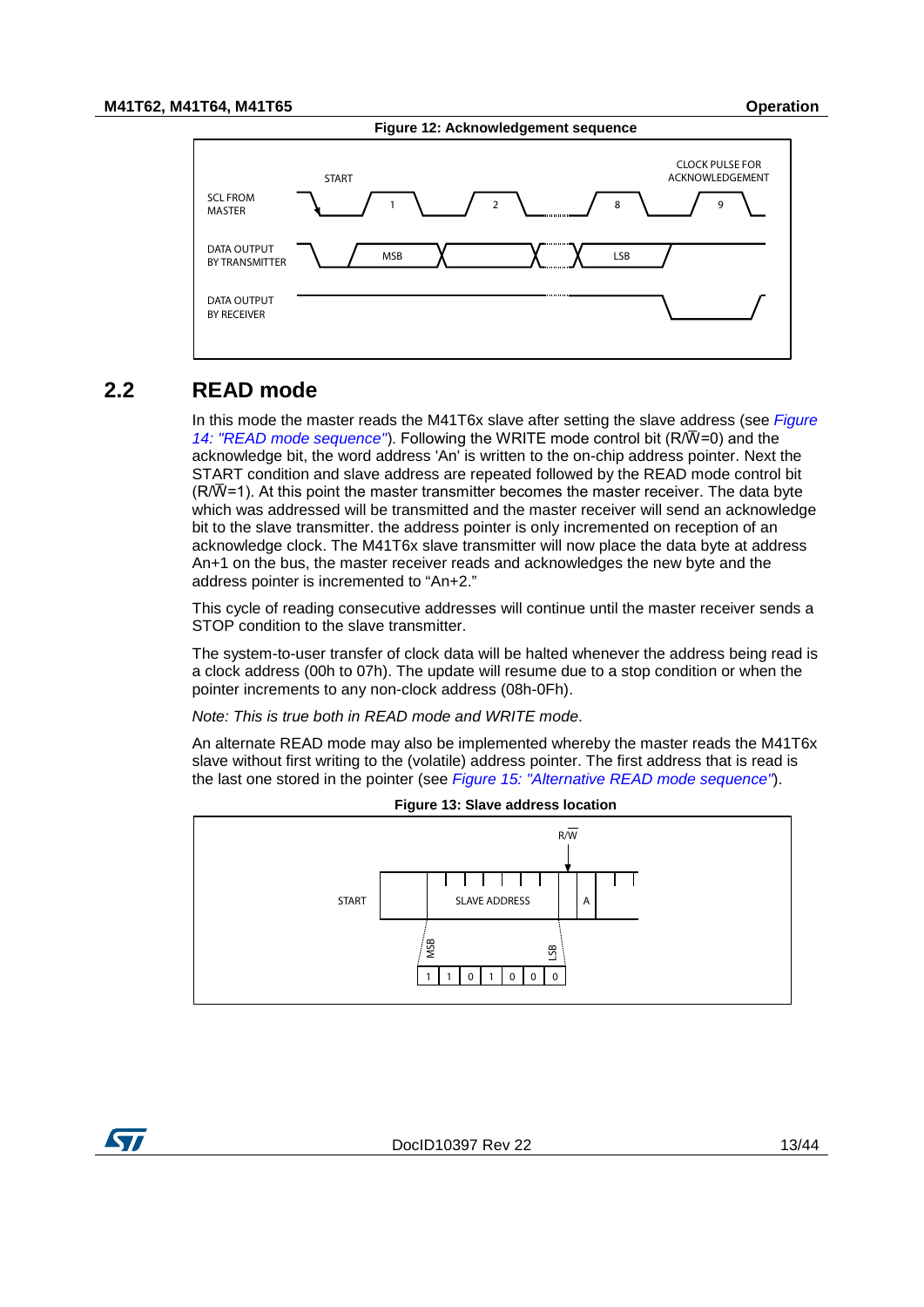<span id="page-12-1"></span>

### **2.2 READ mode**

<span id="page-12-0"></span>In this mode the master reads the M41T6x slave after setting the slave address (see *[Figure](#page-13-1)*  [14: "READ mode sequence"](#page-13-1)). Following the WRITE mode control bit (R/ $\overline{W}$ =0) and the acknowledge bit, the word address 'An' is written to the on-chip address pointer. Next the START condition and slave address are repeated followed by the READ mode control bit  $(R/\bar{W}=1)$ . At this point the master transmitter becomes the master receiver. The data byte which was addressed will be transmitted and the master receiver will send an acknowledge bit to the slave transmitter. the address pointer is only incremented on reception of an acknowledge clock. The M41T6x slave transmitter will now place the data byte at address An+1 on the bus, the master receiver reads and acknowledges the new byte and the address pointer is incremented to "An+2."

This cycle of reading consecutive addresses will continue until the master receiver sends a STOP condition to the slave transmitter.

The system-to-user transfer of clock data will be halted whenever the address being read is a clock address (00h to 07h). The update will resume due to a stop condition or when the pointer increments to any non-clock address (08h-0Fh).

*Note: This is true both in READ mode and WRITE mode*.

An alternate READ mode may also be implemented whereby the master reads the M41T6x slave without first writing to the (volatile) address pointer. The first address that is read is the last one stored in the pointer (see *[Figure 15: "Alternative READ mode sequence"](#page-13-2)*).

<span id="page-12-2"></span>



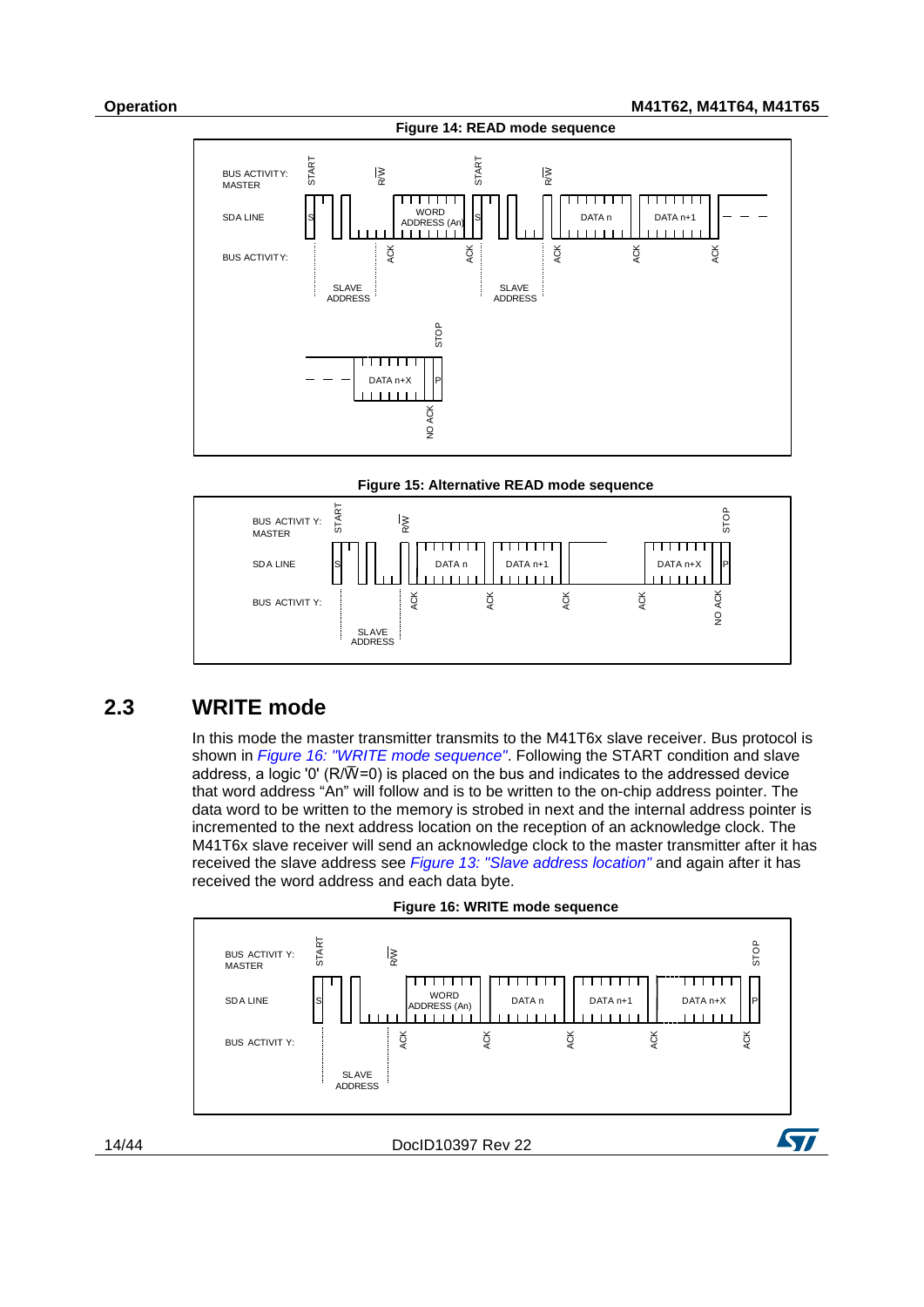**Operation M41T62, M41T64, M41T65**

<span id="page-13-1"></span>



<span id="page-13-2"></span>

### **2.3 WRITE mode**

<span id="page-13-0"></span>In this mode the master transmitter transmits to the M41T6x slave receiver. Bus protocol is shown in *[Figure 16: "WRITE mode sequence"](#page-13-3)*. Following the START condition and slave address, a logic '0' (R/ $\overline{W}$ =0) is placed on the bus and indicates to the addressed device that word address "An" will follow and is to be written to the on-chip address pointer. The data word to be written to the memory is strobed in next and the internal address pointer is incremented to the next address location on the reception of an acknowledge clock. The M41T6x slave receiver will send an acknowledge clock to the master transmitter after it has received the slave address see *[Figure 13: "Slave address location"](#page-12-2)* and again after it has received the word address and each data byte.

<span id="page-13-3"></span>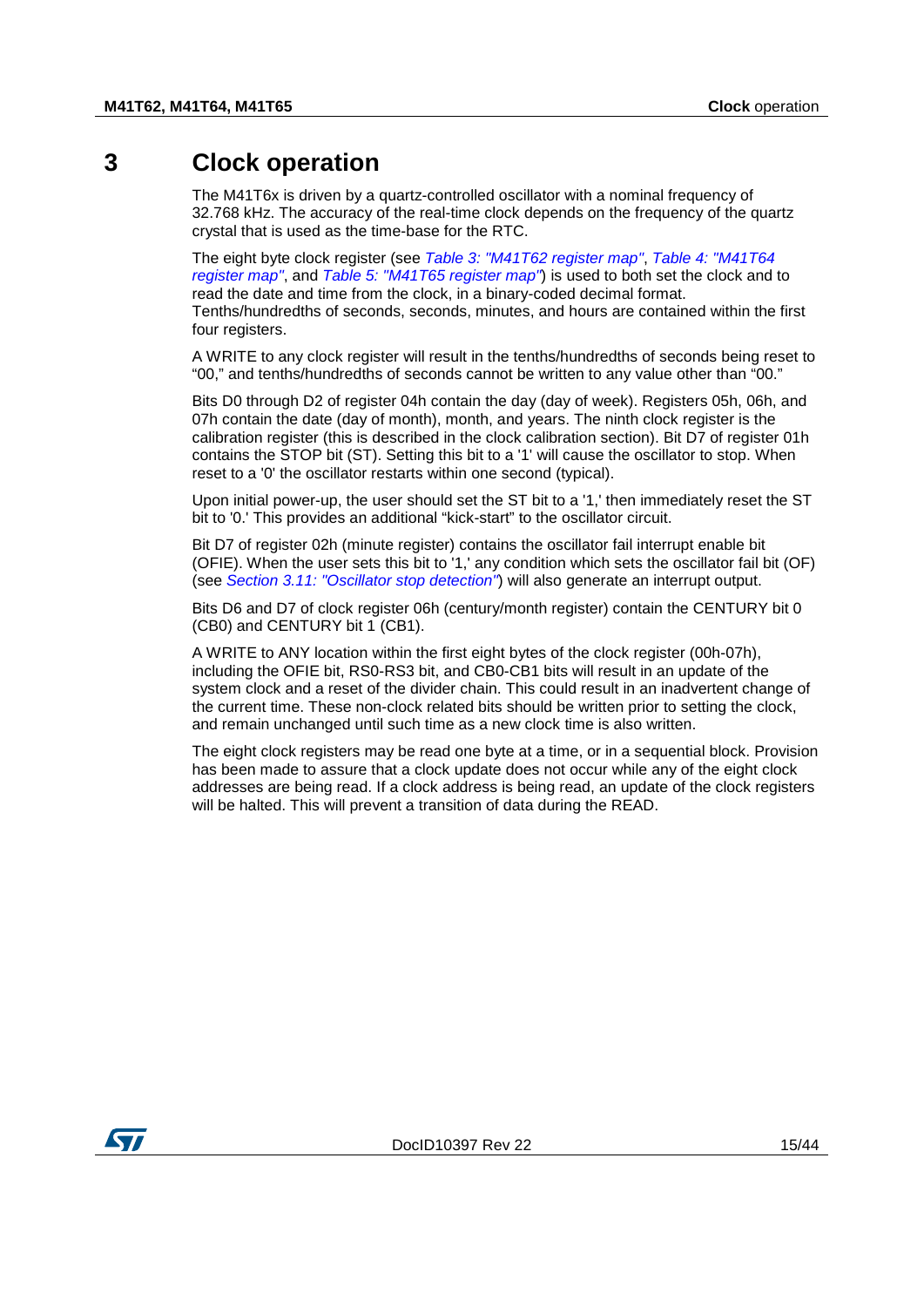## **3 Clock operation**

<span id="page-14-0"></span>The M41T6x is driven by a quartz-controlled oscillator with a nominal frequency of 32.768 kHz. The accuracy of the real-time clock depends on the frequency of the quartz crystal that is used as the time-base for the RTC.

The eight byte clock register (see *[Table 3: "M41T62 register map"](#page-16-0)*, *[Table 4: "M41T64](#page-18-0)  [register map"](#page-18-0)*, and *[Table 5: "M41T65 register map"](#page-19-0)*) is used to both set the clock and to read the date and time from the clock, in a binary-coded decimal format. Tenths/hundredths of seconds, seconds, minutes, and hours are contained within the first four registers.

A WRITE to any clock register will result in the tenths/hundredths of seconds being reset to "00," and tenths/hundredths of seconds cannot be written to any value other than "00."

Bits D0 through D2 of register 04h contain the day (day of week). Registers 05h, 06h, and 07h contain the date (day of month), month, and years. The ninth clock register is the calibration register (this is described in the clock calibration section). Bit D7 of register 01h contains the STOP bit (ST). Setting this bit to a '1' will cause the oscillator to stop. When reset to a '0' the oscillator restarts within one second (typical).

Upon initial power-up, the user should set the ST bit to a '1,' then immediately reset the ST bit to '0.' This provides an additional "kick-start" to the oscillator circuit.

Bit D7 of register 02h (minute register) contains the oscillator fail interrupt enable bit (OFIE). When the user sets this bit to '1,' any condition which sets the oscillator fail bit (OF) (see *[Section 3.11: "Oscillator stop detection"](#page-26-1)*) will also generate an interrupt output.

Bits D6 and D7 of clock register 06h (century/month register) contain the CENTURY bit 0 (CB0) and CENTURY bit 1 (CB1).

A WRITE to ANY location within the first eight bytes of the clock register (00h-07h), including the OFIE bit, RS0-RS3 bit, and CB0-CB1 bits will result in an update of the system clock and a reset of the divider chain. This could result in an inadvertent change of the current time. These non-clock related bits should be written prior to setting the clock, and remain unchanged until such time as a new clock time is also written.

The eight clock registers may be read one byte at a time, or in a sequential block. Provision has been made to assure that a clock update does not occur while any of the eight clock addresses are being read. If a clock address is being read, an update of the clock registers will be halted. This will prevent a transition of data during the READ.

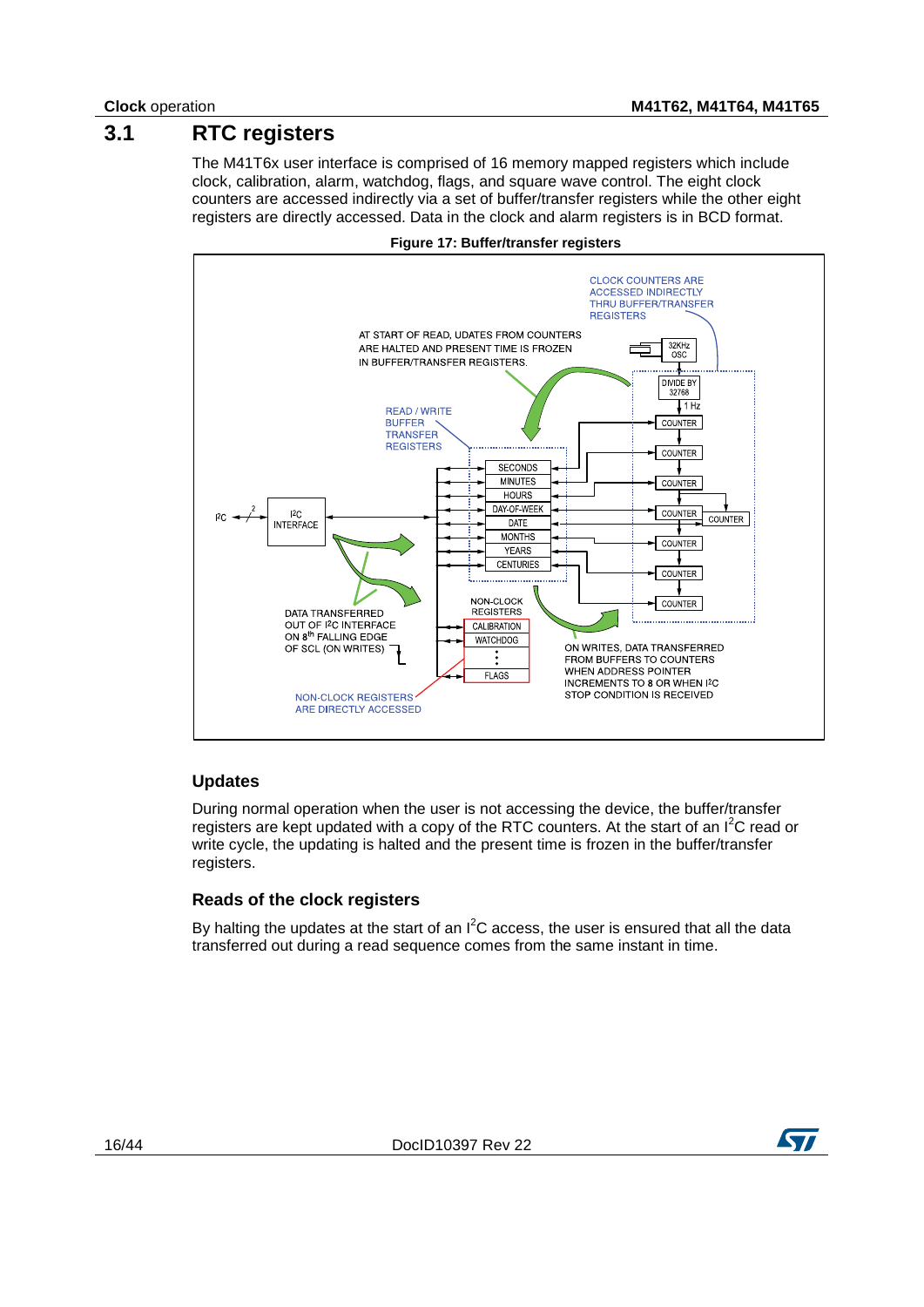## **3.1 RTC registers**

<span id="page-15-0"></span>The M41T6x user interface is comprised of 16 memory mapped registers which include clock, calibration, alarm, watchdog, flags, and square wave control. The eight clock counters are accessed indirectly via a set of buffer/transfer registers while the other eight registers are directly accessed. Data in the clock and alarm registers is in BCD format.

<span id="page-15-1"></span>



### **Updates**

During normal operation when the user is not accessing the device, the buffer/transfer registers are kept updated with a copy of the RTC counters. At the start of an  $I^2C$  read or write cycle, the updating is halted and the present time is frozen in the buffer/transfer registers.

### **Reads of the clock registers**

By halting the updates at the start of an  $I^2C$  access, the user is ensured that all the data transferred out during a read sequence comes from the same instant in time.

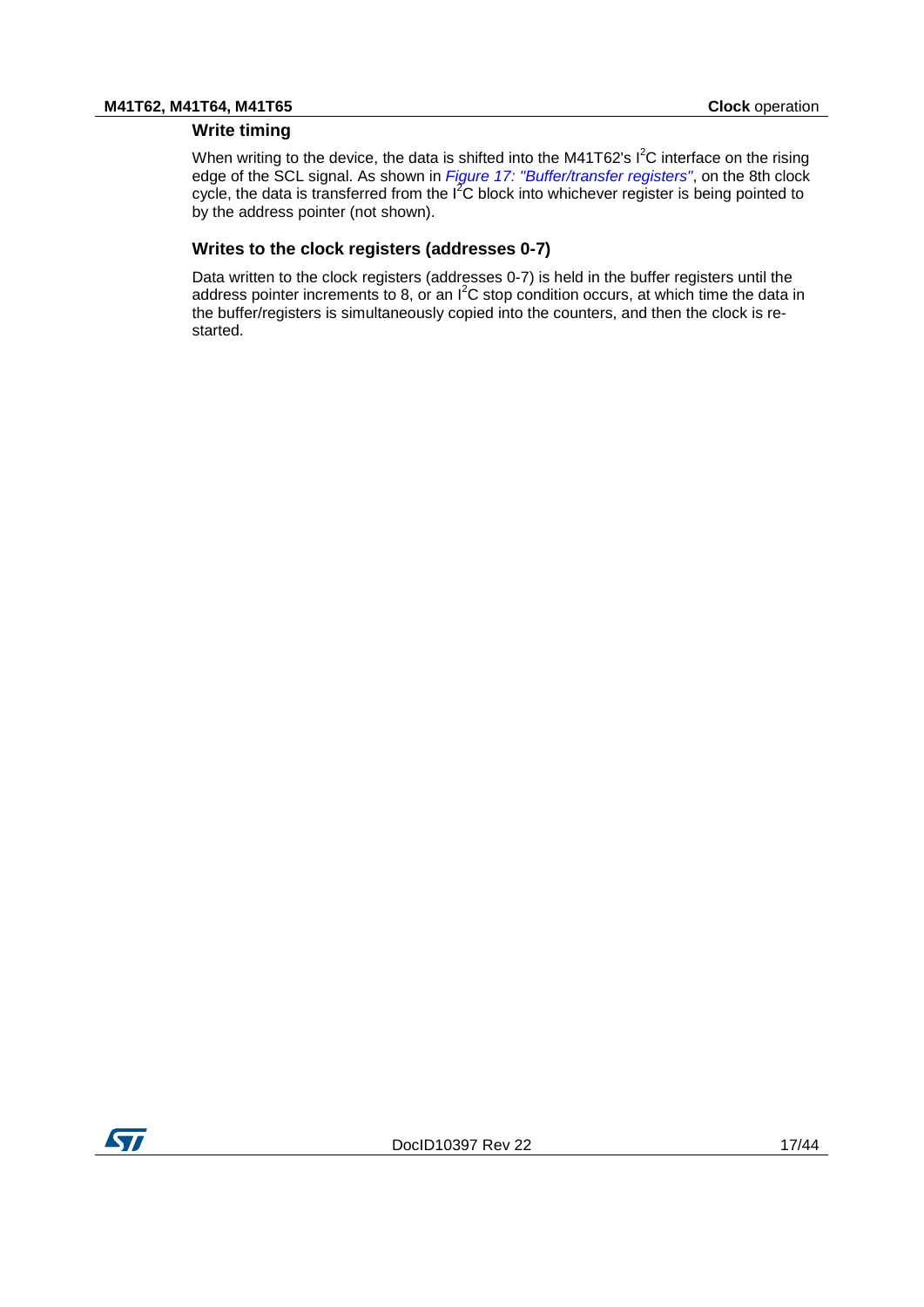### **Write timing**

When writing to the device, the data is shifted into the M41T62's  $I^2C$  interface on the rising edge of the SCL signal. As shown in *[Figure 17: "Buffer/transfer registers"](#page-15-1)*, on the 8th clock cycle, the data is transferred from the  $I^2C$  block into whichever register is being pointed to by the address pointer (not shown).

### **Writes to the clock registers (addresses 0-7)**

<span id="page-16-0"></span>Data written to the clock registers (addresses 0-7) is held in the buffer registers until the address pointer increments to 8, or an  $I^2C$  stop condition occurs, at which time the data in the buffer/registers is simultaneously copied into the counters, and then the clock is restarted.

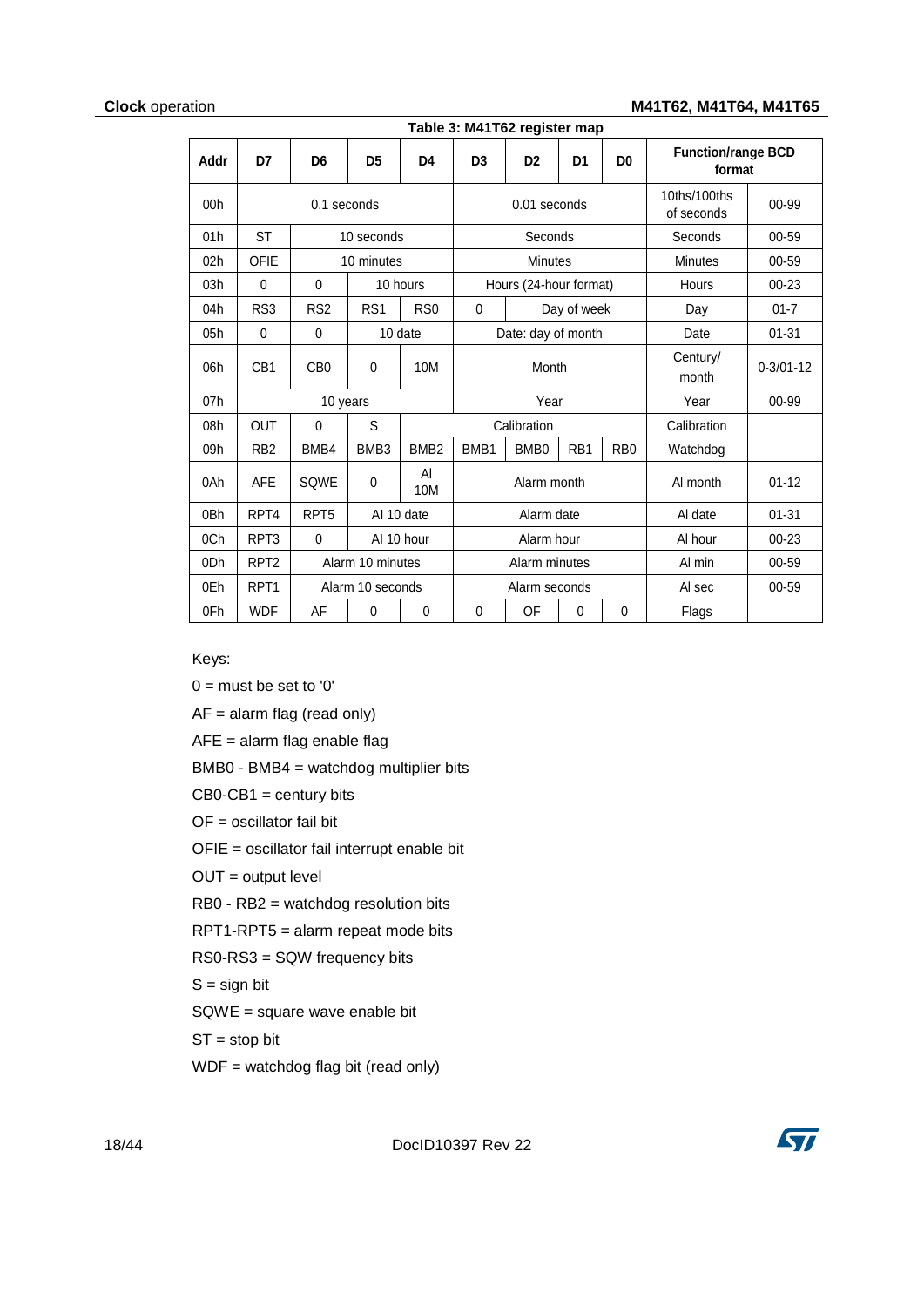### **Clock** operation **M41T62, M41T64, M41T65**

<span id="page-17-0"></span>

| Table 3: M41T62 register map |                  |                  |                  |                  |                  |                        |                            |                   |                                     |           |
|------------------------------|------------------|------------------|------------------|------------------|------------------|------------------------|----------------------------|-------------------|-------------------------------------|-----------|
| Addr                         | D7               | D <sub>6</sub>   | D <sub>5</sub>   | D <sub>4</sub>   | D <sub>3</sub>   | D <sub>2</sub>         | D <sub>1</sub>             | D <sub>0</sub>    | <b>Function/range BCD</b><br>format |           |
| 00 <sub>h</sub>              | 0.1 seconds      |                  |                  |                  | $0.01$ seconds   |                        | 10ths/100ths<br>of seconds | 00-99             |                                     |           |
| 01h                          | <b>ST</b>        |                  | 10 seconds       |                  |                  | Seconds                |                            |                   | Seconds                             | $00 - 59$ |
| 02h                          | <b>OFIE</b>      |                  | 10 minutes       |                  |                  | <b>Minutes</b>         |                            |                   | <b>Minutes</b>                      | 00-59     |
| 03h                          | 0                | 0                |                  | 10 hours         |                  | Hours (24-hour format) |                            |                   | Hours                               | $00 - 23$ |
| 04h                          | RS3              | RS <sub>2</sub>  | RS <sub>1</sub>  | R <sub>S0</sub>  | $\Omega$         |                        | Day of week                |                   | Day                                 | $01 - 7$  |
| 05h                          | 0                | $\Omega$         |                  | 10 date          |                  | Date: day of month     |                            |                   | Date                                | $01 - 31$ |
| 06h                          | CB <sub>1</sub>  | C <sub>B</sub> 0 | $\mathbf{0}$     | 10M              |                  | Month                  |                            | Century/<br>month | $0 - 3/01 - 12$                     |           |
| 07h                          |                  | 10 years         |                  |                  |                  | Year                   |                            |                   | Year                                | 00-99     |
| 08h                          | <b>OUT</b>       | 0                | S                |                  |                  | Calibration            |                            |                   | Calibration                         |           |
| 09h                          | RB <sub>2</sub>  | BMB4             | BMB <sub>3</sub> | BMB <sub>2</sub> | BMB <sub>1</sub> | BMB <sub>0</sub>       | RB <sub>1</sub>            | R <sub>B</sub> 0  | Watchdog                            |           |
| 0Ah                          | <b>AFE</b>       | SQWE             | 0                | AI<br>10M        | Alarm month      |                        |                            | Al month          | $01 - 12$                           |           |
| 0Bh                          | RPT4             | RPT <sub>5</sub> |                  | AI 10 date       |                  | Alarm date             |                            | Al date           | $01 - 31$                           |           |
| 0Ch                          | RPT3             | $\mathbf 0$      |                  | AI 10 hour       |                  | Alarm hour             |                            | Al hour           | $00 - 23$                           |           |
| 0 <sub>Dh</sub>              | RPT <sub>2</sub> |                  | Alarm 10 minutes |                  |                  | Alarm minutes          |                            | Al min            | 00-59                               |           |
| 0Eh                          | RPT <sub>1</sub> |                  | Alarm 10 seconds |                  |                  | Alarm seconds          |                            |                   | Al sec                              | 00-59     |
| 0Fh                          | <b>WDF</b>       | AF               | 0                | $\mathbf{0}$     | 0                | OF                     | $\mathbf{0}$               | $\mathbf{0}$      | Flags                               |           |

Keys:

 $0 =$  must be set to '0'

AF = alarm flag (read only)

AFE = alarm flag enable flag

BMB0 - BMB4 = watchdog multiplier bits

 $CB0-CB1 =$  century bits

OF = oscillator fail bit

OFIE = oscillator fail interrupt enable bit

OUT = output level

RB0 - RB2 = watchdog resolution bits

RPT1-RPT5 = alarm repeat mode bits

RS0-RS3 = SQW frequency bits

 $S =$  sign bit

SQWE = square wave enable bit

 $ST = stop bit$ 

WDF = watchdog flag bit (read only)

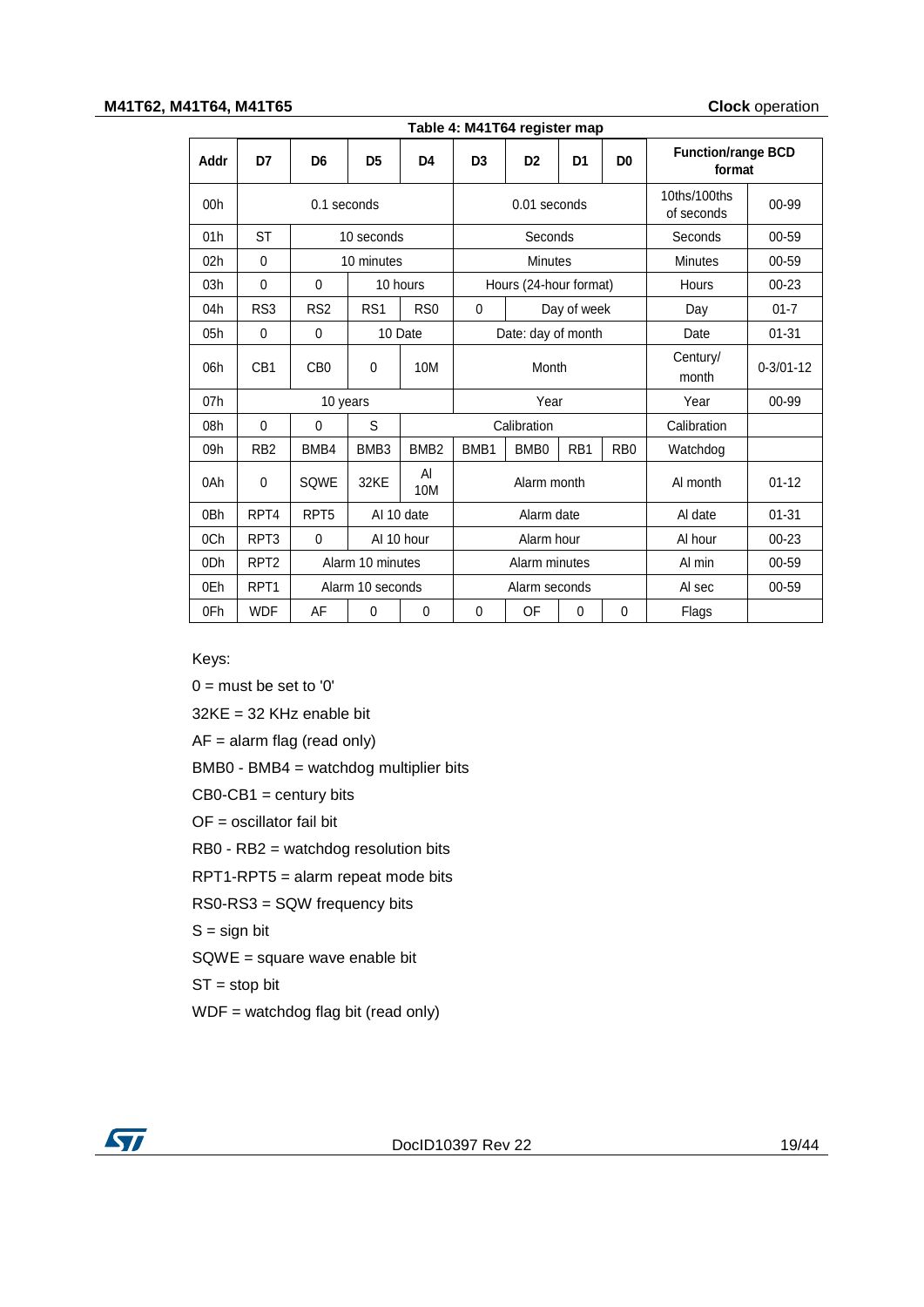#### **M41T62, M41T64, M41T65 Clock** operation

<span id="page-18-0"></span>

| Table 4: M41T64 register map |                  |                  |                  |                  |                |                                                                                           |                            |                  |                   |                 |
|------------------------------|------------------|------------------|------------------|------------------|----------------|-------------------------------------------------------------------------------------------|----------------------------|------------------|-------------------|-----------------|
| Addr                         | D7               | D <sub>6</sub>   | D <sub>5</sub>   | D <sub>4</sub>   | D <sub>3</sub> | <b>Function/range BCD</b><br>D <sub>2</sub><br>D <sub>0</sub><br>D <sub>1</sub><br>format |                            |                  |                   |                 |
| 00 <sub>h</sub>              | $0.1$ seconds    |                  |                  |                  | $0.01$ seconds |                                                                                           | 10ths/100ths<br>of seconds | 00-99            |                   |                 |
| 01h                          | <b>ST</b>        |                  | 10 seconds       |                  |                | Seconds                                                                                   |                            |                  | Seconds           | 00-59           |
| 02h                          | $\mathbf{0}$     |                  | 10 minutes       |                  |                | <b>Minutes</b>                                                                            |                            |                  | <b>Minutes</b>    | 00-59           |
| 03h                          | $\mathbf{0}$     | $\mathbf 0$      |                  | 10 hours         |                | Hours (24-hour format)                                                                    |                            |                  | <b>Hours</b>      | $00 - 23$       |
| 04h                          | RS3              | RS <sub>2</sub>  | RS <sub>1</sub>  | R <sub>S0</sub>  | $\Omega$       |                                                                                           | Day of week                |                  | Day               | $01 - 7$        |
| 05h                          | $\mathbf{0}$     | $\Omega$         |                  | 10 Date          |                | Date: day of month                                                                        |                            |                  | Date              | $01 - 31$       |
| 06h                          | CB <sub>1</sub>  | C <sub>B</sub> 0 | $\mathbf{0}$     | 10M              | Month          |                                                                                           |                            |                  | Century/<br>month | $0 - 3/01 - 12$ |
| 07h                          |                  | 10 years         |                  |                  |                | Year                                                                                      |                            |                  | Year              | 00-99           |
| 08h                          | $\mathbf{0}$     | 0                | S                |                  |                | Calibration                                                                               |                            |                  | Calibration       |                 |
| 09h                          | R <sub>B2</sub>  | BMB4             | BMB <sub>3</sub> | BMB <sub>2</sub> | BMB1           | BMB <sub>0</sub>                                                                          | RB <sub>1</sub>            | R <sub>B</sub> 0 | Watchdog          |                 |
| 0Ah                          | $\mathbf{0}$     | SQWE             | 32KE             | Al<br>10M        | Alarm month    |                                                                                           |                            | AI month         | $01 - 12$         |                 |
| 0 <sub>Bh</sub>              | RPT4             | RPT <sub>5</sub> |                  | AI 10 date       |                | Alarm date                                                                                |                            | Al date          | $01 - 31$         |                 |
| 0Ch                          | RPT <sub>3</sub> | $\mathbf 0$      | AI 10 hour       |                  |                | Alarm hour                                                                                |                            | Al hour          | $00 - 23$         |                 |
| 0 <sub>Dh</sub>              | RPT <sub>2</sub> |                  | Alarm 10 minutes |                  | Alarm minutes  |                                                                                           |                            |                  | Al min            | 00-59           |
| 0Eh                          | RPT <sub>1</sub> |                  | Alarm 10 seconds |                  | Alarm seconds  |                                                                                           |                            |                  | Al sec            | 00-59           |
| 0Fh                          | <b>WDF</b>       | AF               | $\mathbf{0}$     | 0                | $\Omega$       | OF                                                                                        | 0                          | $\Omega$         | Flags             |                 |

Keys:

 $0 =$  must be set to '0'

32KE = 32 KHz enable bit

AF = alarm flag (read only)

BMB0 - BMB4 = watchdog multiplier bits

 $CB0-CB1 =$  century bits

OF = oscillator fail bit

RB0 - RB2 = watchdog resolution bits

RPT1-RPT5 = alarm repeat mode bits

RS0-RS3 = SQW frequency bits

 $S =$  sign bit

SQWE = square wave enable bit

 $ST = stop bit$ 

WDF = watchdog flag bit (read only)

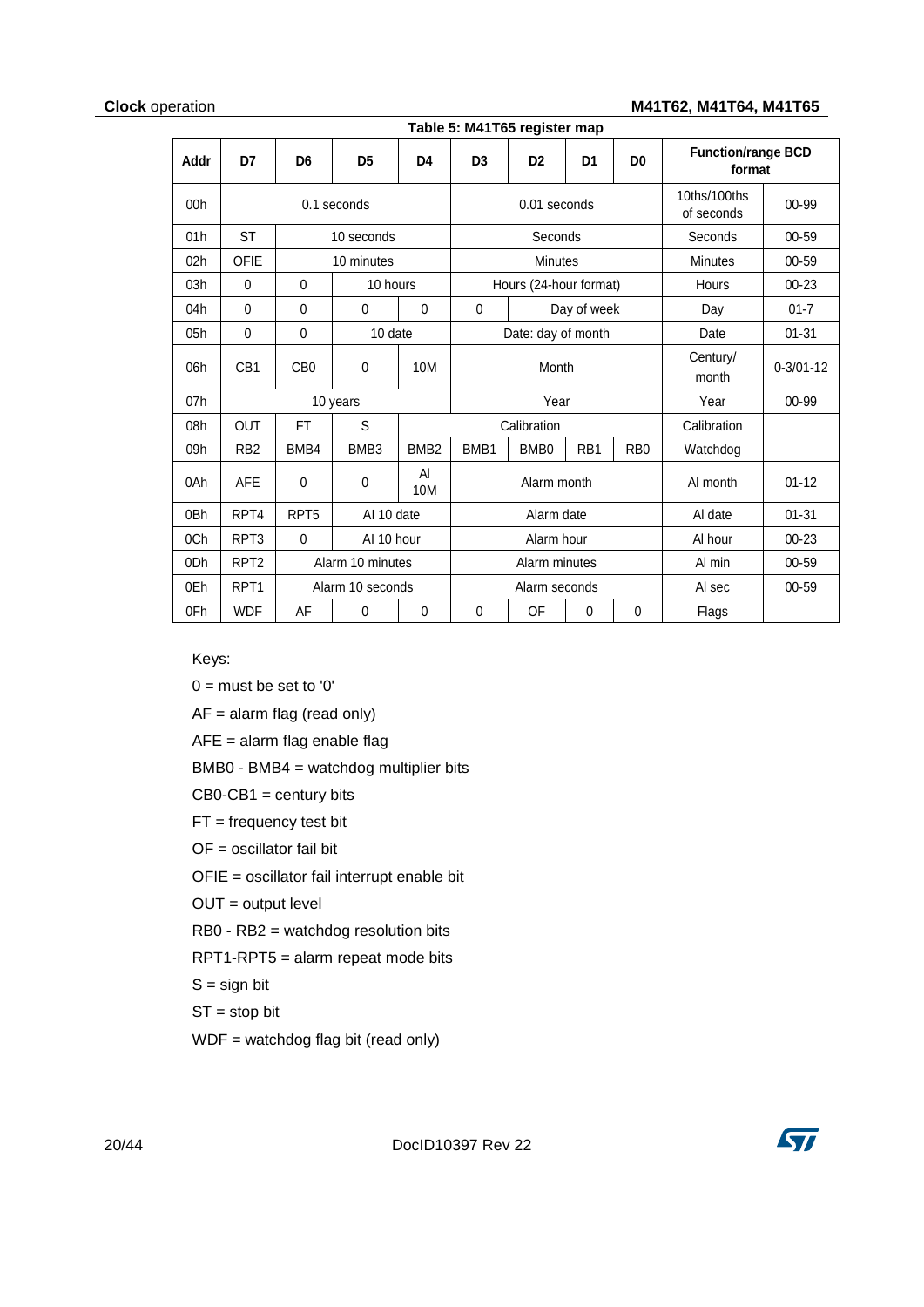#### **Clock** operation **M41T62, M41T64, M41T65**

<span id="page-19-0"></span>

|                 | Table 3. M41103 register map |                  |                  |                  |                  |                        |                 |                  |                                     |                 |  |
|-----------------|------------------------------|------------------|------------------|------------------|------------------|------------------------|-----------------|------------------|-------------------------------------|-----------------|--|
| <b>Addr</b>     | D7                           | D <sub>6</sub>   | D <sub>5</sub>   | D4               | D <sub>3</sub>   | D <sub>2</sub>         | D <sub>1</sub>  | D <sub>0</sub>   | <b>Function/range BCD</b><br>format |                 |  |
| 00h             | 0.1 seconds                  |                  |                  |                  |                  | 0.01 seconds           |                 |                  | 10ths/100ths<br>of seconds          | 00-99           |  |
| 01h             | <b>ST</b>                    |                  | 10 seconds       |                  |                  | Seconds                |                 |                  | Seconds                             | 00-59           |  |
| 02h             | <b>OFIE</b>                  |                  | 10 minutes       |                  |                  | <b>Minutes</b>         |                 |                  | <b>Minutes</b>                      | 00-59           |  |
| 03h             | $\mathbf 0$                  | $\mathbf 0$      | 10 hours         |                  |                  | Hours (24-hour format) |                 |                  | Hours                               | $00 - 23$       |  |
| 04h             | $\mathbf{0}$                 | $\mathbf{0}$     | $\Omega$         | $\mathbf 0$      | $\mathbf 0$      |                        | Day of week     |                  | Day                                 | $01 - 7$        |  |
| 05h             | $\mathbf{0}$                 | $\mathbf{0}$     | 10 date          |                  |                  | Date: day of month     |                 |                  | Date                                | $01 - 31$       |  |
| 06h             | CB <sub>1</sub>              | CB <sub>0</sub>  | 0                | 10M              | Month            |                        |                 |                  | Century/<br>month                   | $0 - 3/01 - 12$ |  |
| 07h             |                              |                  | 10 years         |                  |                  | Year                   |                 |                  | Year                                | 00-99           |  |
| 08h             | <b>OUT</b>                   | <b>FT</b>        | S                |                  |                  | Calibration            |                 |                  | Calibration                         |                 |  |
| 09h             | RB <sub>2</sub>              | BMB4             | BMB3             | BMB <sub>2</sub> | BMB <sub>1</sub> | BMB <sub>0</sub>       | RB <sub>1</sub> | R <sub>B</sub> 0 | Watchdog                            |                 |  |
| 0Ah             | <b>AFE</b>                   | $\mathbf 0$      | 0                | AI<br>10M        |                  | Alarm month            |                 |                  | AI month                            | $01 - 12$       |  |
| 0Bh             | RPT4                         | RPT <sub>5</sub> | AI 10 date       |                  |                  | Alarm date             |                 | Al date          | $01 - 31$                           |                 |  |
| 0Ch             | RPT3                         | 0                | AI 10 hour       |                  |                  | Alarm hour             |                 | Al hour          | $00 - 23$                           |                 |  |
| 0 <sub>Dh</sub> | RPT <sub>2</sub>             |                  | Alarm 10 minutes |                  | Alarm minutes    |                        |                 |                  | Al min                              | 00-59           |  |
| 0Eh             | RPT <sub>1</sub>             |                  | Alarm 10 seconds |                  |                  | Alarm seconds          |                 |                  | Al sec                              | 00-59           |  |
| 0Fh             | <b>WDF</b>                   | AF               | $\mathbf{0}$     | 0                | $\mathbf 0$      | OF                     | $\Omega$        | 0                | Flags                               |                 |  |

**Table 5: M41T65 register map**

Keys:

 $0 = must be set to '0'$ 

AF = alarm flag (read only)

AFE = alarm flag enable flag

BMB0 - BMB4 = watchdog multiplier bits

 $CB0-CB1 =$  century bits

FT = frequency test bit

OF = oscillator fail bit

OFIE = oscillator fail interrupt enable bit

OUT = output level

RB0 - RB2 = watchdog resolution bits

RPT1-RPT5 = alarm repeat mode bits

 $S =$  sign bit

 $ST = stop bit$ 

WDF = watchdog flag bit (read only)

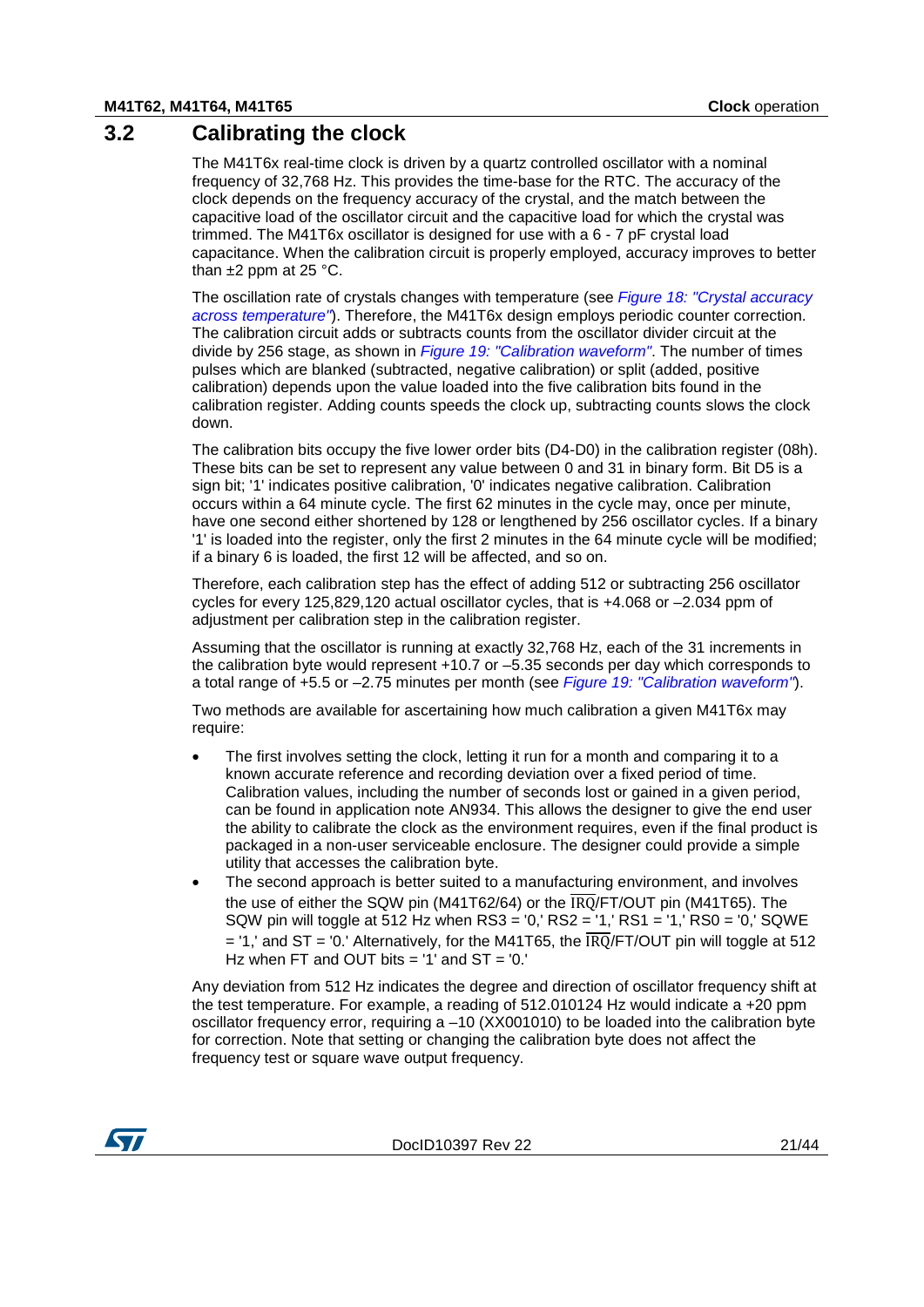### **3.2 Calibrating the clock**

<span id="page-20-0"></span>The M41T6x real-time clock is driven by a quartz controlled oscillator with a nominal frequency of 32,768 Hz. This provides the time-base for the RTC. The accuracy of the clock depends on the frequency accuracy of the crystal, and the match between the capacitive load of the oscillator circuit and the capacitive load for which the crystal was trimmed. The M41T6x oscillator is designed for use with a 6 - 7 pF crystal load capacitance. When the calibration circuit is properly employed, accuracy improves to better than  $\pm 2$  ppm at 25 °C.

The oscillation rate of crystals changes with temperature (see *[Figure 18: "Crystal accuracy](#page-21-0)  [across temperature"](#page-21-0)*). Therefore, the M41T6x design employs periodic counter correction. The calibration circuit adds or subtracts counts from the oscillator divider circuit at the divide by 256 stage, as shown in *[Figure 19: "Calibration waveform"](#page-21-1)*. The number of times pulses which are blanked (subtracted, negative calibration) or split (added, positive calibration) depends upon the value loaded into the five calibration bits found in the calibration register. Adding counts speeds the clock up, subtracting counts slows the clock down.

The calibration bits occupy the five lower order bits (D4-D0) in the calibration register (08h). These bits can be set to represent any value between 0 and 31 in binary form. Bit D5 is a sign bit; '1' indicates positive calibration, '0' indicates negative calibration. Calibration occurs within a 64 minute cycle. The first 62 minutes in the cycle may, once per minute, have one second either shortened by 128 or lengthened by 256 oscillator cycles. If a binary '1' is loaded into the register, only the first 2 minutes in the 64 minute cycle will be modified; if a binary 6 is loaded, the first 12 will be affected, and so on.

Therefore, each calibration step has the effect of adding 512 or subtracting 256 oscillator cycles for every 125,829,120 actual oscillator cycles, that is +4.068 or –2.034 ppm of adjustment per calibration step in the calibration register.

Assuming that the oscillator is running at exactly 32,768 Hz, each of the 31 increments in the calibration byte would represent +10.7 or –5.35 seconds per day which corresponds to a total range of +5.5 or –2.75 minutes per month (see *[Figure 19: "Calibration waveform"](#page-21-1)*).

Two methods are available for ascertaining how much calibration a given M41T6x may require:

- The first involves setting the clock, letting it run for a month and comparing it to a known accurate reference and recording deviation over a fixed period of time. Calibration values, including the number of seconds lost or gained in a given period, can be found in application note AN934. This allows the designer to give the end user the ability to calibrate the clock as the environment requires, even if the final product is packaged in a non-user serviceable enclosure. The designer could provide a simple utility that accesses the calibration byte.
- The second approach is better suited to a manufacturing environment, and involves the use of either the SQW pin (M41T62/64) or the  $\overline{1\text{RO}}$ /FT/OUT pin (M41T65). The SQW pin will toggle at 512 Hz when RS3 = '0,' RS2 = '1,' RS1 = '1,' RS0 = '0,' SQWE  $=$  '1,' and ST = '0,' Alternatively, for the M41T65, the  $\overline{RO}/F$ T/OUT pin will toggle at 512 Hz when FT and OUT bits =  $1'$  and ST =  $0.'$

Any deviation from 512 Hz indicates the degree and direction of oscillator frequency shift at the test temperature. For example, a reading of 512.010124 Hz would indicate a +20 ppm oscillator frequency error, requiring a –10 (XX001010) to be loaded into the calibration byte for correction. Note that setting or changing the calibration byte does not affect the frequency test or square wave output frequency.

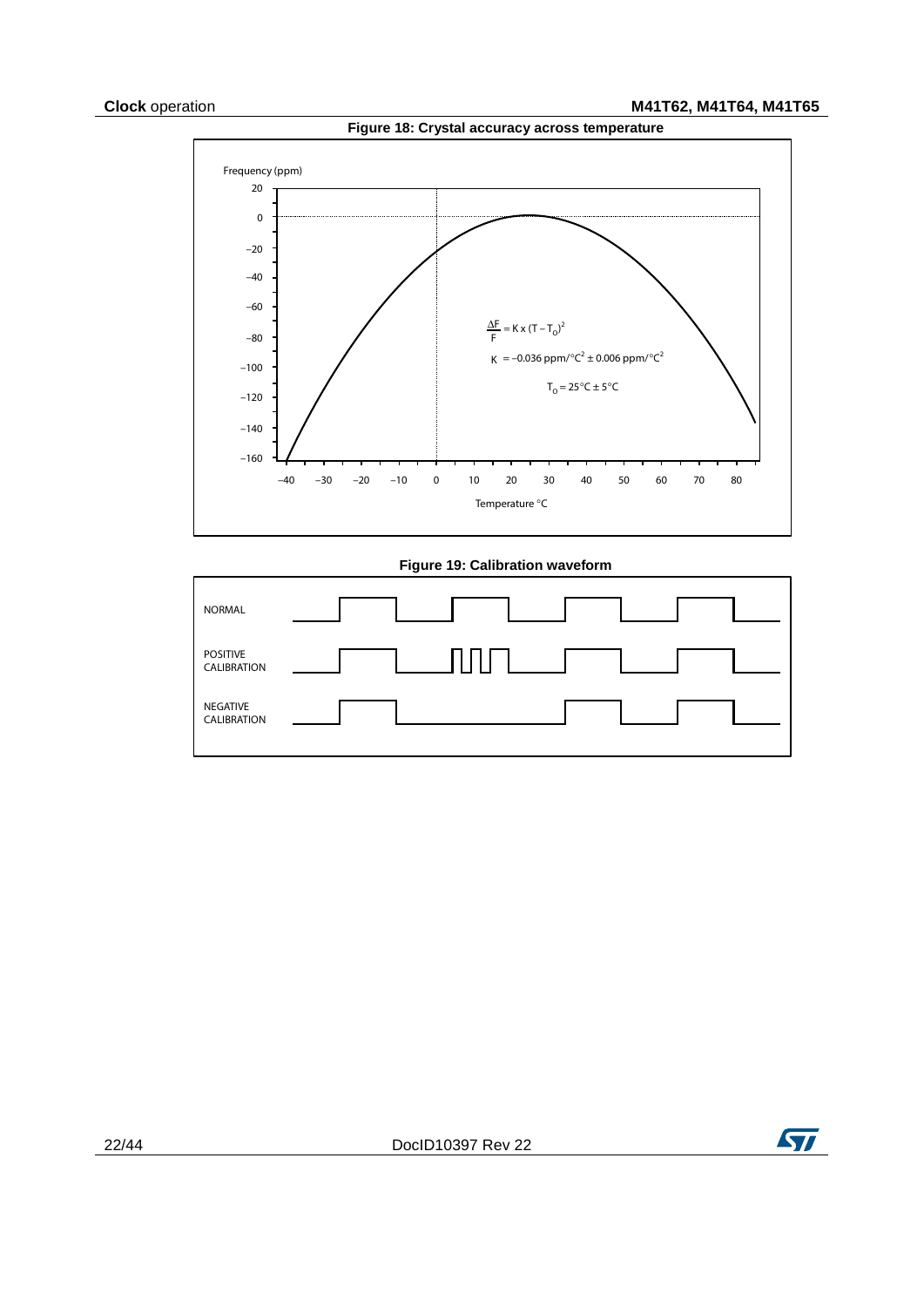<span id="page-21-0"></span>

**Figure 19: Calibration waveform**

<span id="page-21-1"></span>

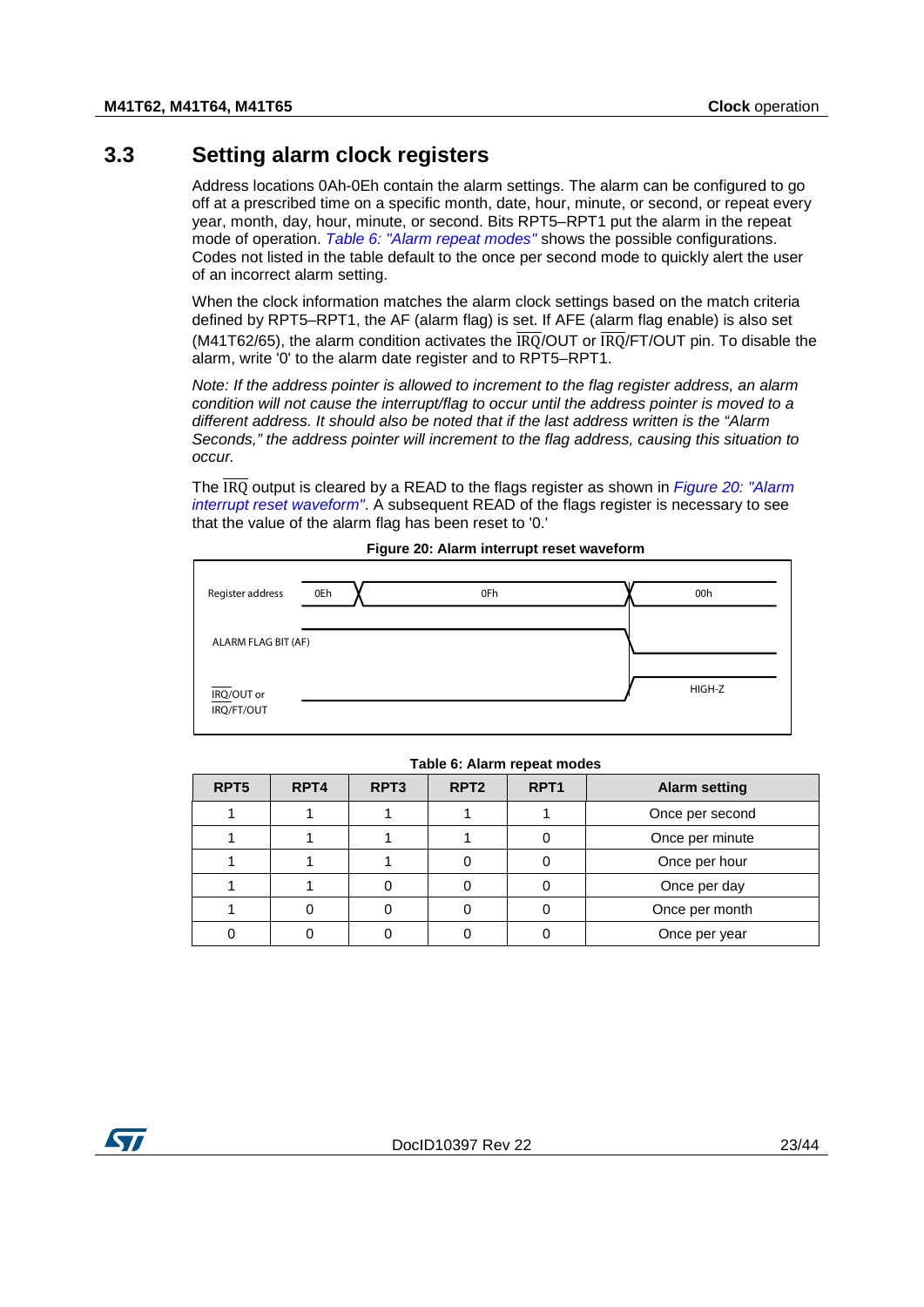### **3.3 Setting alarm clock registers**

<span id="page-22-0"></span>Address locations 0Ah-0Eh contain the alarm settings. The alarm can be configured to go off at a prescribed time on a specific month, date, hour, minute, or second, or repeat every year, month, day, hour, minute, or second. Bits RPT5–RPT1 put the alarm in the repeat mode of operation. *[Table 6: "Alarm repeat modes"](#page-22-1)* shows the possible configurations. Codes not listed in the table default to the once per second mode to quickly alert the user of an incorrect alarm setting.

When the clock information matches the alarm clock settings based on the match criteria defined by RPT5–RPT1, the AF (alarm flag) is set. If AFE (alarm flag enable) is also set (M41T62/65), the alarm condition activates the  $\overline{1RO}/OUT$  or  $\overline{1RO}/FT/OUT$  pin. To disable the alarm, write '0' to the alarm date register and to RPT5–RPT1.

*Note: If the address pointer is allowed to increment to the flag register address, an alarm condition will not cause the interrupt/flag to occur until the address pointer is moved to a different address. It should also be noted that if the last address written is the "Alarm Seconds," the address pointer will increment to the flag address, causing this situation to occur.*

The IRQ output is cleared by a READ to the flags register as shown in *[Figure 20: "Alarm](#page-22-2)  [interrupt reset waveform"](#page-22-2)*. A subsequent READ of the flags register is necessary to see that the value of the alarm flag has been reset to '0.'

<span id="page-22-2"></span>

| Register address         | 0Eh | 0Fh | 00h    |
|--------------------------|-----|-----|--------|
| ALARM FLAG BIT (AF)      |     |     |        |
| IRQ/OUT or<br>IRQ/FT/OUT |     |     | HIGH-Z |

#### **Figure 20: Alarm interrupt reset waveform**

<span id="page-22-1"></span>

| RPT <sub>5</sub> | RPT <sub>4</sub> | RPT <sub>3</sub> | RPT <sub>2</sub> | RPT <sub>1</sub> | <b>Alarm setting</b> |
|------------------|------------------|------------------|------------------|------------------|----------------------|
|                  |                  |                  |                  |                  | Once per second      |
|                  |                  |                  |                  |                  | Once per minute      |
|                  |                  |                  |                  |                  | Once per hour        |
|                  |                  |                  |                  |                  | Once per day         |
|                  |                  |                  |                  |                  | Once per month       |
|                  |                  |                  |                  |                  | Once per year        |

#### **Table 6: Alarm repeat modes**

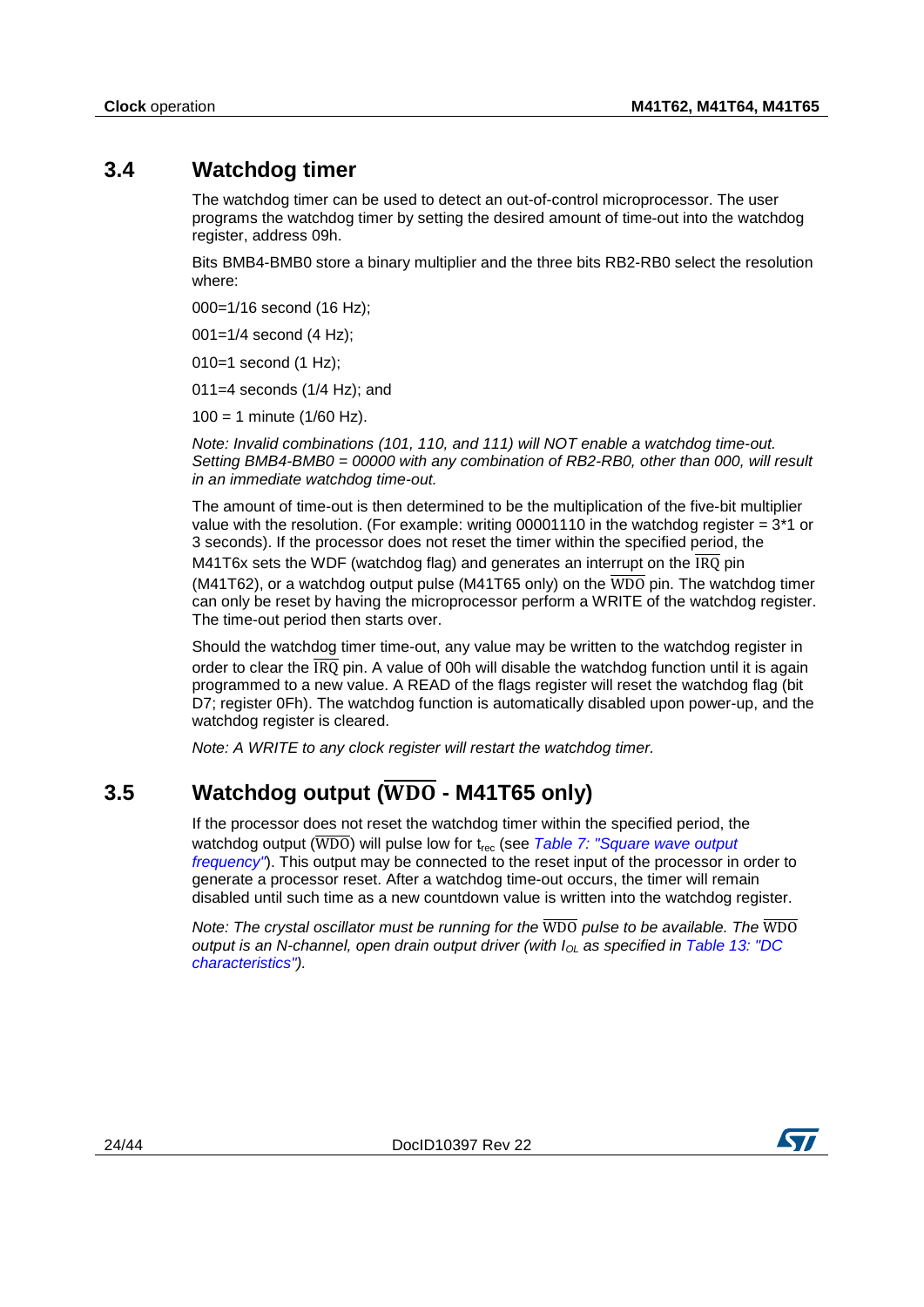### **3.4 Watchdog timer**

<span id="page-23-0"></span>The watchdog timer can be used to detect an out-of-control microprocessor. The user programs the watchdog timer by setting the desired amount of time-out into the watchdog register, address 09h.

Bits BMB4-BMB0 store a binary multiplier and the three bits RB2-RB0 select the resolution where:

000=1/16 second (16 Hz);

001=1/4 second (4 Hz);

010=1 second (1 Hz);

011=4 seconds (1/4 Hz); and

 $100 = 1$  minute (1/60 Hz).

*Note: Invalid combinations (101, 110, and 111) will NOT enable a watchdog time-out. Setting BMB4-BMB0 = 00000 with any combination of RB2-RB0, other than 000, will result in an immediate watchdog time-out.*

The amount of time-out is then determined to be the multiplication of the five-bit multiplier value with the resolution. (For example: writing 00001110 in the watchdog register  $= 3*1$  or 3 seconds). If the processor does not reset the timer within the specified period, the M41T6x sets the WDF (watchdog flag) and generates an interrupt on the  $\overline{IRQ}$  pin (M41T62), or a watchdog output pulse (M41T65 only) on the  $\overline{WDO}$  pin. The watchdog timer can only be reset by having the microprocessor perform a WRITE of the watchdog register. The time-out period then starts over.

Should the watchdog timer time-out, any value may be written to the watchdog register in order to clear the  $\overline{\text{IRQ}}$  pin. A value of 00h will disable the watchdog function until it is again programmed to a new value. A READ of the flags register will reset the watchdog flag (bit D7; register 0Fh). The watchdog function is automatically disabled upon power-up, and the watchdog register is cleared.

<span id="page-23-1"></span>*Note: A WRITE to any clock register will restart the watchdog timer.*

## **3.5 Watchdog output (** $\overline{WDO}$  **- M41T65 only)**

If the processor does not reset the watchdog timer within the specified period, the watchdog output ( $\overline{WDO}$ ) will pulse low for t<sub>rec</sub> (see *Table 7: "Square wave output [frequency"](#page-24-2)*). This output may be connected to the reset input of the processor in order to generate a processor reset. After a watchdog time-out occurs, the timer will remain disabled until such time as a new countdown value is written into the watchdog register.

*Note: The crystal oscillator must be running for the* WDO *pulse to be available. The* WDO *output is an N-channel, open drain output driver (with*  $I_{OL}$  *as specified in Table 13: "DC [characteristics"\)](#page-29-1).*

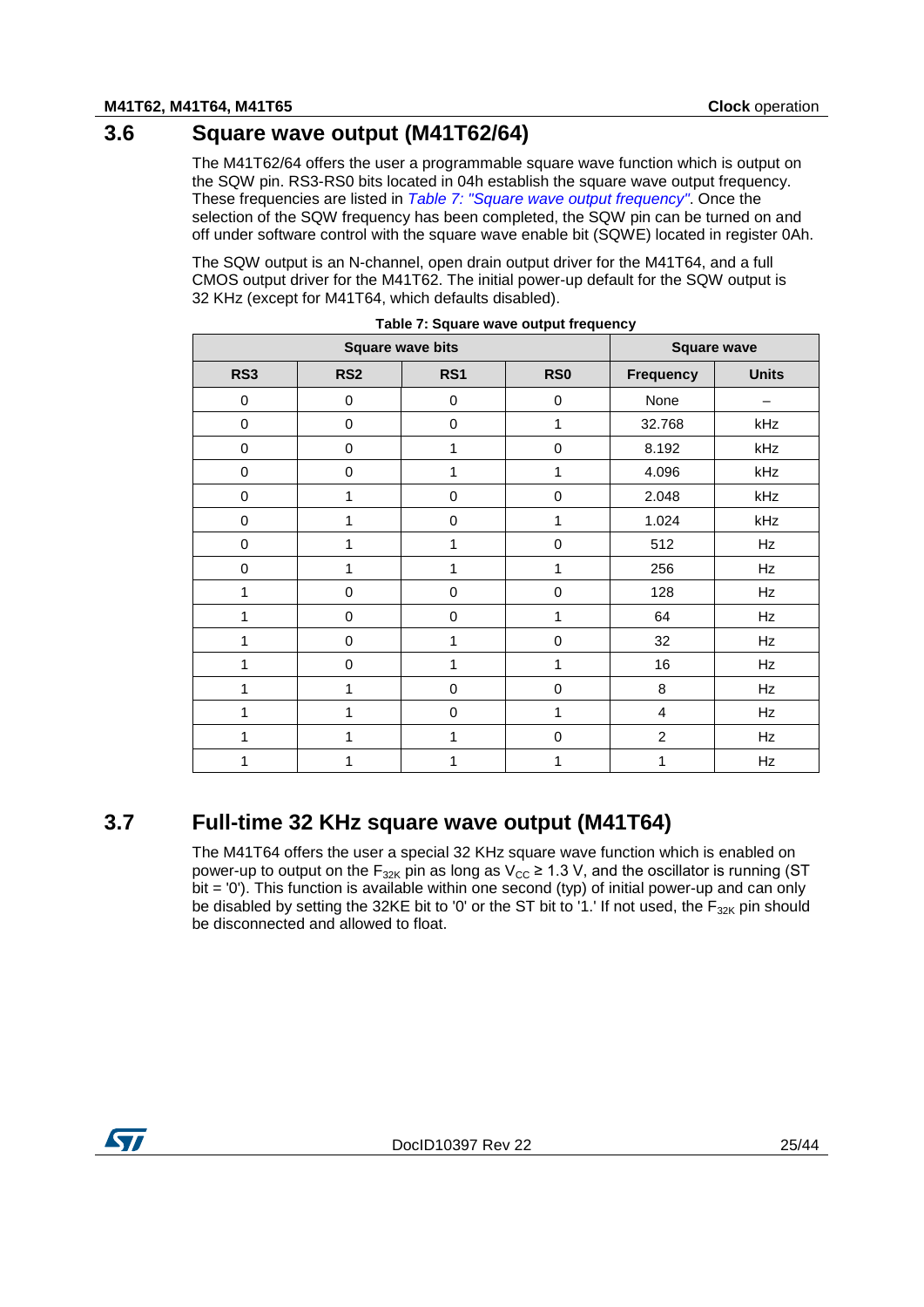# **3.6 Square wave output (M41T62/64)**

<span id="page-24-0"></span>The M41T62/64 offers the user a programmable square wave function which is output on the SQW pin. RS3-RS0 bits located in 04h establish the square wave output frequency. These frequencies are listed in *[Table 7: "Square wave output frequency"](#page-24-2)*. Once the selection of the SQW frequency has been completed, the SQW pin can be turned on and off under software control with the square wave enable bit (SQWE) located in register 0Ah.

The SQW output is an N-channel, open drain output driver for the M41T64, and a full CMOS output driver for the M41T62. The initial power-up default for the SQW output is 32 KHz (except for M41T64, which defaults disabled).

<span id="page-24-2"></span>

|             |                 | <b>Square wave bits</b> |                 |                  | <b>Square wave</b> |
|-------------|-----------------|-------------------------|-----------------|------------------|--------------------|
| RS3         | RS <sub>2</sub> | RS1                     | RS <sub>0</sub> | <b>Frequency</b> | <b>Units</b>       |
| $\pmb{0}$   | $\pmb{0}$       | $\mathbf 0$             | $\pmb{0}$       | None             |                    |
| $\pmb{0}$   | $\mathbf 0$     | $\mathbf 0$             | 1               | 32.768           | kHz                |
| $\,0\,$     | $\pmb{0}$       | 1                       | $\pmb{0}$       | 8.192            | kHz                |
| $\pmb{0}$   | $\pmb{0}$       | 1                       | 1               | 4.096            | kHz                |
| $\mathbf 0$ | 1               | $\mathbf 0$             | 0               | 2.048            | kHz                |
| $\pmb{0}$   | 1               | $\mathbf 0$             | 1               | 1.024            | kHz                |
| $\mathbf 0$ | 1               | $\mathbf{1}$            | $\pmb{0}$       | 512              | Hz                 |
| $\mathbf 0$ | 1               | 1                       | 1               | 256              | Hz                 |
| 1           | $\mathbf 0$     | $\mathbf 0$             | $\pmb{0}$       | 128              | Hz                 |
| 1           | $\mathbf 0$     | $\mathbf 0$             | 1               | 64               | Hz                 |
| 1           | $\mathbf 0$     | 1                       | $\pmb{0}$       | 32               | Hz                 |
| 1           | $\pmb{0}$       | 1                       | 1               | 16               | Hz                 |
| 1           | 1               | $\mathbf 0$             | $\pmb{0}$       | 8                | Hz                 |
| 1           | 1               | $\mathbf 0$             | 1               | 4                | Hz                 |
| 1           | 1               | 1                       | $\pmb{0}$       | $\overline{c}$   | Hz                 |
| 1           |                 | 1                       | 1               | 1                | Hz                 |

### **3.7 Full-time 32 KHz square wave output (M41T64)**

<span id="page-24-1"></span>The M41T64 offers the user a special 32 KHz square wave function which is enabled on power-up to output on the F<sub>32K</sub> pin as long as  $V_{CC} \ge 1.3$  V, and the oscillator is running (ST bit = '0'). This function is available within one second (typ) of initial power-up and can only be disabled by setting the 32KE bit to '0' or the ST bit to '1.' If not used, the  $F_{32K}$  pin should be disconnected and allowed to float.

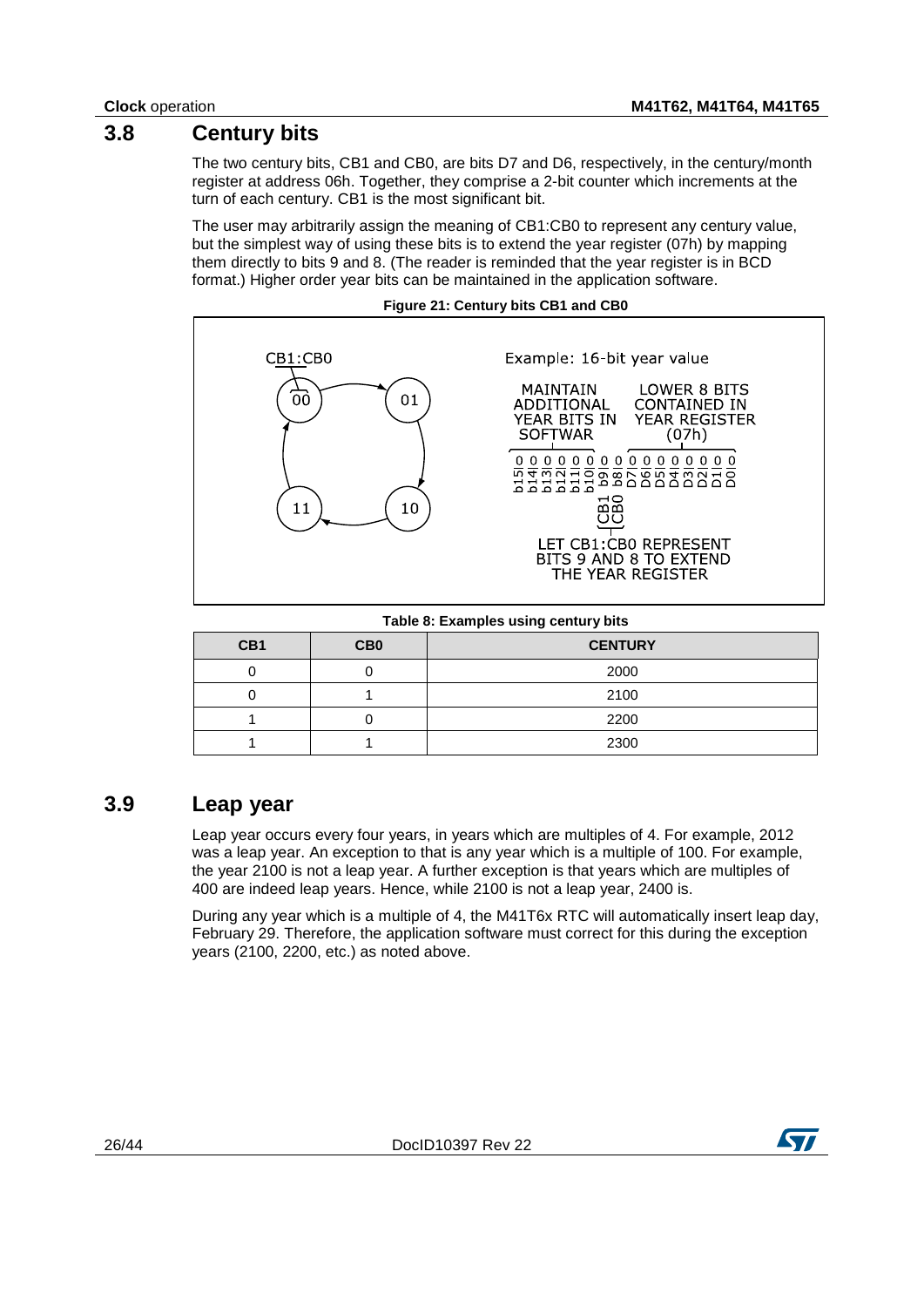### **3.8 Century bits**

<span id="page-25-0"></span>The two century bits, CB1 and CB0, are bits D7 and D6, respectively, in the century/month register at address 06h. Together, they comprise a 2-bit counter which increments at the turn of each century. CB1 is the most significant bit.

The user may arbitrarily assign the meaning of CB1:CB0 to represent any century value, but the simplest way of using these bits is to extend the year register (07h) by mapping them directly to bits 9 and 8. (The reader is reminded that the year register is in BCD format.) Higher order year bits can be maintained in the application software.

<span id="page-25-3"></span>

#### **Table 8: Examples using century bits**

<span id="page-25-2"></span>

| CB1 | CB <sub>0</sub> | <b>CENTURY</b> |
|-----|-----------------|----------------|
|     |                 | 2000           |
|     |                 | 2100           |
|     |                 | 2200           |
|     |                 | 2300           |

### **3.9 Leap year**

<span id="page-25-1"></span>Leap year occurs every four years, in years which are multiples of 4. For example, 2012 was a leap year. An exception to that is any year which is a multiple of 100. For example, the year 2100 is not a leap year. A further exception is that years which are multiples of 400 are indeed leap years. Hence, while 2100 is not a leap year, 2400 is.

During any year which is a multiple of 4, the M41T6x RTC will automatically insert leap day, February 29. Therefore, the application software must correct for this during the exception years (2100, 2200, etc.) as noted above.

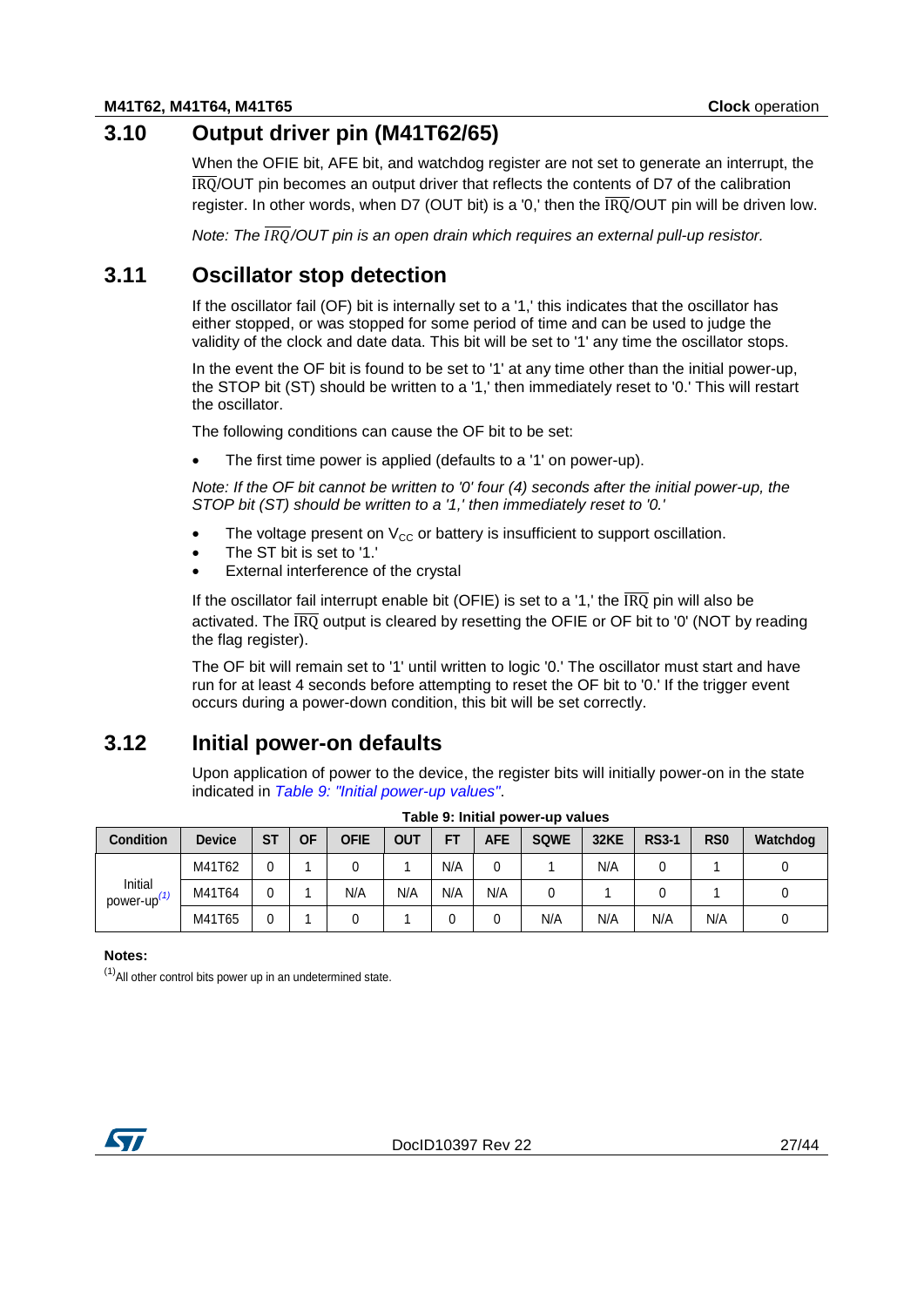# **3.10 Output driver pin (M41T62/65)**

<span id="page-26-0"></span>When the OFIE bit, AFE bit, and watchdog register are not set to generate an interrupt, the IRQ/OUT pin becomes an output driver that reflects the contents of D7 of the calibration register. In other words, when D7 (OUT bit) is a '0,' then the  $\overline{1RO}/$ OUT pin will be driven low.

<span id="page-26-1"></span>*Note: The /OUT pin is an open drain which requires an external pull-up resistor.*

### **3.11 Oscillator stop detection**

If the oscillator fail (OF) bit is internally set to a '1,' this indicates that the oscillator has either stopped, or was stopped for some period of time and can be used to judge the validity of the clock and date data. This bit will be set to '1' any time the oscillator stops.

In the event the OF bit is found to be set to '1' at any time other than the initial power-up, the STOP bit (ST) should be written to a '1,' then immediately reset to '0.' This will restart the oscillator.

The following conditions can cause the OF bit to be set:

The first time power is applied (defaults to a '1' on power-up).

*Note: If the OF bit cannot be written to '0' four (4) seconds after the initial power-up, the STOP bit (ST) should be written to a '1,' then immediately reset to '0.'*

- The voltage present on  $V_{CC}$  or battery is insufficient to support oscillation.
- The ST bit is set to '1.'
- External interference of the crystal

If the oscillator fail interrupt enable bit (OFIE) is set to a '1,' the  $\overline{\text{IRQ}}$  pin will also be activated. The  $\overline{IRO}$  output is cleared by resetting the OFIE or OF bit to '0' (NOT by reading the flag register).

The OF bit will remain set to '1' until written to logic '0.' The oscillator must start and have run for at least 4 seconds before attempting to reset the OF bit to '0.' If the trigger event occurs during a power-down condition, this bit will be set correctly.

### **3.12 Initial power-on defaults**

<span id="page-26-3"></span><span id="page-26-2"></span>Upon application of power to the device, the register bits will initially power-on in the state indicated in *[Table 9: "Initial power-up values"](#page-26-3)*.

| <b>Condition</b>     | <b>Device</b> | <b>ST</b> | <b>OF</b> | OFIE | OUT | FT  | <b>AFE</b> | <b>SQWE</b> | <b>32KE</b> | <b>RS3-1</b> | R <sub>S0</sub> | Watchdog |
|----------------------|---------------|-----------|-----------|------|-----|-----|------------|-------------|-------------|--------------|-----------------|----------|
|                      | M41T62        |           |           | U    |     | N/A |            |             | N/A         |              |                 |          |
| Initial<br>power-up' | M41T64        |           |           | N/A  | N/A | N/A | N/A        | u           |             |              |                 |          |
|                      | M41T65        |           |           | u    |     |     |            | N/A         | N/A         | N/A          | N/A             |          |

| Table 9: Initial power-up values |  |  |
|----------------------------------|--|--|
|----------------------------------|--|--|

**Notes:**

<span id="page-26-4"></span> $<sup>(1)</sup>$ All other control bits power up in an undetermined state.</sup>

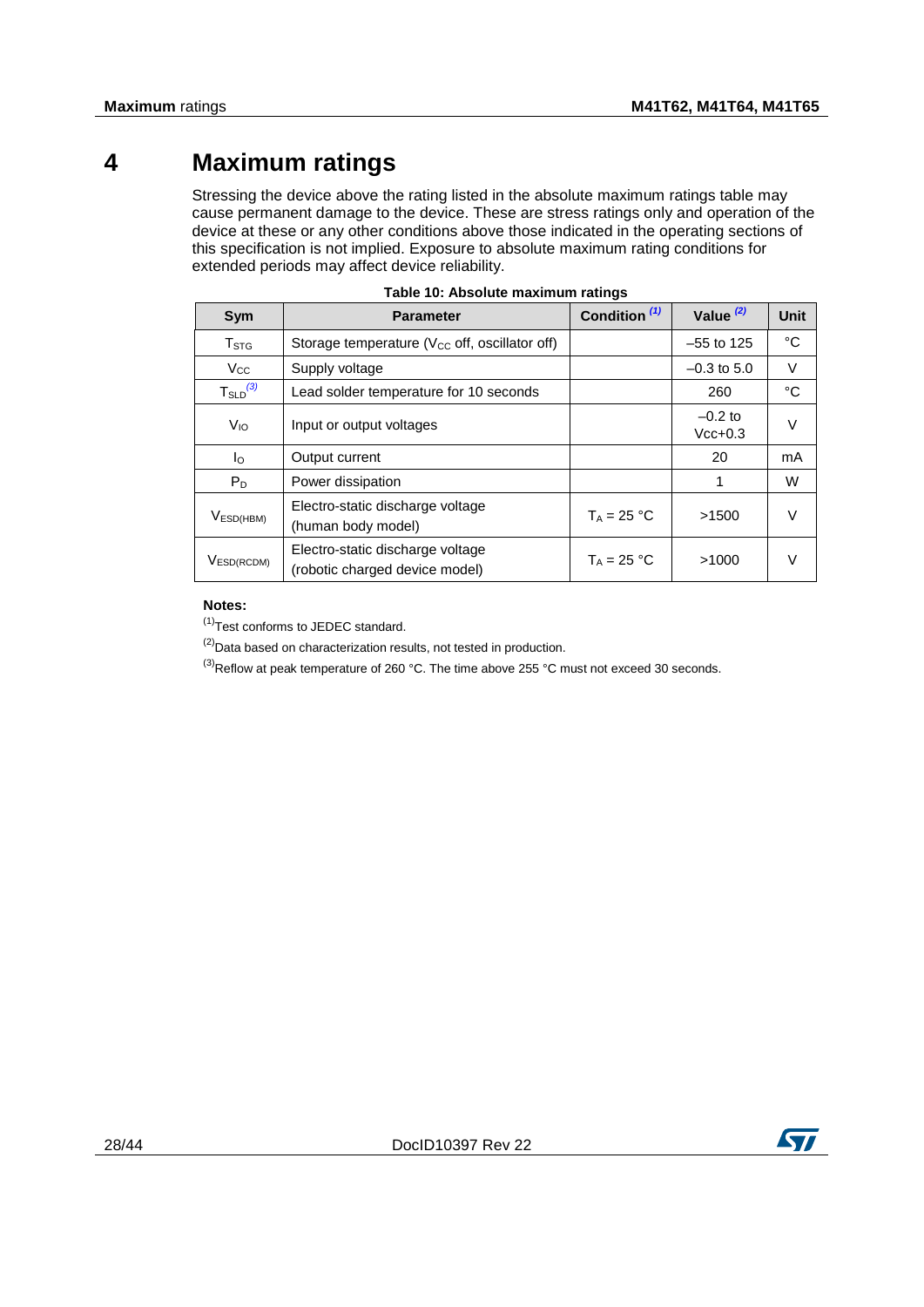# **4 Maximum ratings**

<span id="page-27-0"></span>Stressing the device above the rating listed in the absolute maximum ratings table may cause permanent damage to the device. These are stress ratings only and operation of the device at these or any other conditions above those indicated in the operating sections of this specification is not implied. Exposure to absolute maximum rating conditions for extended periods may affect device reliability.

<span id="page-27-1"></span>

| Sym                                 | <b>Parameter</b>                                                   | Condition <sup>(1)</sup> | Value $(2)$            | <b>Unit</b> |
|-------------------------------------|--------------------------------------------------------------------|--------------------------|------------------------|-------------|
| T <sub>STG</sub>                    | Storage temperature ( $V_{CC}$ off, oscillator off)                |                          | $-55$ to 125           | °C          |
| $V_{\rm CC}$                        | Supply voltage                                                     |                          | $-0.3$ to 5.0          | $\vee$      |
| $T_{\scriptstyle \text{SLD}}^{(3)}$ | Lead solder temperature for 10 seconds                             |                          | 260                    | $^{\circ}C$ |
| V <sub>IO</sub>                     | Input or output voltages                                           |                          | $-0.2$ to<br>$Vcc+0.3$ | V           |
| $I_{\rm O}$                         | Output current                                                     |                          | 20                     | mA          |
| $P_D$                               | Power dissipation                                                  |                          | 1                      | W           |
| V <sub>ESD(HBM)</sub>               | Electro-static discharge voltage<br>(human body model)             | $T_A = 25 °C$            | >1500                  | $\vee$      |
| VESD(RCDM)                          | Electro-static discharge voltage<br>(robotic charged device model) | $T_A = 25 °C$            | >1000                  |             |

| Table 10: Absolute maximum ratings |  |  |  |  |
|------------------------------------|--|--|--|--|
|------------------------------------|--|--|--|--|

#### **Notes:**

<span id="page-27-2"></span><sup>(1)</sup>Test conforms to JEDEC standard.

<span id="page-27-3"></span> $^{(2)}$ Data based on characterization results, not tested in production.

<span id="page-27-4"></span> $^{(3)}$ Reflow at peak temperature of 260 °C. The time above 255 °C must not exceed 30 seconds.

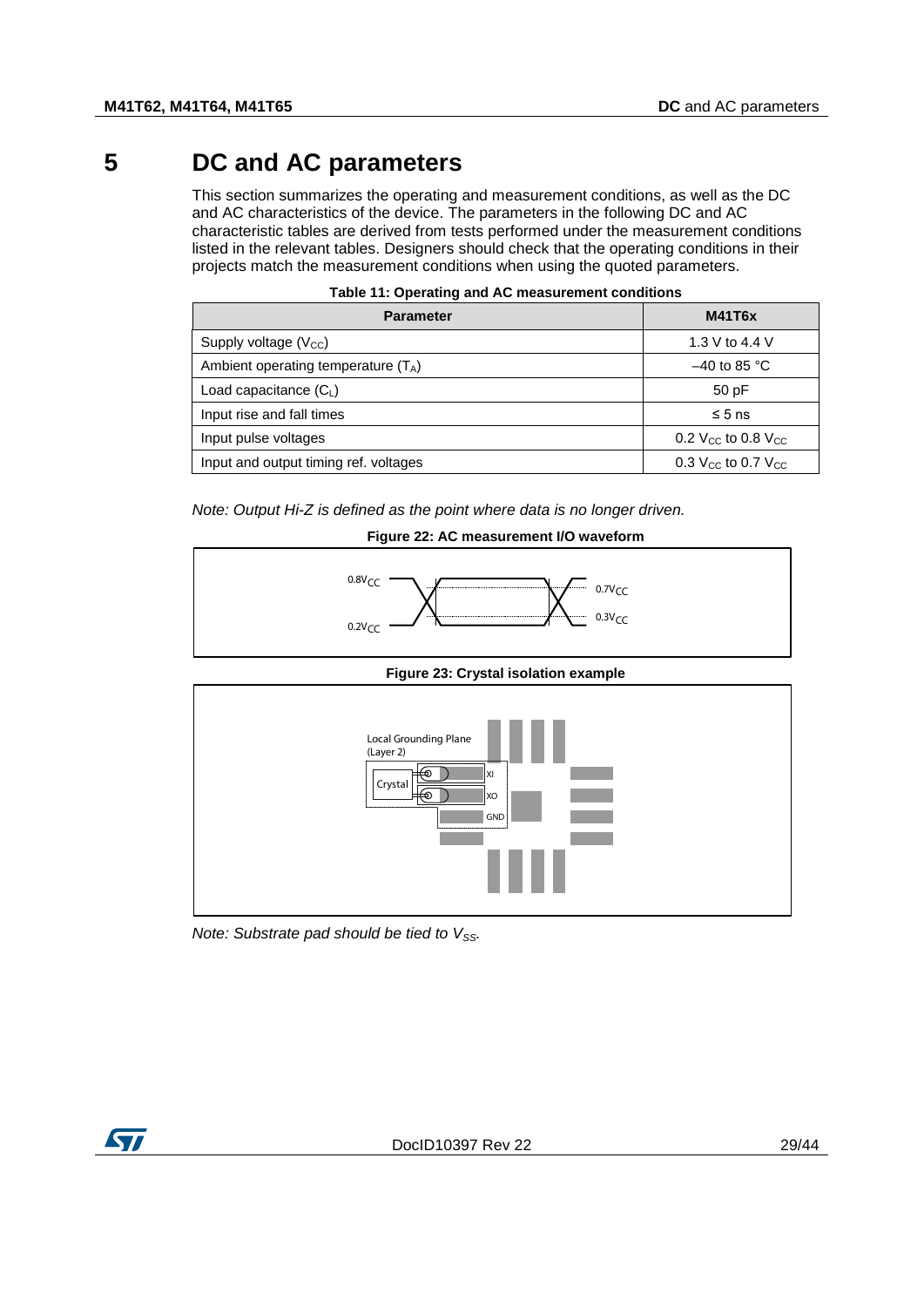# **5 DC and AC parameters**

<span id="page-28-0"></span>This section summarizes the operating and measurement conditions, as well as the DC and AC characteristics of the device. The parameters in the following DC and AC characteristic tables are derived from tests performed under the measurement conditions listed in the relevant tables. Designers should check that the operating conditions in their projects match the measurement conditions when using the quoted parameters.

<span id="page-28-1"></span>

| <b>Parameter</b>                      | <b>M41T6x</b>                        |
|---------------------------------------|--------------------------------------|
| Supply voltage $(V_{CC})$             | 1.3 V to 4.4 V                       |
| Ambient operating temperature $(T_A)$ | $-40$ to 85 °C                       |
| Load capacitance $(C_L)$              | 50pF                                 |
| Input rise and fall times             | $\leq 5$ ns                          |
| Input pulse voltages                  | 0.2 $V_{CC}$ to 0.8 $V_{CC}$         |
| Input and output timing ref. voltages | 0.3 $V_{\rm CC}$ to 0.7 $V_{\rm CC}$ |

| Table 11: Operating and AC measurement conditions |  |
|---------------------------------------------------|--|
|---------------------------------------------------|--|

<span id="page-28-2"></span>*Note: Output Hi-Z is defined as the point where data is no longer driven.*

### **Figure 22: AC measurement I/O waveform**



#### **Figure 23: Crystal isolation example**

<span id="page-28-3"></span>

*Note: Substrate pad should be tied to V<sub>SS</sub>.* 

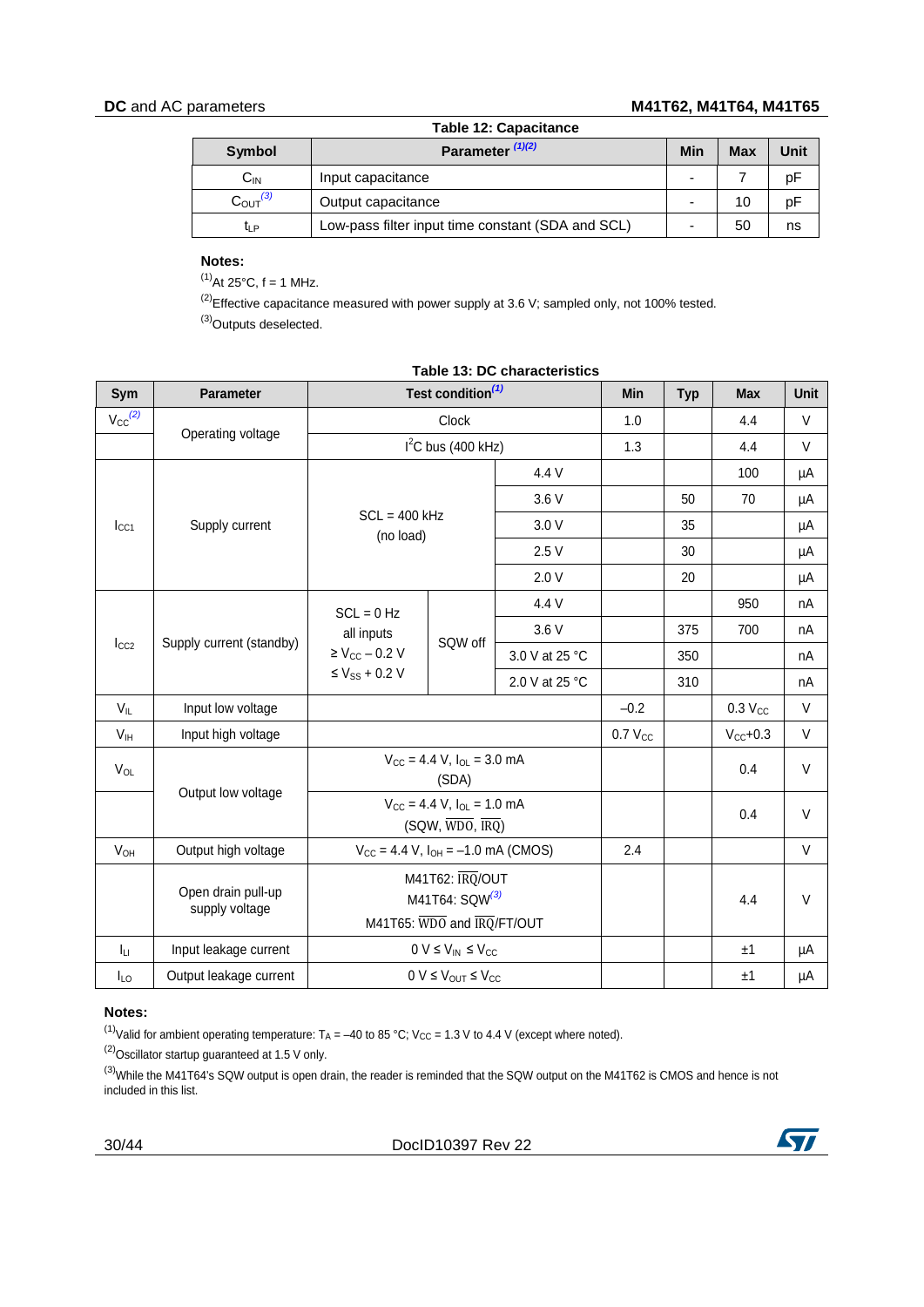### **DC** and AC parameters **M41T62, M41T64, M41T65**

<span id="page-29-0"></span>

| <b>Table 12: Capacitance</b> |                                                   |                          |            |      |  |  |  |
|------------------------------|---------------------------------------------------|--------------------------|------------|------|--|--|--|
| Symbol                       | Parameter $(1)(2)$                                | Min                      | <b>Max</b> | Unit |  |  |  |
| $C_{IN}$                     | Input capacitance                                 | $\overline{\phantom{0}}$ |            | pF   |  |  |  |
| $C_{\text{OUT}}^{(3)}$       | Output capacitance                                | $\overline{\phantom{0}}$ | 10         | pF   |  |  |  |
| t <sub>LP</sub>              | Low-pass filter input time constant (SDA and SCL) |                          | 50         | ns   |  |  |  |

#### **Notes:**

<span id="page-29-2"></span> $^{(1)}$ At 25°C, f = 1 MHz.

<span id="page-29-3"></span><span id="page-29-1"></span> $^{(2)}$ Effective capacitance measured with power supply at 3.6 V; sampled only, not 100% tested. <sup>(3)</sup>Outputs deselected.

| Sym                                                                                                                                 | <b>Parameter</b>                     |                                                                                | Test condition <sup>(1)</sup>                |                | Min                 | <b>Typ</b> | <b>Max</b>     | <b>Unit</b> |
|-------------------------------------------------------------------------------------------------------------------------------------|--------------------------------------|--------------------------------------------------------------------------------|----------------------------------------------|----------------|---------------------|------------|----------------|-------------|
| $V_{CC}^{(2)}$                                                                                                                      | Operating voltage                    |                                                                                | Clock                                        |                | 1.0                 |            | 4.4            | $\vee$      |
|                                                                                                                                     |                                      |                                                                                | $I2C$ bus (400 kHz)                          |                | 1.3                 |            | 4.4            | V           |
|                                                                                                                                     |                                      | $SCL = 400$ kHz<br>(no load)                                                   |                                              | 4.4 V          |                     |            | 100            | μA          |
|                                                                                                                                     |                                      |                                                                                |                                              | 3.6 V          |                     | 50         | 70             | μA          |
| $_{\text{LCA}}$                                                                                                                     | Supply current                       |                                                                                |                                              | 3.0V           |                     | 35         |                | μA          |
|                                                                                                                                     |                                      |                                                                                |                                              | 2.5V           |                     | 30         |                | μA          |
| 2.0V<br>20<br>4.4 V<br>950<br>$SCL = 0 Hz$<br>3.6 V<br>375<br>700<br>all inputs<br>Supply current (standby)<br>SQW off<br>$I_{CC2}$ | μA                                   |                                                                                |                                              |                |                     |            |                |             |
|                                                                                                                                     |                                      |                                                                                |                                              |                |                     |            | nA             |             |
|                                                                                                                                     |                                      |                                                                                |                                              |                |                     |            |                | nA          |
|                                                                                                                                     |                                      | $\geq$ V <sub>CC</sub> - 0.2 V                                                 |                                              | 3.0 V at 25 °C |                     | 350        |                | nA          |
|                                                                                                                                     |                                      | $\leq$ Vss + 0.2 V                                                             |                                              | 2.0 V at 25 °C |                     | 310        |                | nA          |
| $V_{IL}$                                                                                                                            | Input low voltage                    |                                                                                |                                              |                | $-0.2$              |            | $0.3$ $V_{CC}$ | V           |
| V <sub>IH</sub>                                                                                                                     | Input high voltage                   |                                                                                |                                              |                | 0.7 V <sub>CC</sub> |            | $V_{CC}+0.3$   | V           |
| $V_{OL}$                                                                                                                            |                                      | $V_{\text{CC}} = 4.4$ V, $I_{\text{OL}} = 3.0$ mA<br>(SDA)                     |                                              |                |                     |            | 0.4            | $\vee$      |
|                                                                                                                                     | Output low voltage                   | $V_{CC}$ = 4.4 V, $I_{OL}$ = 1.0 mA<br>$(SQW, \overline{WDO}, \overline{IRQ})$ |                                              |                |                     | 0.4        | V              |             |
| <b>V<sub>OH</sub></b>                                                                                                               | Output high voltage                  | $V_{CC} = 4.4$ V, $I_{OH} = -1.0$ mA (CMOS)                                    |                                              |                | 2.4                 |            |                | $\vee$      |
|                                                                                                                                     | Open drain pull-up<br>supply voltage | M41T62: IRQ/OUT<br>M41T64: SQW(3)<br>M41T65: WDO and IRQ/FT/OUT                |                                              |                |                     |            | 4.4            | V           |
| Īц                                                                                                                                  | Input leakage current                |                                                                                | $0 V \leq V_{IN} \leq V_{CC}$                |                |                     |            | ±1             | μA          |
| $I_{LO}$                                                                                                                            | Output leakage current               |                                                                                | $0 V \leq V_{\text{OUT}} \leq V_{\text{CC}}$ |                |                     |            | ±1             | μA          |

### **Table 13: DC characteristics**

### **Notes:**

<span id="page-29-4"></span>(1)Valid for ambient operating temperature:  $T_A = -40$  to 85 °C; V<sub>CC</sub> = 1.3 V to 4.4 V (except where noted).

<span id="page-29-5"></span> $^{(2)}$ Oscillator startup guaranteed at 1.5 V only.

<span id="page-29-6"></span><sup>(3)</sup>While the M41T64's SQW output is open drain, the reader is reminded that the SQW output on the M41T62 is CMOS and hence is not included in this list.

30/44 DocID10397 Rev 22

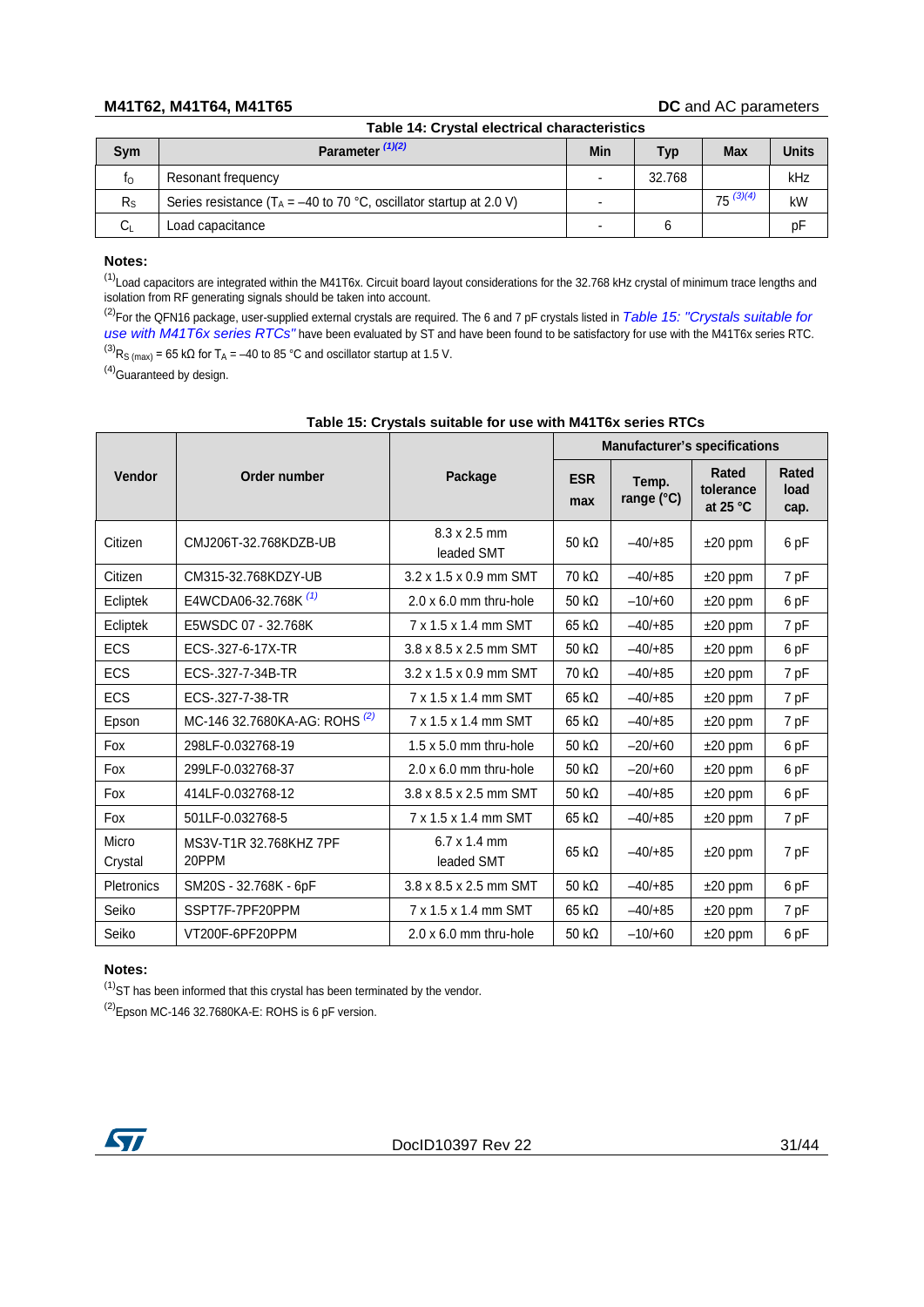#### <span id="page-30-0"></span>**M41T62, M41T64, M41T65 DC** and AC parameters

|             | Table 14: Crystal electrical characteristics                           |                          |        |               |              |  |  |  |
|-------------|------------------------------------------------------------------------|--------------------------|--------|---------------|--------------|--|--|--|
| Sym         | Parameter $(1)(2)$                                                     | Min                      | Typ    | <b>Max</b>    | <b>Units</b> |  |  |  |
| $f_{\rm O}$ | Resonant frequency                                                     | $\blacksquare$           | 32.768 |               | kHz          |  |  |  |
| $R_{S}$     | Series resistance ( $T_A = -40$ to 70 °C, oscillator startup at 2.0 V) | -                        |        | $75^{(3)(4)}$ | kW           |  |  |  |
| Cı          | Load capacitance                                                       | $\overline{\phantom{0}}$ | 6      |               | рF           |  |  |  |

### **Notes:**

<span id="page-30-2"></span><sup>(1)</sup>Load capacitors are integrated within the M41T6x. Circuit board layout considerations for the 32.768 kHz crystal of minimum trace lengths and isolation from RF generating signals should be taken into account.

(2)For the QFN16 package, user-supplied external crystals are required. The 6 and 7 pF crystals listed in *[Table 15: "Crystals suitable for](#page-30-1)  [use with M41T6x series RTCs"](#page-30-1)* have been evaluated by ST and have been found to be satisfactory for use with the M41T6x series RTC.  $^{(3)}$ R<sub>S (max)</sub> = 65 kΩ for T<sub>A</sub> = -40 to 85 °C and oscillator startup at 1.5 V.

<span id="page-30-3"></span> $(4)$ Guaranteed by design.

<span id="page-30-1"></span>

|                   |                                          |                                           | <b>Manufacturer's specifications</b> |                     |                                         |                              |  |
|-------------------|------------------------------------------|-------------------------------------------|--------------------------------------|---------------------|-----------------------------------------|------------------------------|--|
| Vendor            | Order number                             | Package                                   | <b>ESR</b><br>max                    | Temp.<br>range (°C) | <b>Rated</b><br>tolerance<br>at 25 $°C$ | <b>Rated</b><br>load<br>cap. |  |
| Citizen           | CMJ206T-32.768KDZB-UB                    | $8.3 \times 2.5$ mm<br>leaded SMT         | 50 k $\Omega$                        | $-40/+85$           | $±20$ ppm                               | 6 pF                         |  |
| Citizen           | CM315-32.768KDZY-UB                      | $3.2 \times 1.5 \times 0.9$ mm SMT        | 70 k $\Omega$                        | $-40/+85$           | $±20$ ppm                               | 7 pF                         |  |
| Ecliptek          | E4WCDA06-32.768K <sup>(1)</sup>          | $2.0 \times 6.0$ mm thru-hole             | 50 k $\Omega$                        | $-10/+60$           | $±20$ ppm                               | 6 pF                         |  |
| Ecliptek          | E5WSDC 07 - 32.768K                      | 7 x 1.5 x 1.4 mm SMT                      | $65 k\Omega$                         | $-40/+85$           | $±20$ ppm                               | 7 pF                         |  |
| <b>ECS</b>        | ECS-.327-6-17X-TR                        | 3.8 x 8.5 x 2.5 mm SMT                    | $50 \text{ k}\Omega$                 | $-40/+85$           | $±20$ ppm                               | 6 pF                         |  |
| ECS               | ECS-.327-7-34B-TR                        | 3.2 x 1.5 x 0.9 mm SMT                    | $70 k\Omega$                         | $-40/+85$           | $±20$ ppm                               | 7 pF                         |  |
| <b>ECS</b>        | ECS-.327-7-38-TR                         | 7 x 1.5 x 1.4 mm SMT                      | $65 k\Omega$                         | $-40/+85$           | $±20$ ppm                               | 7 pF                         |  |
| Epson             | MC-146 32.7680KA-AG: ROHS <sup>(2)</sup> | 7 x 1.5 x 1.4 mm SMT                      | $65 k\Omega$                         | $-40/+85$           | $±20$ ppm                               | 7 pF                         |  |
| Fox               | 298LF-0.032768-19                        | $1.5 \times 5.0$ mm thru-hole             | $50 k\Omega$                         | $-20/+60$           | $±20$ ppm                               | 6 pF                         |  |
| Fox               | 299LF-0.032768-37                        | $2.0 \times 6.0$ mm thru-hole             | $50 k\Omega$                         | $-20/+60$           | $±20$ ppm                               | 6 pF                         |  |
| Fox               | 414LF-0.032768-12                        | 3.8 x 8.5 x 2.5 mm SMT                    | 50 k $\Omega$                        | $-40/+85$           | $±20$ ppm                               | 6 pF                         |  |
| Fox               | 501LF-0.032768-5                         | 7 x 1.5 x 1.4 mm SMT                      | $65 k\Omega$                         | $-40/+85$           | $±20$ ppm                               | 7 pF                         |  |
| Micro<br>Crystal  | MS3V-T1R 32.768KHZ 7PF<br>20PPM          | $6.7 \times 1.4 \text{ mm}$<br>leaded SMT | 65 k <sub>0</sub>                    | $-40/+85$           | $±20$ ppm                               | 7 pF                         |  |
| <b>Pletronics</b> | SM20S - 32.768K - 6pF                    | 3.8 x 8.5 x 2.5 mm SMT                    | 50 k <sub>0</sub>                    | $-40/+85$           | $±20$ ppm                               | 6 pF                         |  |
| Seiko             | SSPT7F-7PF20PPM                          | 7 x 1.5 x 1.4 mm SMT                      | $65 k\Omega$                         | $-40/+85$           | $±20$ ppm                               | 7 pF                         |  |
| Seiko             | VT200F-6PF20PPM                          | $2.0 \times 6.0$ mm thru-hole             | 50 k $\Omega$                        | $-10/+60$           | $±20$ ppm                               | 6 pF                         |  |

#### **Table 15: Crystals suitable for use with M41T6x series RTCs**

#### **Notes:**

<span id="page-30-4"></span> $<sup>(1)</sup>ST$  has been informed that this crystal has been terminated by the vendor.</sup>

<span id="page-30-5"></span> $(2)$ Epson MC-146 32.7680KA-E: ROHS is 6 pF version.

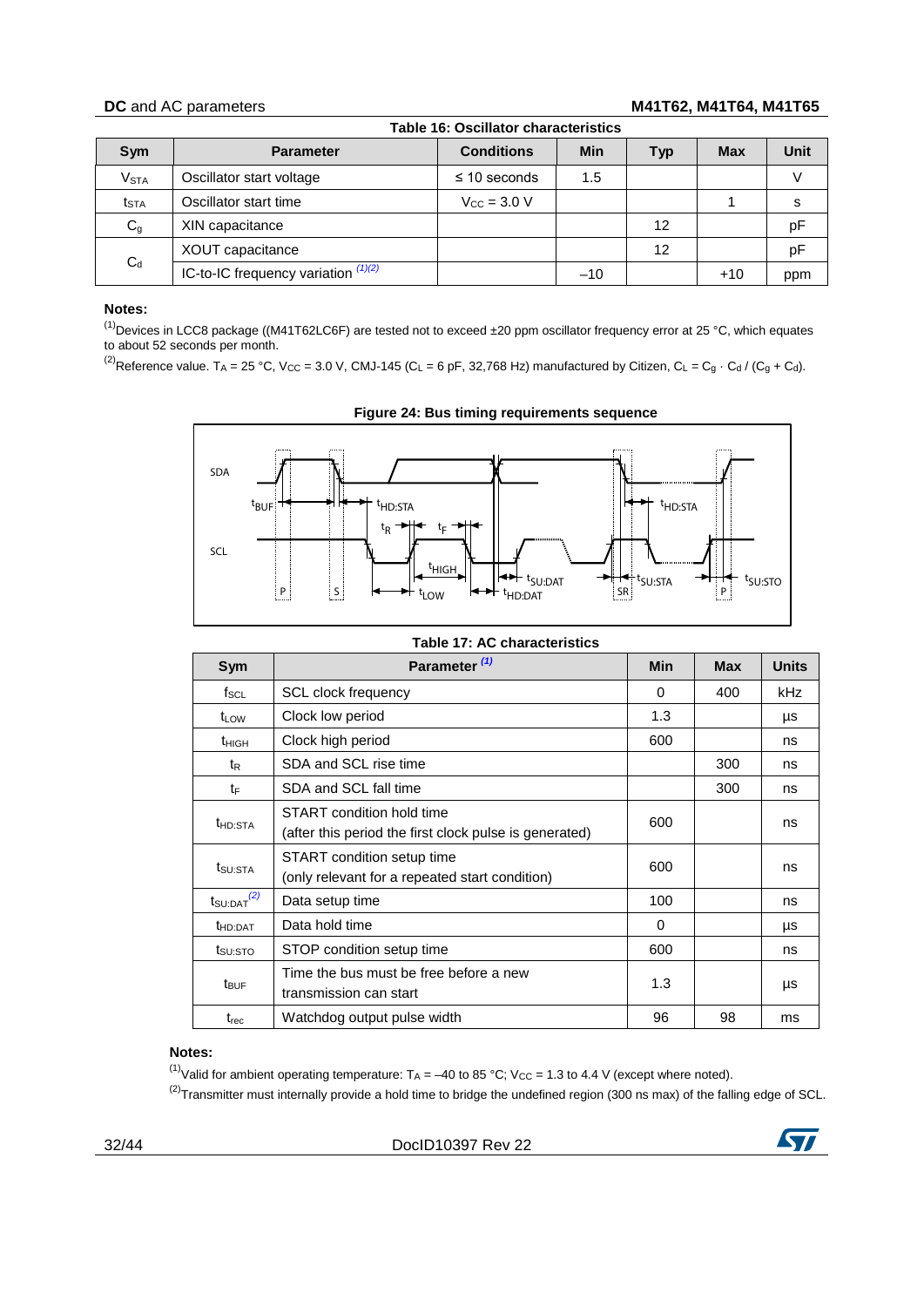# <span id="page-31-0"></span>**DC** and AC parameters **M41T62, M41T64, M41T65**

| <b>Table 16: Oscillator characteristics</b> |                                       |                                 |       |     |            |             |  |  |
|---------------------------------------------|---------------------------------------|---------------------------------|-------|-----|------------|-------------|--|--|
| Sym                                         | <b>Parameter</b>                      | <b>Conditions</b>               | Min   | Typ | <b>Max</b> | <b>Unit</b> |  |  |
| <b>V<sub>STA</sub></b>                      | Oscillator start voltage              | $\leq$ 10 seconds               | 1.5   |     |            |             |  |  |
| $t_{\text{STA}}$                            | Oscillator start time                 | $V_{\text{CC}} = 3.0 \text{ V}$ |       |     |            | s           |  |  |
| $C_{g}$                                     | XIN capacitance                       |                                 |       | 12  |            | pF          |  |  |
|                                             | XOUT capacitance                      |                                 |       | 12  |            | pF          |  |  |
| $C_d$                                       | IC-to-IC frequency variation $(1)(2)$ |                                 | $-10$ |     | $+10$      | ppm         |  |  |

### **Notes:**

<span id="page-31-3"></span> $^{(1)}$ Devices in LCC8 package ((M41T62LC6F) are tested not to exceed  $\pm 20$  ppm oscillator frequency error at 25 °C, which equates to about 52 seconds per month.

<sup>(2)</sup>Reference value. T<sub>A</sub> = 25 °C, V<sub>CC</sub> = 3.0 V, CMJ-145 (C<sub>L</sub> = 6 pF, 32,768 Hz) manufactured by Citizen, C<sub>L</sub> = C<sub>g</sub> · C<sub>d</sub> / (C<sub>g</sub> + C<sub>d</sub>).

<span id="page-31-2"></span>

**Figure 24: Bus timing requirements sequence**

<span id="page-31-1"></span>

| Table 17: AC characteristics |                                                                                     |            |            |              |  |  |  |
|------------------------------|-------------------------------------------------------------------------------------|------------|------------|--------------|--|--|--|
| Sym                          | Parameter <sup>(1)</sup>                                                            | <b>Min</b> | <b>Max</b> | <b>Units</b> |  |  |  |
| $f_{\rm SCL}$                | <b>SCL clock frequency</b>                                                          | 0          | 400        | kHz          |  |  |  |
| t <sub>LOW</sub>             | Clock low period                                                                    | 1.3        |            | μs           |  |  |  |
| t <sub>HIGH</sub>            | Clock high period                                                                   | 600        |            | ns           |  |  |  |
| t <sub>R</sub>               | SDA and SCL rise time                                                               |            | 300        | ns           |  |  |  |
| tF                           | SDA and SCL fall time                                                               |            | 300        | ns           |  |  |  |
| <b>t</b> hd:sta              | START condition hold time<br>(after this period the first clock pulse is generated) | 600        |            | ns           |  |  |  |
| t <sub>SU:STA</sub>          | START condition setup time<br>600<br>(only relevant for a repeated start condition) |            |            |              |  |  |  |
| $t_{\text{SU:DAT}}^{(2)}$    | Data setup time                                                                     | 100        |            | ns           |  |  |  |
| <b>t</b> HD:DAT              | Data hold time                                                                      | $\Omega$   |            | μs           |  |  |  |
| t <sub>su:STO</sub>          | STOP condition setup time                                                           | 600        |            | ns           |  |  |  |
| $t_{\text{BUF}}$             | Time the bus must be free before a new<br>transmission can start                    | 1.3        |            | μs           |  |  |  |
| t <sub>rec</sub>             | Watchdog output pulse width                                                         | 96         | 98         | ms           |  |  |  |

### **Notes:**

<span id="page-31-4"></span><sup>(1)</sup>Valid for ambient operating temperature:  $T_A = -40$  to 85 °C; V<sub>CC</sub> = 1.3 to 4.4 V (except where noted).

<span id="page-31-5"></span> $(2)$ Transmitter must internally provide a hold time to bridge the undefined region (300 ns max) of the falling edge of SCL.

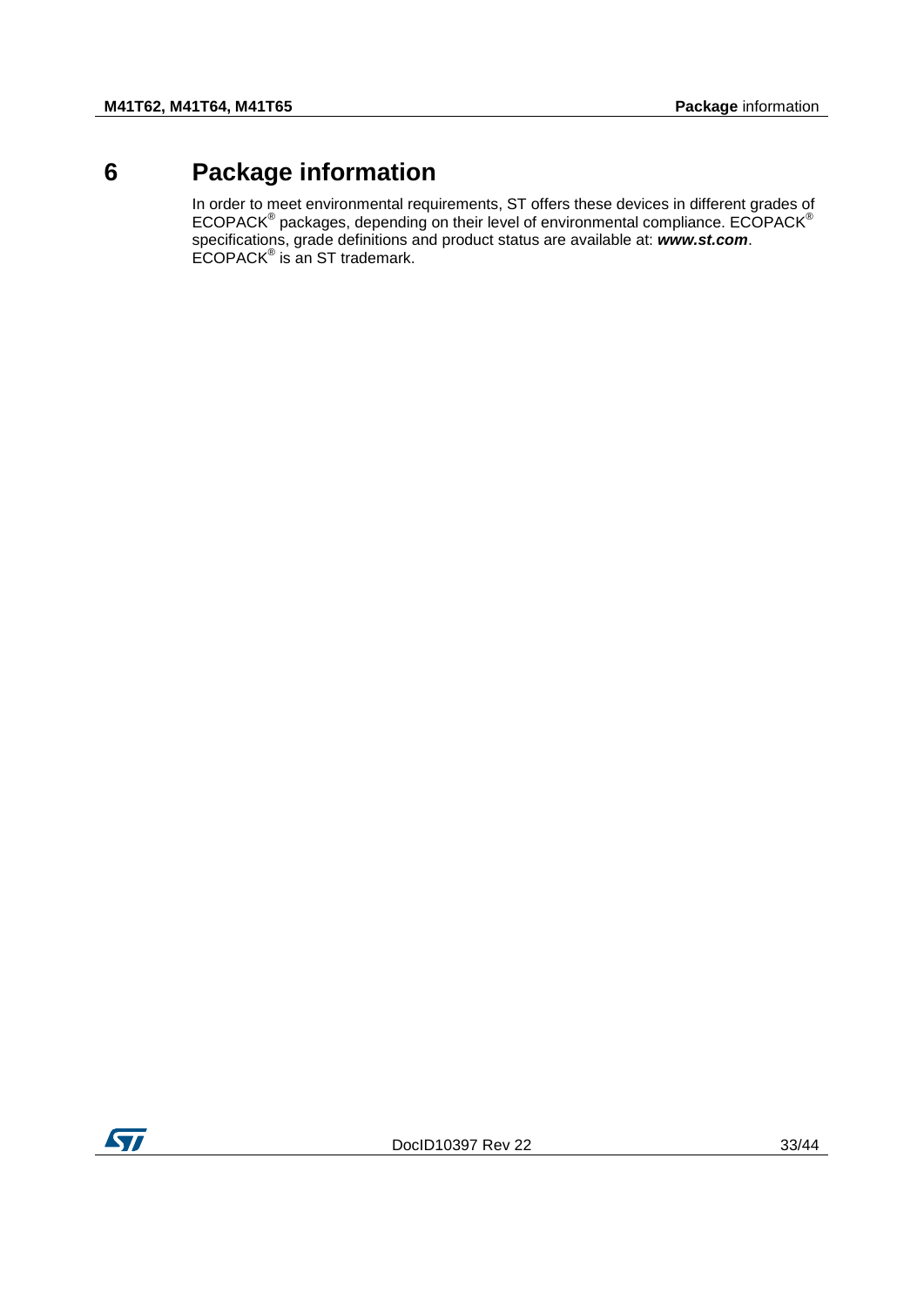# **6 Package information**

<span id="page-32-0"></span>In order to meet environmental requirements, ST offers these devices in different grades of  $ECOPACK^{\circledast}$  packages, depending on their level of environmental compliance.  $ECOPACK^{\circledast}$ specifications, grade definitions and product status are available at: *www.st.com*. ECOPACK<sup>®</sup> is an ST trademark.

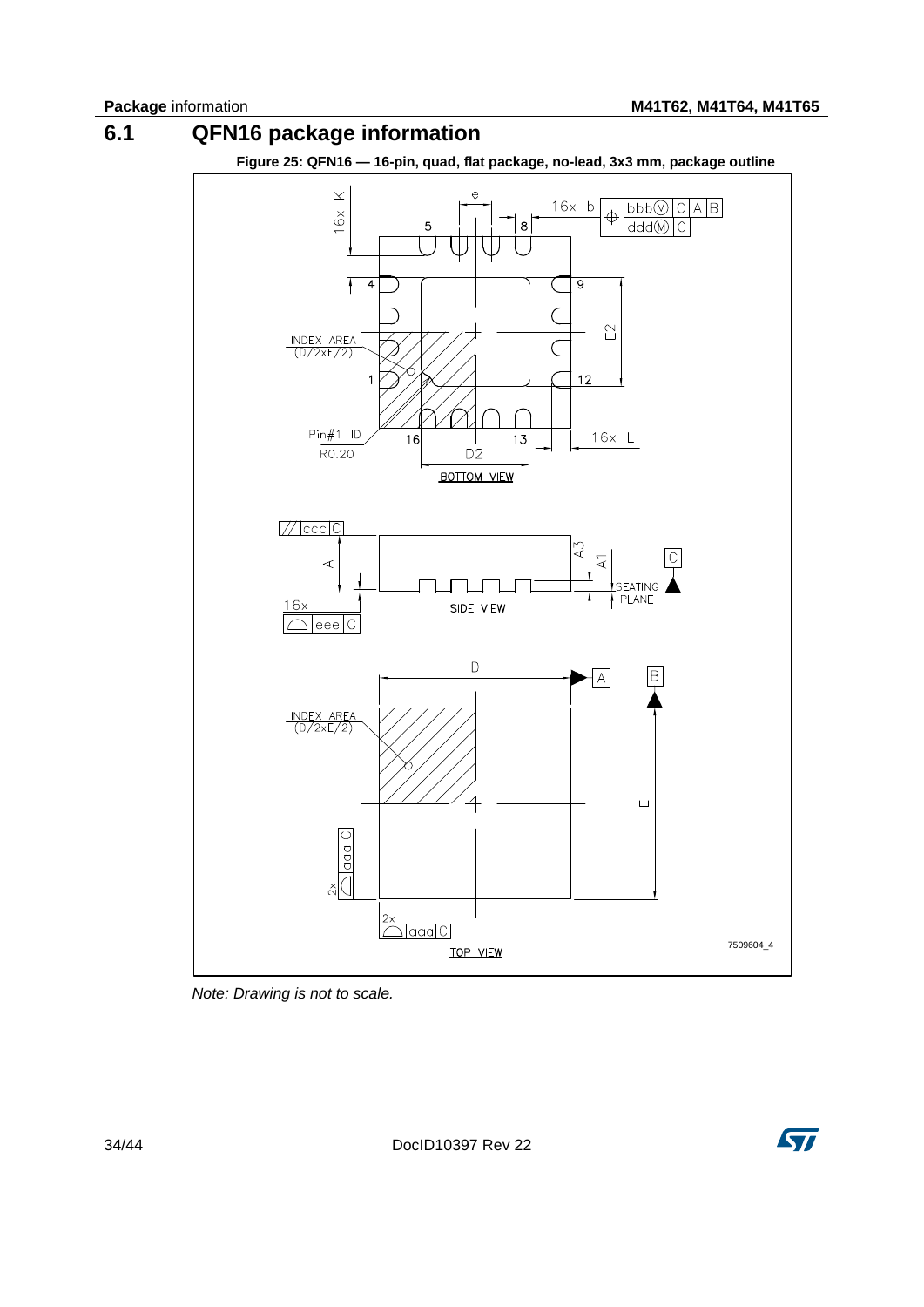

<span id="page-33-1"></span><span id="page-33-0"></span>

*Note: Drawing is not to scale.*

34/44 DocID10397 Rev 22

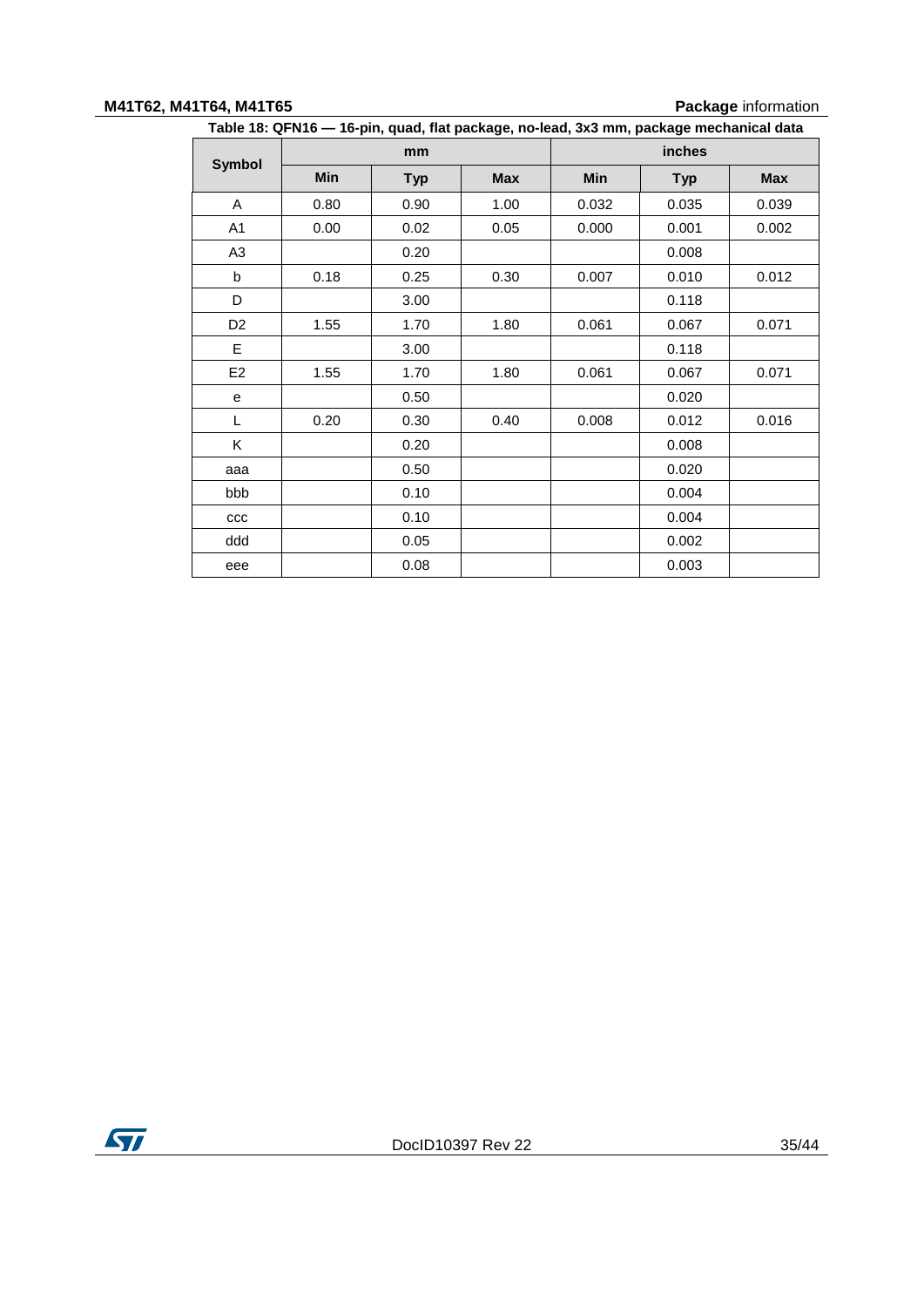#### **M41T62, M41T64, M41T65 Package** information

<span id="page-34-0"></span>

| Table 18: QFN16 — 16-pin, quad, flat package, no-lead, 3x3 mm, package mechanical data |      |            |            |       |            |            |
|----------------------------------------------------------------------------------------|------|------------|------------|-------|------------|------------|
|                                                                                        |      | mm         |            |       | inches     |            |
| <b>Symbol</b>                                                                          | Min  | <b>Typ</b> | <b>Max</b> | Min   | <b>Typ</b> | <b>Max</b> |
| A                                                                                      | 0.80 | 0.90       | 1.00       | 0.032 | 0.035      | 0.039      |
| A1                                                                                     | 0.00 | 0.02       | 0.05       | 0.000 | 0.001      | 0.002      |
| A3                                                                                     |      | 0.20       |            |       | 0.008      |            |
| b                                                                                      | 0.18 | 0.25       | 0.30       | 0.007 | 0.010      | 0.012      |
| D                                                                                      |      | 3.00       |            |       | 0.118      |            |
| D <sub>2</sub>                                                                         | 1.55 | 1.70       | 1.80       | 0.061 | 0.067      | 0.071      |
| E                                                                                      |      | 3.00       |            |       | 0.118      |            |
| E <sub>2</sub>                                                                         | 1.55 | 1.70       | 1.80       | 0.061 | 0.067      | 0.071      |
| е                                                                                      |      | 0.50       |            |       | 0.020      |            |
| L                                                                                      | 0.20 | 0.30       | 0.40       | 0.008 | 0.012      | 0.016      |
| K.                                                                                     |      | 0.20       |            |       | 0.008      |            |
| aaa                                                                                    |      | 0.50       |            |       | 0.020      |            |
| bbb                                                                                    |      | 0.10       |            |       | 0.004      |            |
| ccc                                                                                    |      | 0.10       |            |       | 0.004      |            |
| ddd                                                                                    |      | 0.05       |            |       | 0.002      |            |
| eee                                                                                    |      | 0.08       |            |       | 0.003      |            |

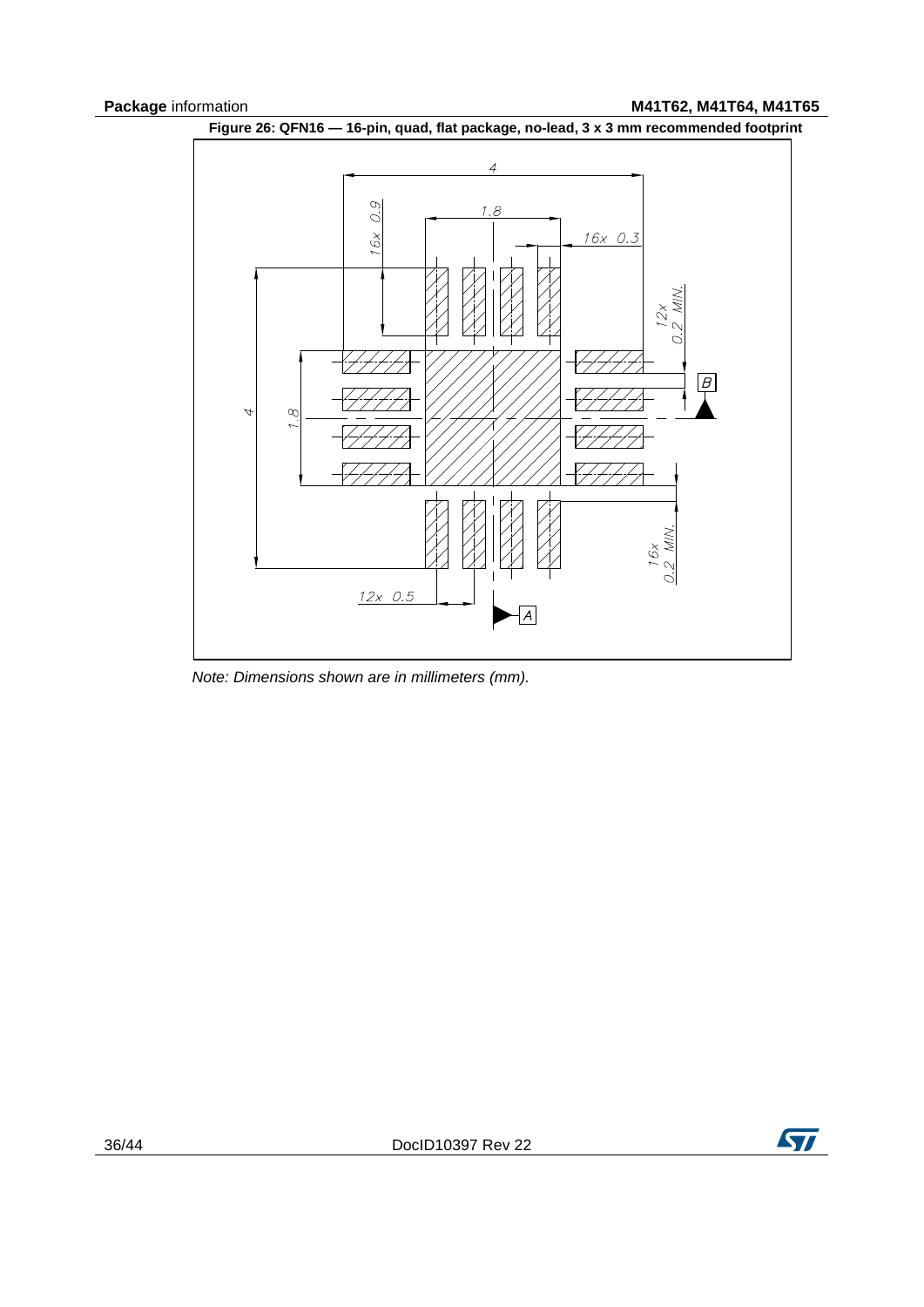<span id="page-35-0"></span>

*Note: Dimensions shown are in millimeters (mm).*

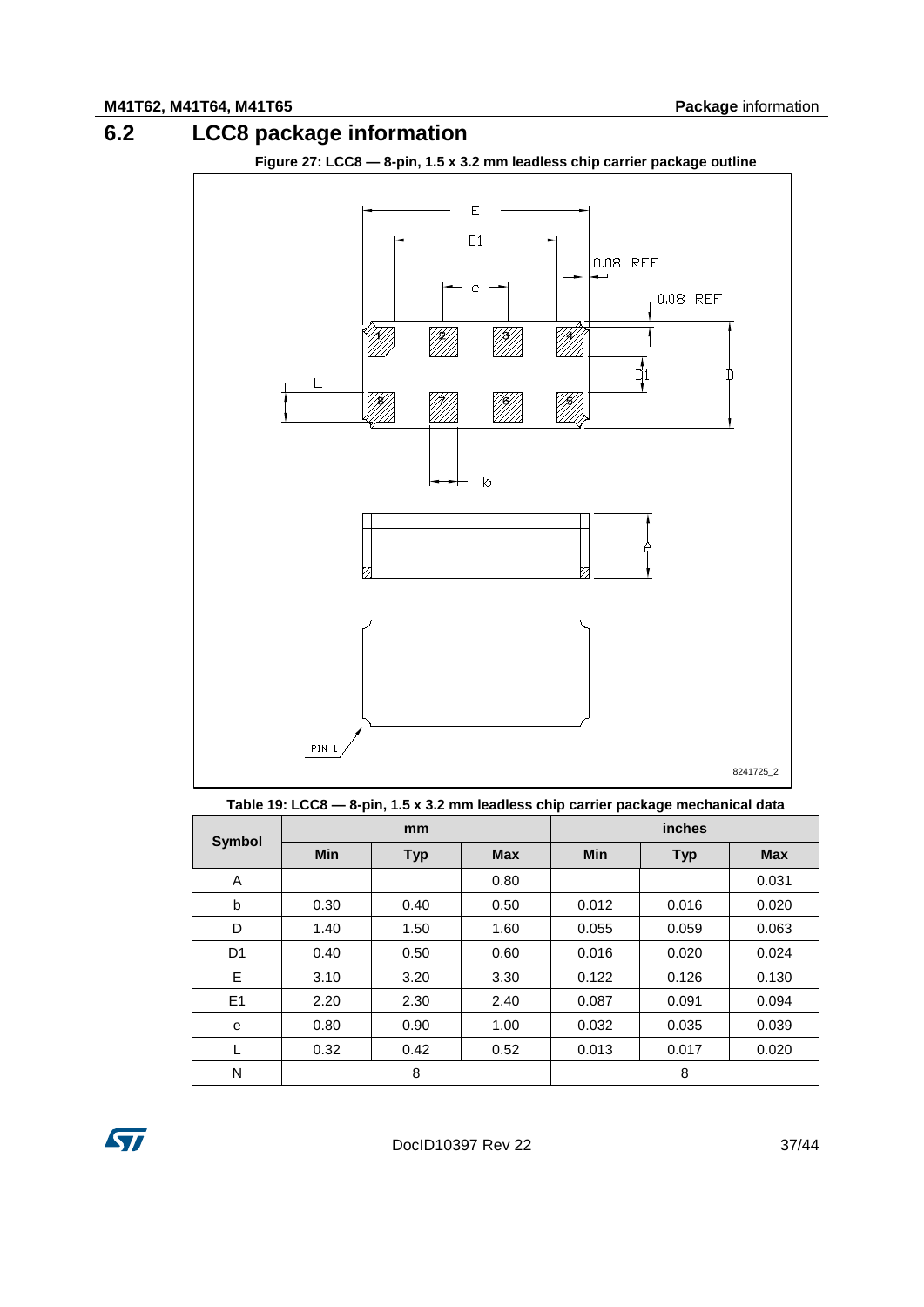# **6.2 LCC8 package information**

**Figure 27: LCC8 — 8-pin, 1.5 x 3.2 mm leadless chip carrier package outline**

<span id="page-36-2"></span><span id="page-36-0"></span>

**Table 19: LCC8 — 8-pin, 1.5 x 3.2 mm leadless chip carrier package mechanical data**

<span id="page-36-1"></span>

| <b>Symbol</b>  |            | mm         |            |            | inches     |            |
|----------------|------------|------------|------------|------------|------------|------------|
|                | <b>Min</b> | <b>Typ</b> | <b>Max</b> | <b>Min</b> | <b>Typ</b> | <b>Max</b> |
| A              |            |            | 0.80       |            |            | 0.031      |
| b              | 0.30       | 0.40       | 0.50       | 0.012      | 0.016      | 0.020      |
| D              | 1.40       | 1.50       | 1.60       | 0.055      | 0.059      | 0.063      |
| D <sub>1</sub> | 0.40       | 0.50       | 0.60       | 0.016      | 0.020      | 0.024      |
| E              | 3.10       | 3.20       | 3.30       | 0.122      | 0.126      | 0.130      |
| E1             | 2.20       | 2.30       | 2.40       | 0.087      | 0.091      | 0.094      |
| е              | 0.80       | 0.90       | 1.00       | 0.032      | 0.035      | 0.039      |
| L              | 0.32       | 0.42       | 0.52       | 0.013      | 0.017      | 0.020      |
| N              |            | 8          |            |            | 8          |            |

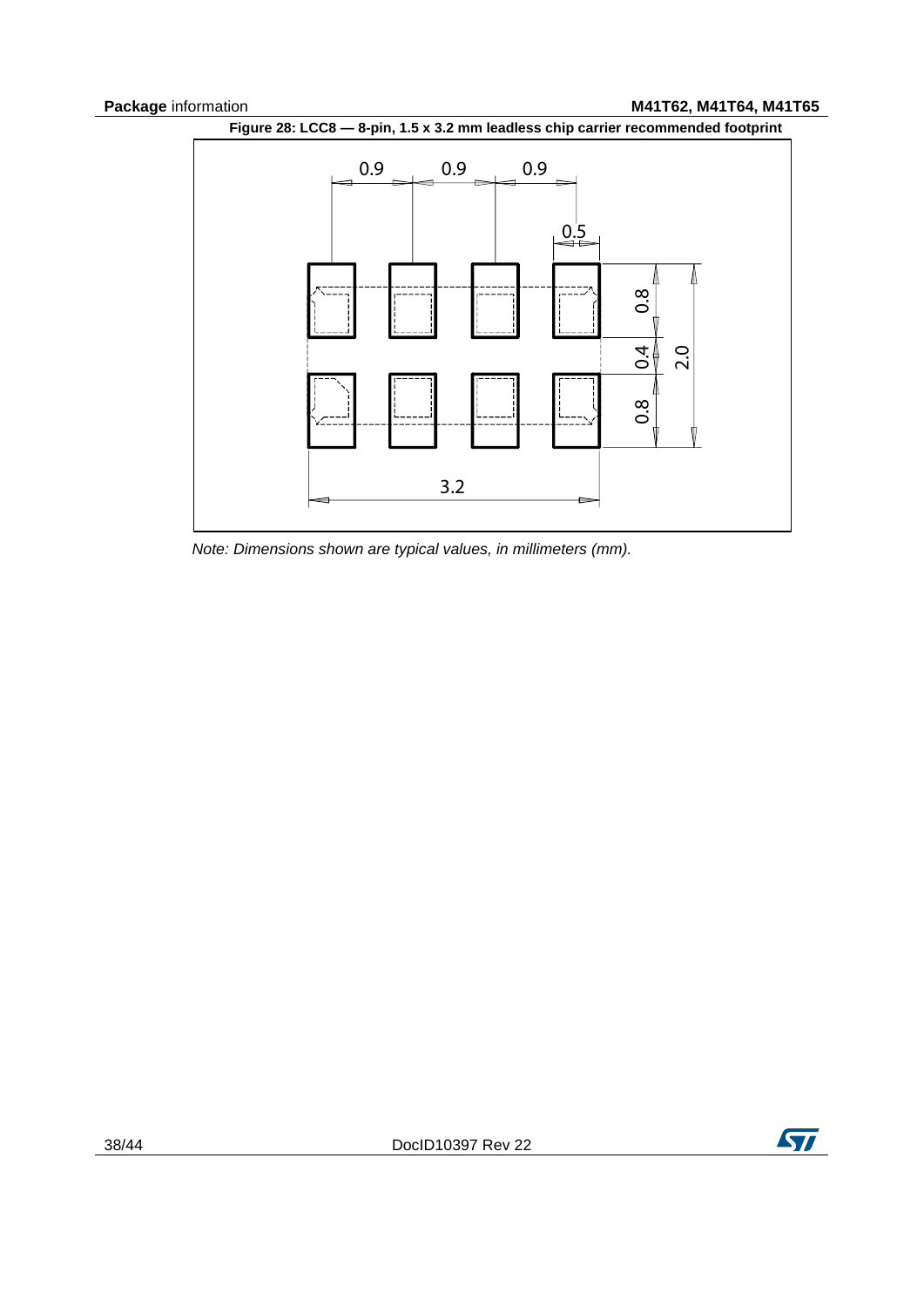**Package** information **M41T62, M41T64, M41T65** 

<span id="page-37-0"></span>

*Note: Dimensions shown are typical values, in millimeters (mm).*

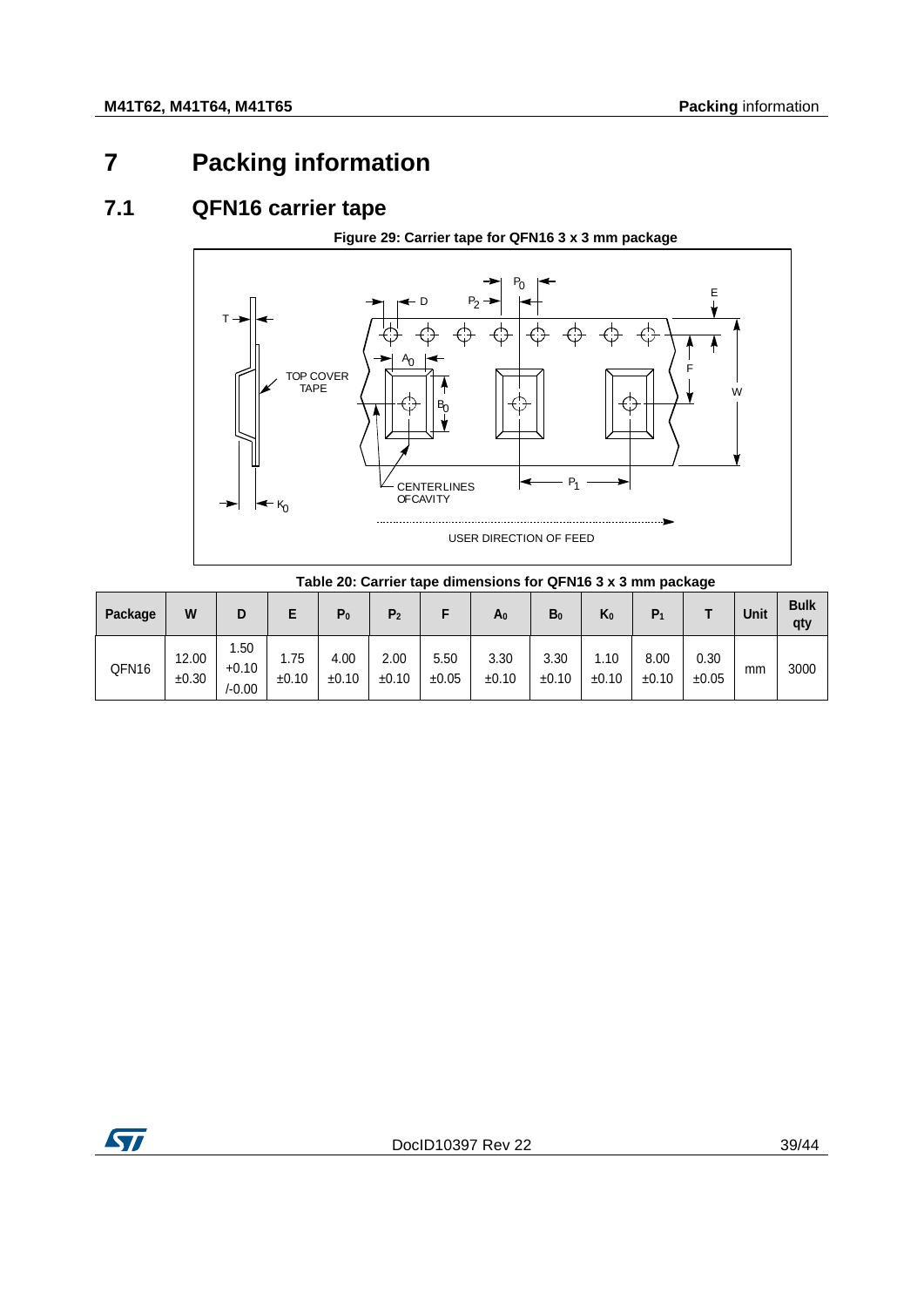# <span id="page-38-0"></span>**7 Packing information**

### **7.1 QFN16 carrier tape**

**Figure 29: Carrier tape for QFN16 3 x 3 mm package**

<span id="page-38-3"></span><span id="page-38-1"></span>

#### <span id="page-38-2"></span>**Table 20: Carrier tape dimensions for QFN16 3 x 3 mm package Package <sup>W</sup> <sup>D</sup> <sup>E</sup> P0 P2 <sup>F</sup> A0 B0 K0 P1 <sup>T</sup> Unit Bulk qty** QFN16 12.00 ±0.30 1.50 +0.10 /-0.00 1.75 ±0.10 4.00 ±0.10 2.00 ±0.10 5.50 ±0.05 3.30 ±0.10 3.30 ±0.10 1.10 ±0.10 8.00 ±0.10 0.30 ±0.05 mm 3000

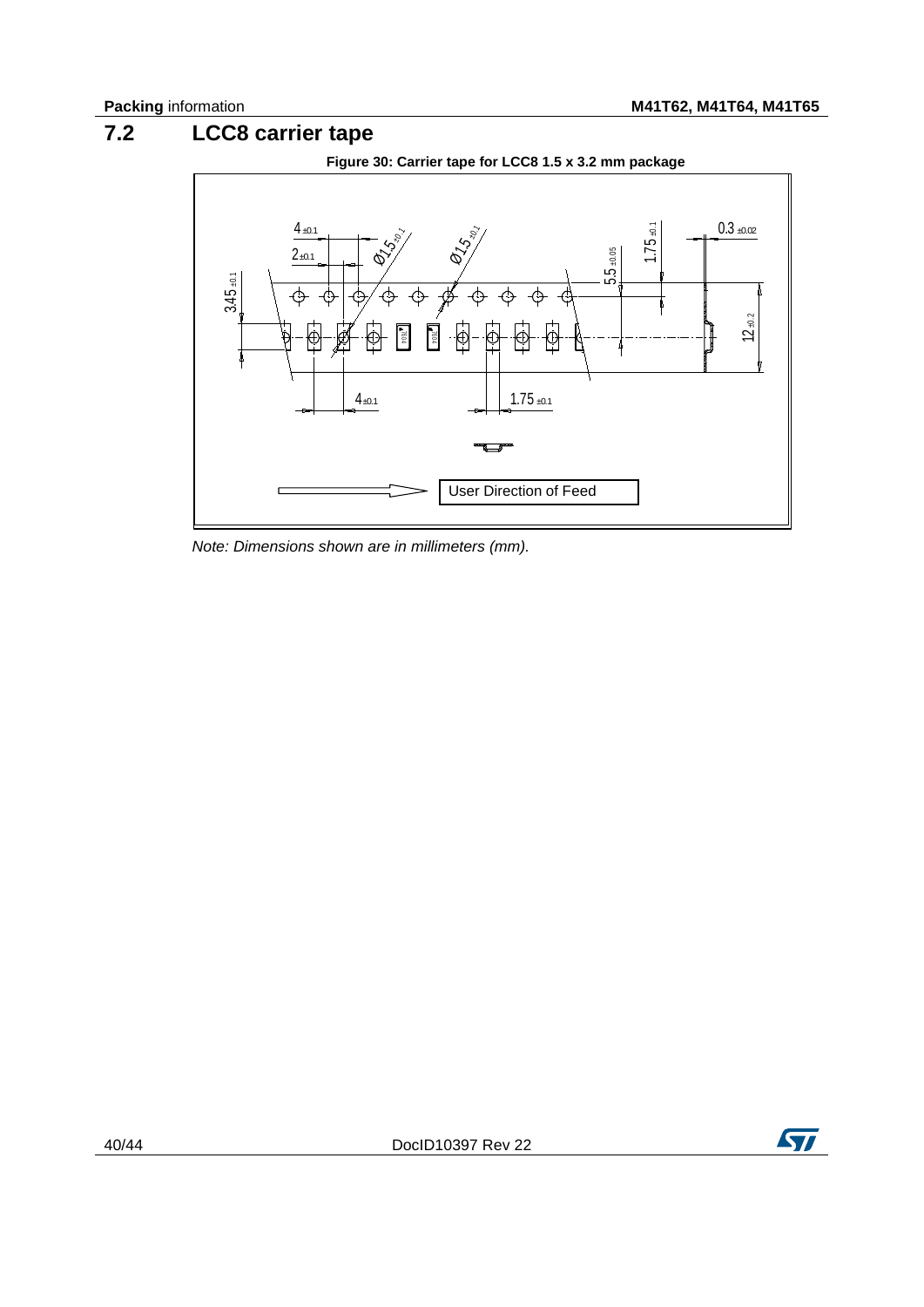# **7.2 LCC8 carrier tape**

<span id="page-39-1"></span><span id="page-39-0"></span>

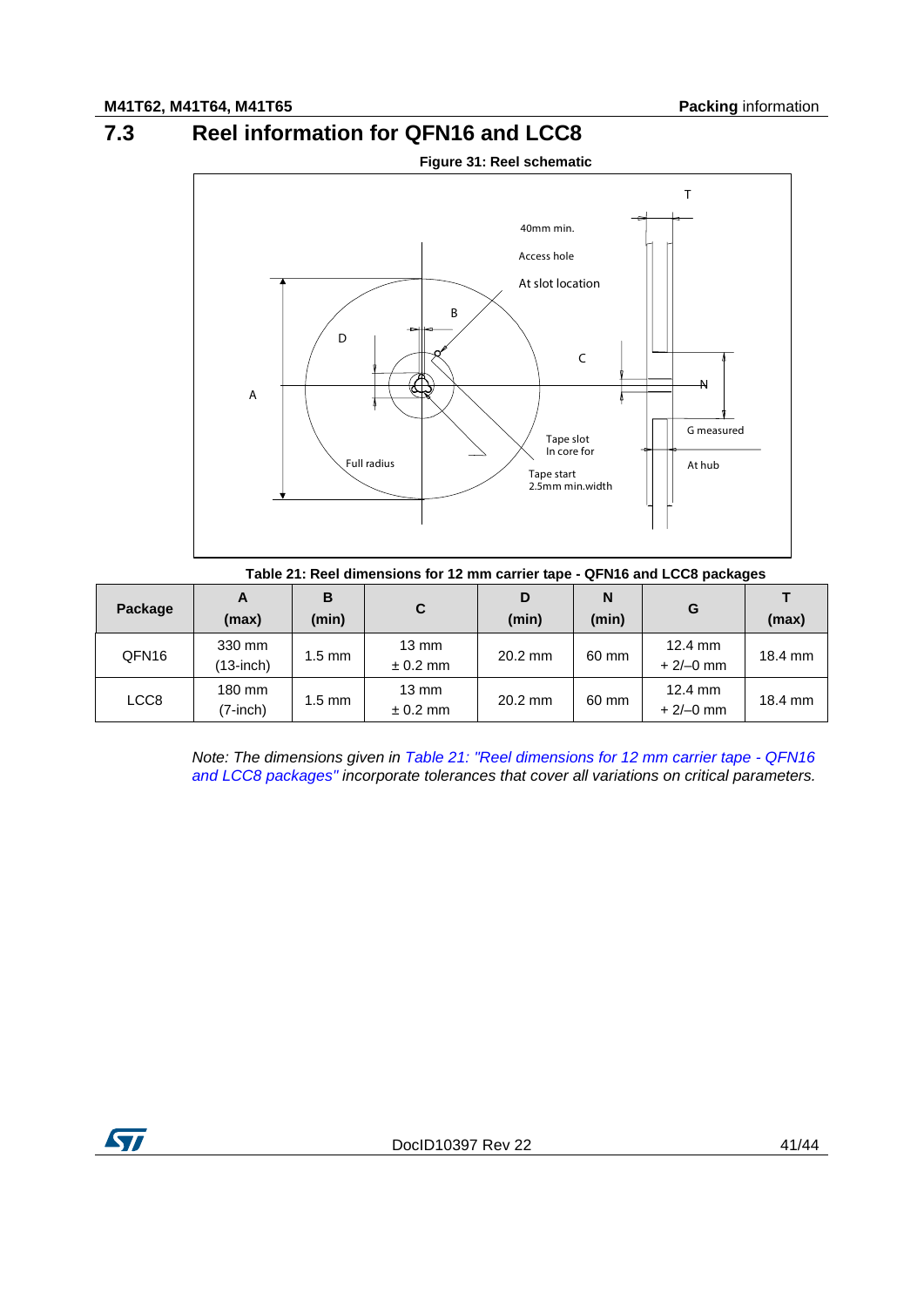# **7.3 Reel information for QFN16 and LCC8**

<span id="page-40-2"></span><span id="page-40-0"></span>

<span id="page-40-1"></span>

|                   | Table 21: Reel dimensions for 12 mm carrier tape - QFN16 and LCC8 packages |                  |                               |            |            |                                 |         |  |
|-------------------|----------------------------------------------------------------------------|------------------|-------------------------------|------------|------------|---------------------------------|---------|--|
| Package           | A<br>(max)                                                                 | в<br>(min)       | C                             | D<br>(min) | N<br>(min) | G                               | (max)   |  |
| QFN <sub>16</sub> | 330 mm<br>$(13$ -inch $)$                                                  | $1.5 \text{ mm}$ | $13 \text{ mm}$<br>$± 0.2$ mm | $20.2$ mm  | 60 mm      | $12.4 \text{ mm}$<br>$+2/-0$ mm | 18.4 mm |  |
| LCC8              | 180 mm<br>$(7\text{-inch})$                                                | $1.5 \text{ mm}$ | $13 \text{ mm}$<br>$± 0.2$ mm | $20.2$ mm  | 60 mm      | $12.4 \text{ mm}$<br>$+2/-0$ mm | 18.4 mm |  |

*Note: The dimensions given in [Table 21: "Reel dimensions for 12 mm carrier tape -](#page-40-1) QFN16 [and LCC8 packages"](#page-40-1) incorporate tolerances that cover all variations on critical parameters.*

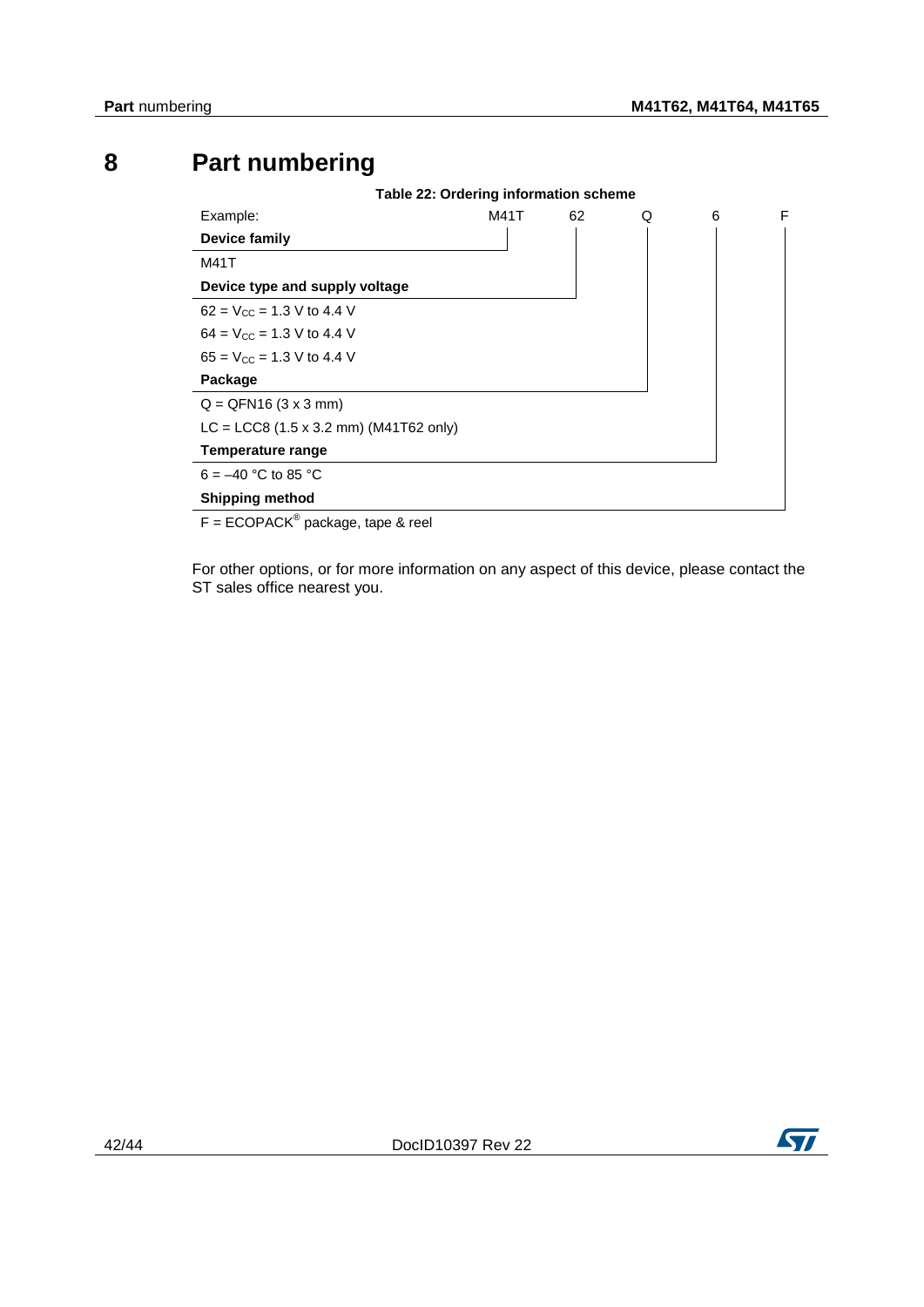# **8 Part numbering**

<span id="page-41-1"></span><span id="page-41-0"></span>

For other options, or for more information on any aspect of this device, please contact the ST sales office nearest you.

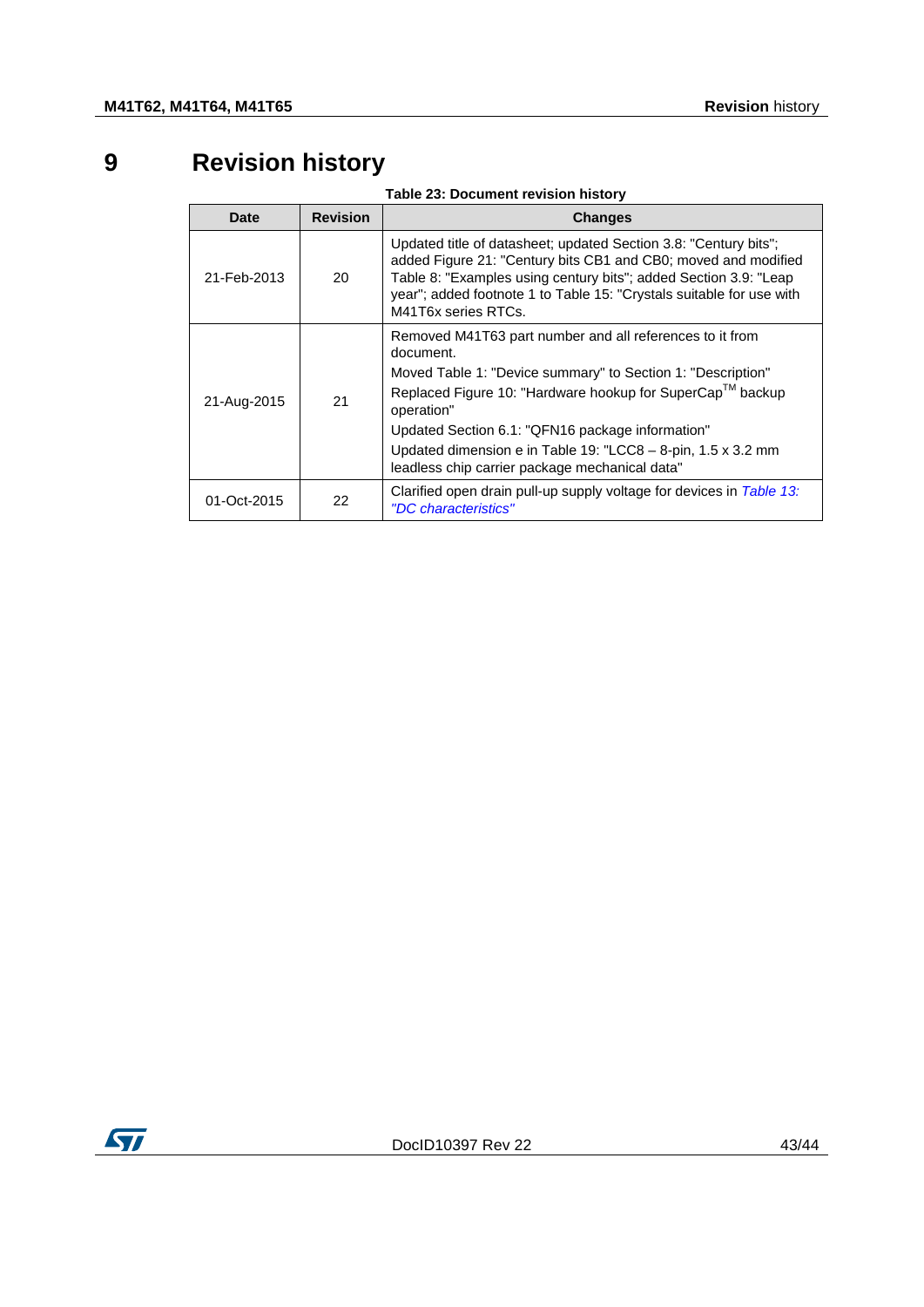# **9 Revision history**

| Table 23: Document revision history |  |
|-------------------------------------|--|
|-------------------------------------|--|

<span id="page-42-1"></span><span id="page-42-0"></span>

| <b>Date</b> | <b>Revision</b> | <b>Changes</b>                                                                                                                                                                                                                                                                                                                                                                        |
|-------------|-----------------|---------------------------------------------------------------------------------------------------------------------------------------------------------------------------------------------------------------------------------------------------------------------------------------------------------------------------------------------------------------------------------------|
| 21-Feb-2013 | 20              | Updated title of datasheet; updated Section 3.8: "Century bits";<br>added Figure 21: "Century bits CB1 and CB0; moved and modified<br>Table 8: "Examples using century bits"; added Section 3.9: "Leap<br>year"; added footnote 1 to Table 15: "Crystals suitable for use with<br>M41T6x series RTCs.                                                                                 |
| 21-Aug-2015 | 21              | Removed M41T63 part number and all references to it from<br>document.<br>Moved Table 1: "Device summary" to Section 1: "Description"<br>Replaced Figure 10: "Hardware hookup for SuperCap™ backup<br>operation"<br>Updated Section 6.1: "QFN16 package information"<br>Updated dimension e in Table 19: "LCC8 - 8-pin, 1.5 x 3.2 mm<br>leadless chip carrier package mechanical data" |
| 01-Oct-2015 | 22              | Clarified open drain pull-up supply voltage for devices in Table 13:<br>"DC characteristics"                                                                                                                                                                                                                                                                                          |